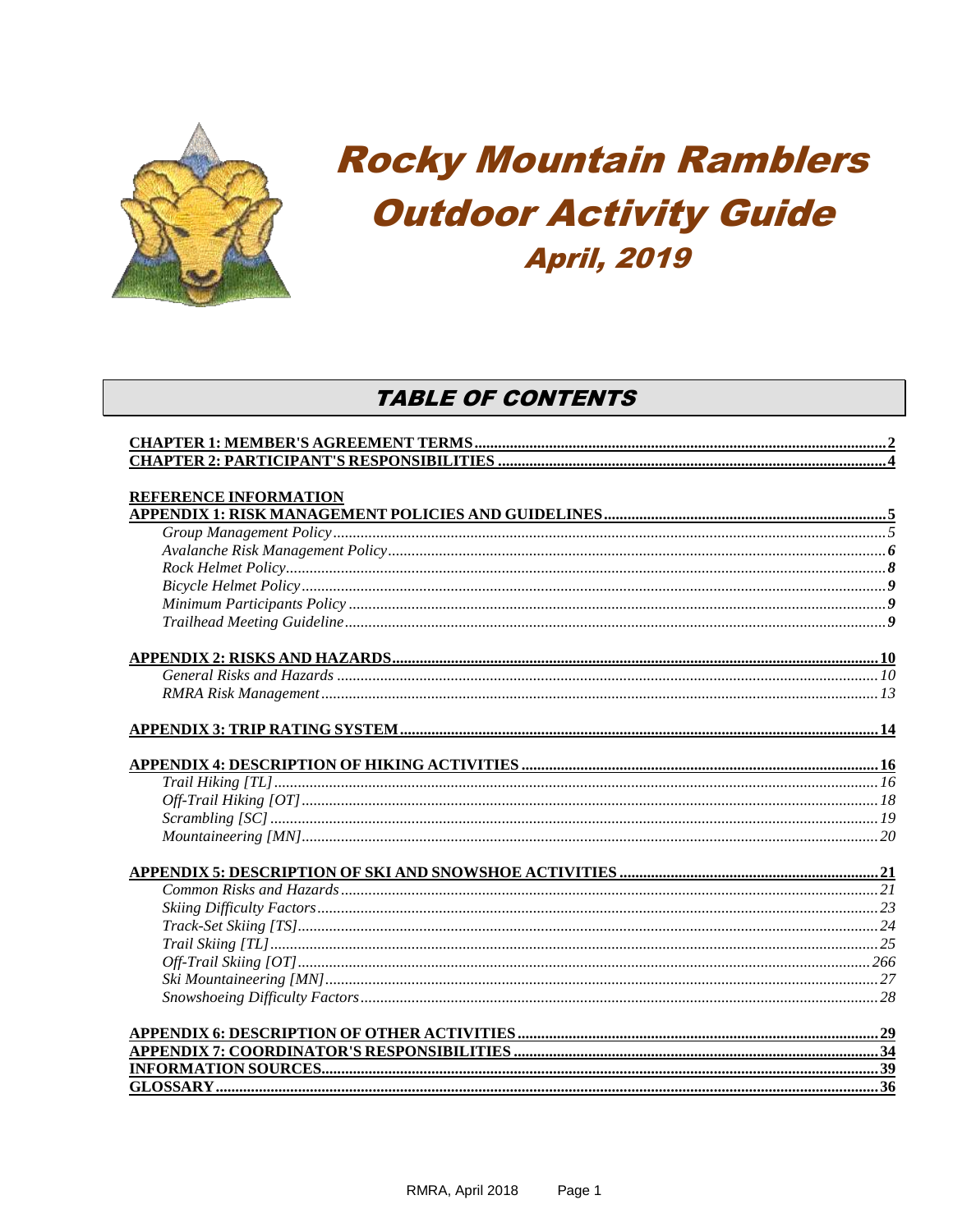

# **Rocky Mountain Ramblers Outdoor Activity Guide April, 2019**

# **TABLE OF CONTENTS**

| <b>REFERENCE INFORMATION</b> |  |
|------------------------------|--|
|                              |  |
|                              |  |
|                              |  |
|                              |  |
|                              |  |
|                              |  |
|                              |  |
|                              |  |
|                              |  |
|                              |  |
|                              |  |
|                              |  |
|                              |  |
|                              |  |
|                              |  |
|                              |  |
|                              |  |
|                              |  |
|                              |  |
|                              |  |
|                              |  |
|                              |  |
|                              |  |
|                              |  |
|                              |  |
|                              |  |
|                              |  |
|                              |  |
|                              |  |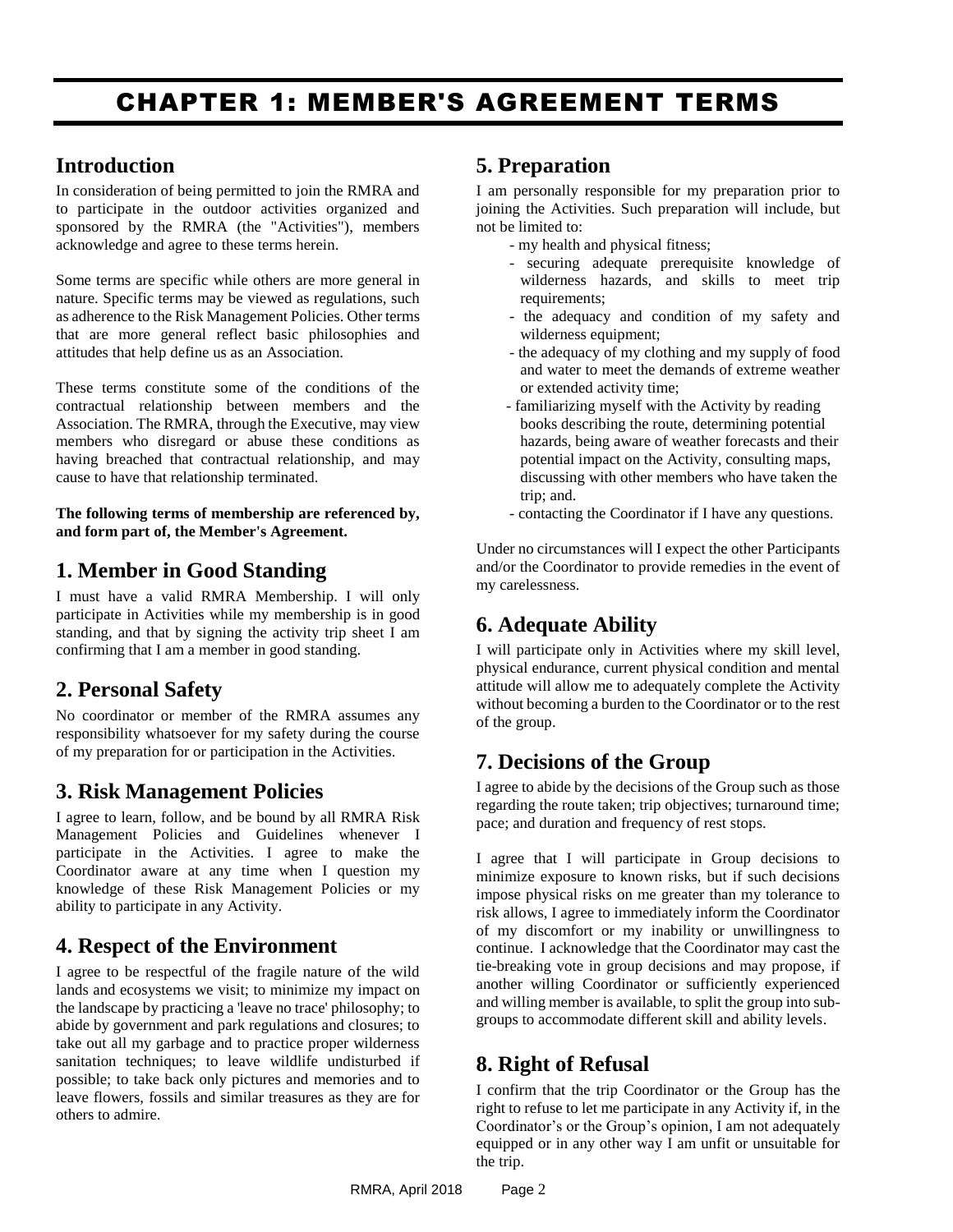# <span id="page-1-0"></span>CHAPTER 1: MEMBER'S AGREEMENT TERMS

### **Introduction**

In consideration of being permitted to join the RMRA and to participate in the outdoor activities organized and sponsored by the RMRA (the "Activities"), members acknowledge and agree to these terms herein.

Some terms are specific while others are more general in nature. Specific terms may be viewed as regulations, such as adherence to the Risk Management Policies. Other terms that are more general reflect basic philosophies and attitudes that help define us as an Association.

These terms constitute some of the conditions of the contractual relationship between members and the Association. The RMRA, through the Executive, may view members who disregard or abuse these conditions as having breached that contractual relationship, and may cause to have that relationship terminated.

**The following terms of membership are referenced by, and form part of, the Member's Agreement.** 

# **1. Member in Good Standing**

I must have a valid RMRA Membership. I will only participate in Activities while my membership is in good standing, and that by signing the activity trip sheet I am confirming that I am a member in good standing.

# **2. Personal Safety**

No coordinator or member of the RMRA assumes any responsibility whatsoever for my safety during the course of my preparation for or participation in the Activities.

### **3. Risk Management Policies**

I agree to learn, follow, and be bound by all RMRA Risk Management Policies and Guidelines whenever I participate in the Activities. I agree to make the Coordinator aware at any time when I question my knowledge of these Risk Management Policies or my ability to participate in any Activity.

# **4. Respect of the Environment**

I agree to be respectful of the fragile nature of the wild lands and ecosystems we visit; to minimize my impact on the landscape by practicing a 'leave no trace' philosophy; to abide by government and park regulations and closures; to take out all my garbage and to practice proper wilderness sanitation techniques; to leave wildlife undisturbed if possible; to take back only pictures and memories and to leave flowers, fossils and similar treasures as they are for others to admire.

# **5. Preparation**

I am personally responsible for my preparation prior to joining the Activities. Such preparation will include, but not be limited to:

- my health and physical fitness;
- securing adequate prerequisite knowledge of wilderness hazards, and skills to meet trip requirements;
- the adequacy and condition of my safety and wilderness equipment;
- the adequacy of my clothing and my supply of food and water to meet the demands of extreme weather or extended activity time;
- familiarizing myself with the Activity by reading books describing the route, determining potential hazards, being aware of weather forecasts and their potential impact on the Activity, consulting maps, discussing with other members who have taken the trip; and.
- contacting the Coordinator if I have any questions.

Under no circumstances will I expect the other Participants and/or the Coordinator to provide remedies in the event of my carelessness.

# **6. Adequate Ability**

I will participate only in Activities where my skill level, physical endurance, current physical condition and mental attitude will allow me to adequately complete the Activity without becoming a burden to the Coordinator or to the rest of the group.

### **7. Decisions of the Group**

I agree to abide by the decisions of the Group such as those regarding the route taken; trip objectives; turnaround time; pace; and duration and frequency of rest stops.

I agree that I will participate in Group decisions to minimize exposure to known risks, but if such decisions impose physical risks on me greater than my tolerance to risk allows, I agree to immediately inform the Coordinator of my discomfort or my inability or unwillingness to continue. I acknowledge that the Coordinator may cast the tie-breaking vote in group decisions and may propose, if another willing Coordinator or sufficiently experienced and willing member is available, to split the group into subgroups to accommodate different skill and ability levels.

### **8. Right of Refusal**

I confirm that the trip Coordinator or the Group has the right to refuse to let me participate in any Activity if, in the Coordinator's or the Group's opinion, I am not adequately equipped or in any other way I am unfit or unsuitable for the trip.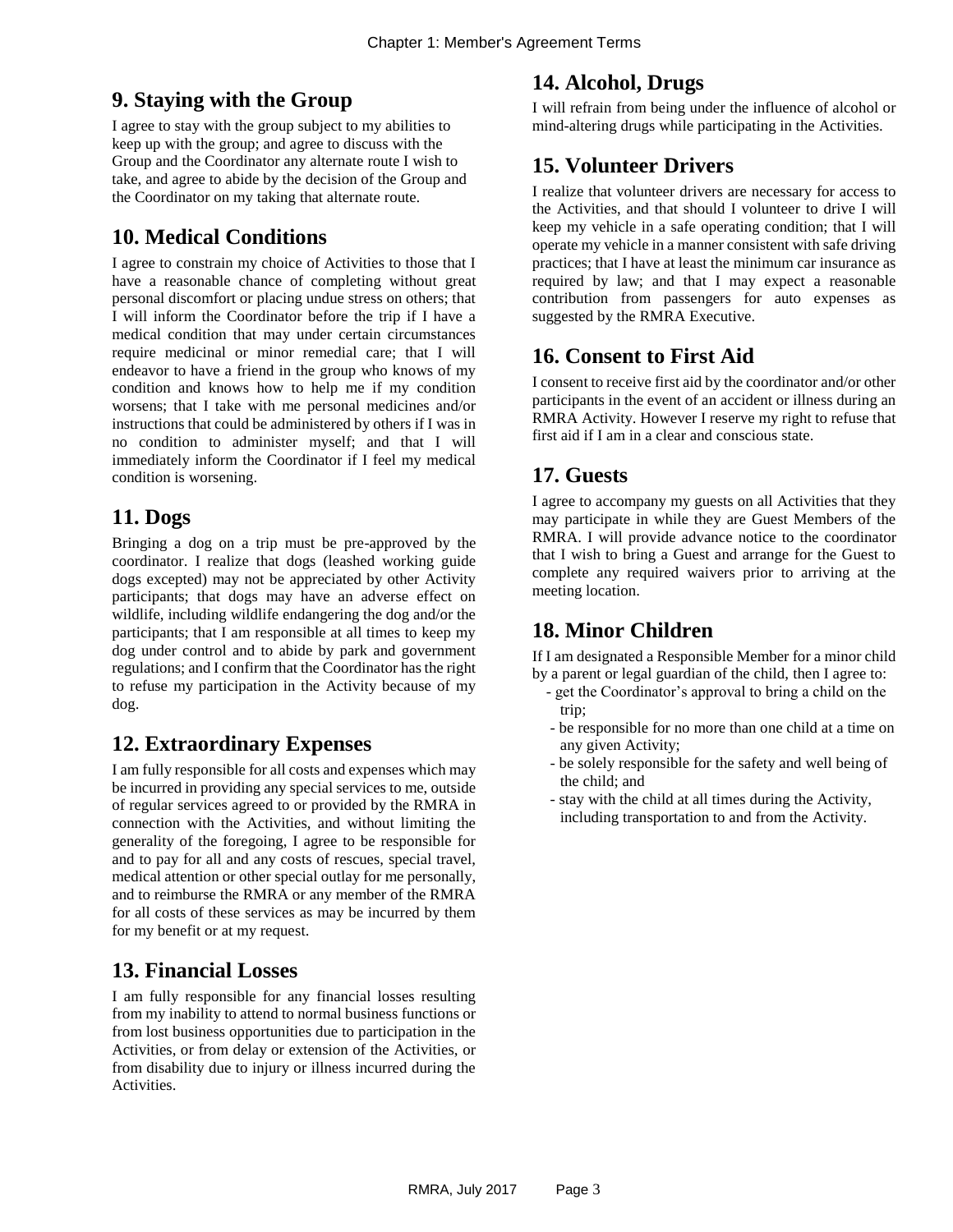# **9. Staying with the Group**

I agree to stay with the group subject to my abilities to keep up with the group; and agree to discuss with the Group and the Coordinator any alternate route I wish to take, and agree to abide by the decision of the Group and the Coordinator on my taking that alternate route.

# **10. Medical Conditions**

I agree to constrain my choice of Activities to those that I have a reasonable chance of completing without great personal discomfort or placing undue stress on others; that I will inform the Coordinator before the trip if I have a medical condition that may under certain circumstances require medicinal or minor remedial care; that I will endeavor to have a friend in the group who knows of my condition and knows how to help me if my condition worsens; that I take with me personal medicines and/or instructions that could be administered by others if I was in no condition to administer myself; and that I will immediately inform the Coordinator if I feel my medical condition is worsening.

### **11. Dogs**

Bringing a dog on a trip must be pre-approved by the coordinator. I realize that dogs (leashed working guide dogs excepted) may not be appreciated by other Activity participants; that dogs may have an adverse effect on wildlife, including wildlife endangering the dog and/or the participants; that I am responsible at all times to keep my dog under control and to abide by park and government regulations; and I confirm that the Coordinator has the right to refuse my participation in the Activity because of my dog.

# **12. Extraordinary Expenses**

I am fully responsible for all costs and expenses which may be incurred in providing any special services to me, outside of regular services agreed to or provided by the RMRA in connection with the Activities, and without limiting the generality of the foregoing, I agree to be responsible for and to pay for all and any costs of rescues, special travel, medical attention or other special outlay for me personally, and to reimburse the RMRA or any member of the RMRA for all costs of these services as may be incurred by them for my benefit or at my request.

### **13. Financial Losses**

I am fully responsible for any financial losses resulting from my inability to attend to normal business functions or from lost business opportunities due to participation in the Activities, or from delay or extension of the Activities, or from disability due to injury or illness incurred during the Activities.

# **14. Alcohol, Drugs**

I will refrain from being under the influence of alcohol or mind-altering drugs while participating in the Activities.

# **15. Volunteer Drivers**

I realize that volunteer drivers are necessary for access to the Activities, and that should I volunteer to drive I will keep my vehicle in a safe operating condition; that I will operate my vehicle in a manner consistent with safe driving practices; that I have at least the minimum car insurance as required by law; and that I may expect a reasonable contribution from passengers for auto expenses as suggested by the RMRA Executive.

# **16. Consent to First Aid**

I consent to receive first aid by the coordinator and/or other participants in the event of an accident or illness during an RMRA Activity. However I reserve my right to refuse that first aid if I am in a clear and conscious state.

# **17. Guests**

I agree to accompany my guests on all Activities that they may participate in while they are Guest Members of the RMRA. I will provide advance notice to the coordinator that I wish to bring a Guest and arrange for the Guest to complete any required waivers prior to arriving at the meeting location.

# **18. Minor Children**

If I am designated a Responsible Member for a minor child by a parent or legal guardian of the child, then I agree to:

- get the Coordinator's approval to bring a child on the trip;
- be responsible for no more than one child at a time on any given Activity;
- be solely responsible for the safety and well being of the child; and
- stay with the child at all times during the Activity, including transportation to and from the Activity.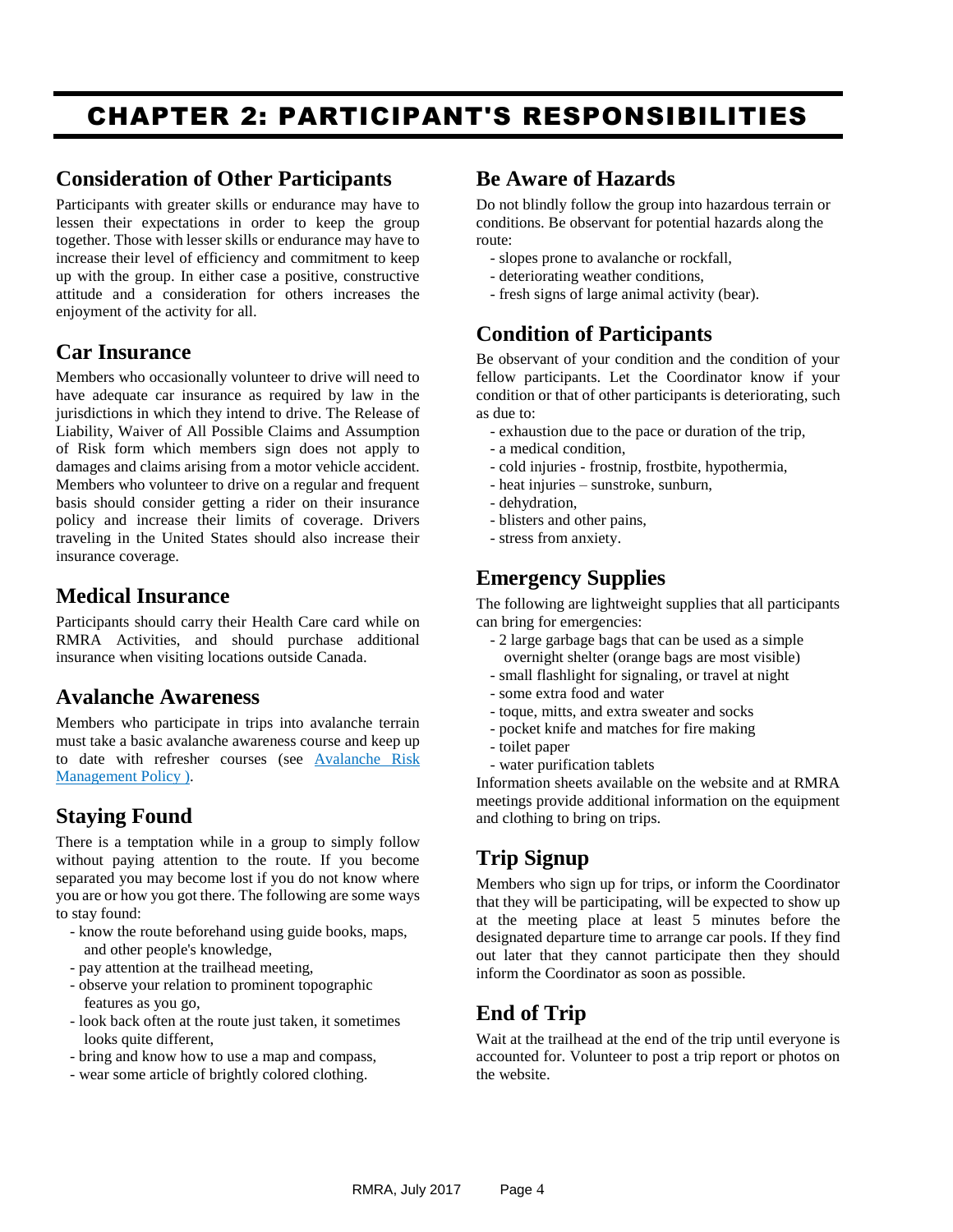# <span id="page-3-0"></span>CHAPTER 2: PARTICIPANT'S RESPONSIBILITIES

#### **Consideration of Other Participants**

Participants with greater skills or endurance may have to lessen their expectations in order to keep the group together. Those with lesser skills or endurance may have to increase their level of efficiency and commitment to keep up with the group. In either case a positive, constructive attitude and a consideration for others increases the enjoyment of the activity for all.

### **Car Insurance**

Members who occasionally volunteer to drive will need to have adequate car insurance as required by law in the jurisdictions in which they intend to drive. The Release of Liability, Waiver of All Possible Claims and Assumption of Risk form which members sign does not apply to damages and claims arising from a motor vehicle accident. Members who volunteer to drive on a regular and frequent basis should consider getting a rider on their insurance policy and increase their limits of coverage. Drivers traveling in the United States should also increase their insurance coverage.

#### **Medical Insurance**

Participants should carry their Health Care card while on RMRA Activities, and should purchase additional insurance when visiting locations outside Canada.

#### **Avalanche Awareness**

Members who participate in trips into avalanche terrain must take a basic avalanche awareness course and keep up to date with refresher courses (see [Avalanche Risk](#page-5-0)  [Management](#page-5-0) Policy ).

### **Staying Found**

There is a temptation while in a group to simply follow without paying attention to the route. If you become separated you may become lost if you do not know where you are or how you got there. The following are some ways to stay found:

- know the route beforehand using guide books, maps, and other people's knowledge,
- pay attention at the trailhead meeting,
- observe your relation to prominent topographic features as you go,
- look back often at the route just taken, it sometimes looks quite different.
- bring and know how to use a map and compass,
- wear some article of brightly colored clothing.

#### **Be Aware of Hazards**

Do not blindly follow the group into hazardous terrain or conditions. Be observant for potential hazards along the route:

- slopes prone to avalanche or rockfall,
- deteriorating weather conditions,
- fresh signs of large animal activity (bear).

# **Condition of Participants**

Be observant of your condition and the condition of your fellow participants. Let the Coordinator know if your condition or that of other participants is deteriorating, such as due to:

- exhaustion due to the pace or duration of the trip,
- a medical condition,
- cold injuries frostnip, frostbite, hypothermia,
- heat injuries sunstroke, sunburn,
- dehydration,
- blisters and other pains,
- stress from anxiety.

# **Emergency Supplies**

The following are lightweight supplies that all participants can bring for emergencies:

- 2 large garbage bags that can be used as a simple overnight shelter (orange bags are most visible)
- small flashlight for signaling, or travel at night
- some extra food and water
- toque, mitts, and extra sweater and socks
- pocket knife and matches for fire making
- toilet paper
- water purification tablets

Information sheets available on the website and at RMRA meetings provide additional information on the equipment and clothing to bring on trips.

# **Trip Signup**

Members who sign up for trips, or inform the Coordinator that they will be participating, will be expected to show up at the meeting place at least 5 minutes before the designated departure time to arrange car pools. If they find out later that they cannot participate then they should inform the Coordinator as soon as possible.

# **End of Trip**

Wait at the trailhead at the end of the trip until everyone is accounted for. Volunteer to post a trip report or photos on the website.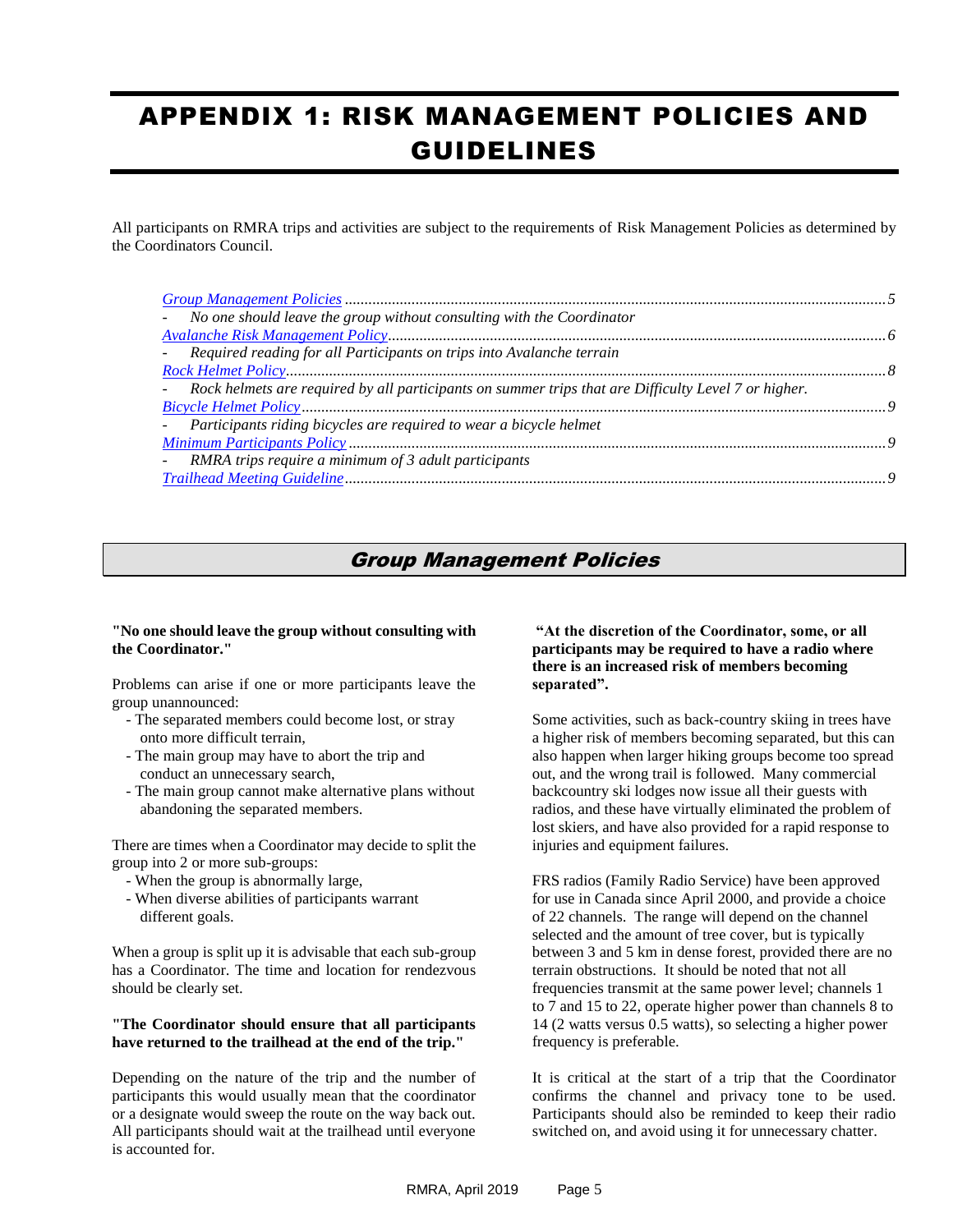# <span id="page-4-0"></span>APPENDIX 1: RISK MANAGEMENT POLICIES AND GUIDELINES

All participants on RMRA trips and activities are subject to the requirements of Risk Management Policies as determined by the Coordinators Council.

| - No one should leave the group without consulting with the Coordinator                                |  |
|--------------------------------------------------------------------------------------------------------|--|
|                                                                                                        |  |
| - Required reading for all Participants on trips into Avalanche terrain                                |  |
|                                                                                                        |  |
| - Rock helmets are required by all participants on summer trips that are Difficulty Level 7 or higher. |  |
|                                                                                                        |  |
| - Participants riding bicycles are required to wear a bicycle helmet                                   |  |
|                                                                                                        |  |
| - RMRA trips require a minimum of 3 adult participants                                                 |  |
|                                                                                                        |  |

#### Group Management Policies

#### <span id="page-4-1"></span>**"No one should leave the group without consulting with the Coordinator."**

Problems can arise if one or more participants leave the group unannounced:

- The separated members could become lost, or stray onto more difficult terrain,
- The main group may have to abort the trip and conduct an unnecessary search,
- The main group cannot make alternative plans without abandoning the separated members.

There are times when a Coordinator may decide to split the group into 2 or more sub-groups:

- When the group is abnormally large,
- When diverse abilities of participants warrant different goals.

When a group is split up it is advisable that each sub-group has a Coordinator. The time and location for rendezvous should be clearly set.

#### **"The Coordinator should ensure that all participants have returned to the trailhead at the end of the trip."**

Depending on the nature of the trip and the number of participants this would usually mean that the coordinator or a designate would sweep the route on the way back out. All participants should wait at the trailhead until everyone is accounted for.

#### **"At the discretion of the Coordinator, some, or all participants may be required to have a radio where there is an increased risk of members becoming separated".**

Some activities, such as back-country skiing in trees have a higher risk of members becoming separated, but this can also happen when larger hiking groups become too spread out, and the wrong trail is followed. Many commercial backcountry ski lodges now issue all their guests with radios, and these have virtually eliminated the problem of lost skiers, and have also provided for a rapid response to injuries and equipment failures.

FRS radios (Family Radio Service) have been approved for use in Canada since April 2000, and provide a choice of 22 channels. The range will depend on the channel selected and the amount of tree cover, but is typically between 3 and 5 km in dense forest, provided there are no terrain obstructions. It should be noted that not all frequencies transmit at the same power level; channels 1 to 7 and 15 to 22, operate higher power than channels 8 to 14 (2 watts versus 0.5 watts), so selecting a higher power frequency is preferable.

It is critical at the start of a trip that the Coordinator confirms the channel and privacy tone to be used. Participants should also be reminded to keep their radio switched on, and avoid using it for unnecessary chatter.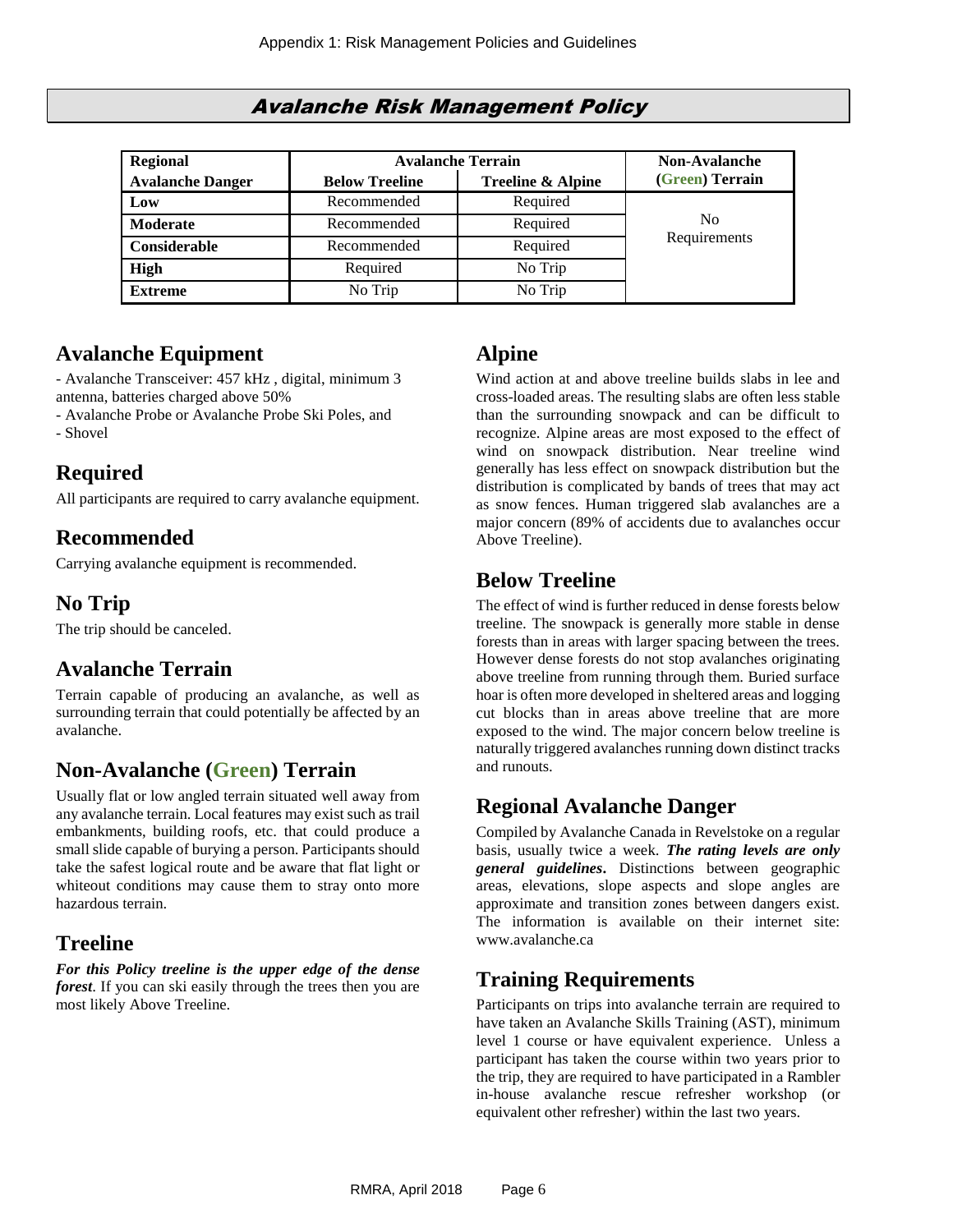#### Avalanche Risk Management Policy

<span id="page-5-0"></span>

| <b>Regional</b>         | <b>Avalanche Terrain</b> | <b>Non-Avalanche</b>         |                 |
|-------------------------|--------------------------|------------------------------|-----------------|
| <b>Avalanche Danger</b> | <b>Below Treeline</b>    | <b>Treeline &amp; Alpine</b> | (Green) Terrain |
| Low                     | Recommended              | Required                     |                 |
| <b>Moderate</b>         | Recommended              | Required                     | N <sub>0</sub>  |
| Considerable            | Recommended              | Required                     | Requirements    |
| <b>High</b>             | Required                 | No Trip                      |                 |
| <b>Extreme</b>          | No Trip                  | No Trip                      |                 |

# <span id="page-5-1"></span>**Avalanche Equipment**

- Avalanche Transceiver: 457 kHz , digital, minimum 3 antenna, batteries charged above 50%

- Avalanche Probe or Avalanche Probe Ski Poles, and

- Shovel

# **Required**

All participants are required to carry avalanche equipment.

# **Recommended**

Carrying avalanche equipment is recommended.

# **No Trip**

The trip should be canceled.

### **Avalanche Terrain**

Terrain capable of producing an avalanche, as well as surrounding terrain that could potentially be affected by an avalanche.

### **Non-Avalanche (Green) Terrain**

Usually flat or low angled terrain situated well away from any avalanche terrain. Local features may exist such as trail embankments, building roofs, etc. that could produce a small slide capable of burying a person. Participants should take the safest logical route and be aware that flat light or whiteout conditions may cause them to stray onto more hazardous terrain.

### **Treeline**

*For this Policy treeline is the upper edge of the dense forest*. If you can ski easily through the trees then you are most likely Above Treeline.

# **Alpine**

Wind action at and above treeline builds slabs in lee and cross-loaded areas. The resulting slabs are often less stable than the surrounding snowpack and can be difficult to recognize. Alpine areas are most exposed to the effect of wind on snowpack distribution. Near treeline wind generally has less effect on snowpack distribution but the distribution is complicated by bands of trees that may act as snow fences. Human triggered slab avalanches are a major concern (89% of accidents due to avalanches occur Above Treeline).

# **Below Treeline**

The effect of wind is further reduced in dense forests below treeline. The snowpack is generally more stable in dense forests than in areas with larger spacing between the trees. However dense forests do not stop avalanches originating above treeline from running through them. Buried surface hoar is often more developed in sheltered areas and logging cut blocks than in areas above treeline that are more exposed to the wind. The major concern below treeline is naturally triggered avalanches running down distinct tracks and runouts.

### **Regional Avalanche Danger**

Compiled by Avalanche Canada in Revelstoke on a regular basis, usually twice a week. *The rating levels are only general guidelines***.** Distinctions between geographic areas, elevations, slope aspects and slope angles are approximate and transition zones between dangers exist. The information is available on their internet site: www.avalanche.ca

### **Training Requirements**

Participants on trips into avalanche terrain are required to have taken an Avalanche Skills Training (AST), minimum level 1 course or have equivalent experience. Unless a participant has taken the course within two years prior to the trip, they are required to have participated in a Rambler in-house avalanche rescue refresher workshop (or equivalent other refresher) within the last two years.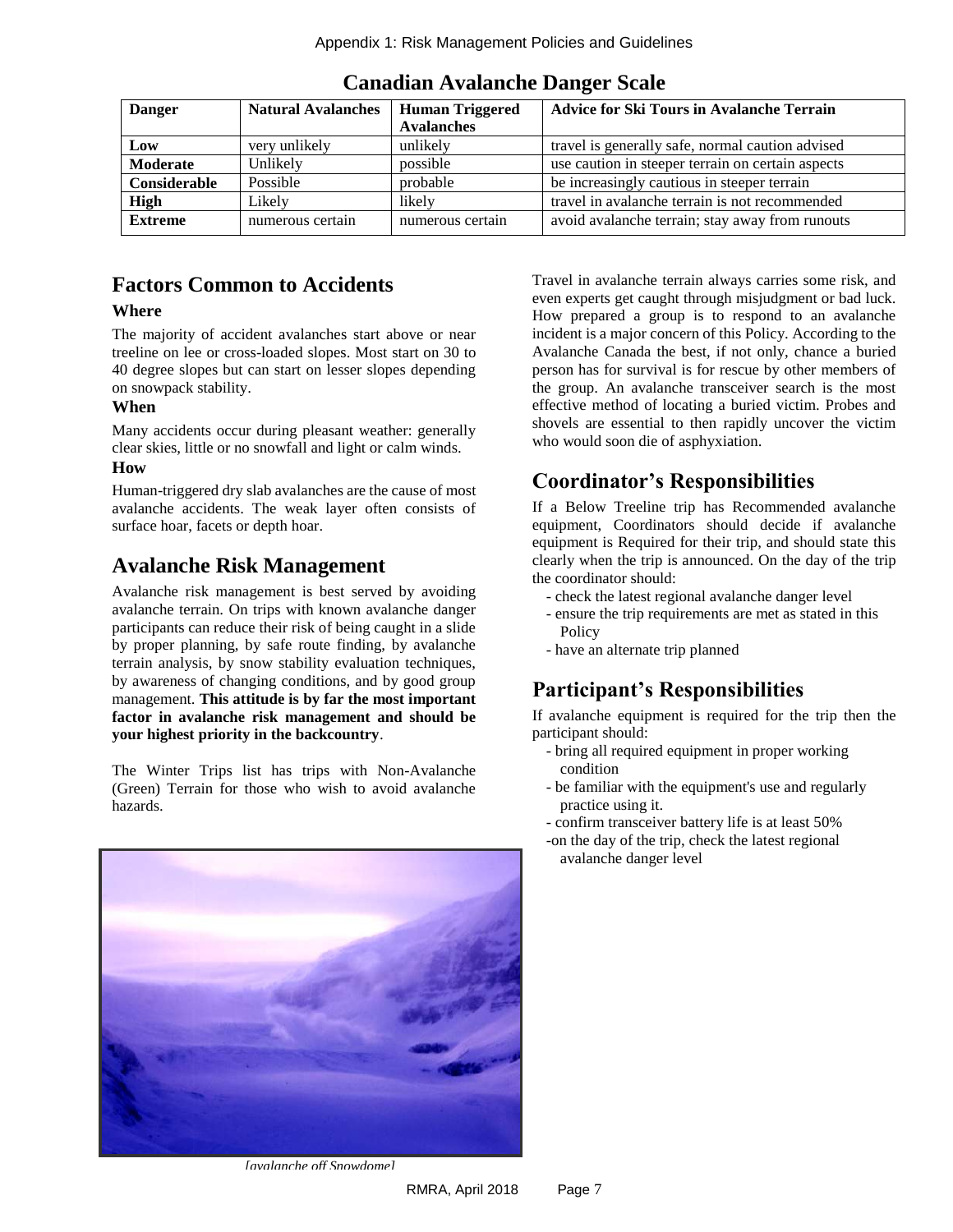| <b>Danger</b>  | <b>Natural Avalanches</b> | <b>Human Triggered</b> | <b>Advice for Ski Tours in Avalanche Terrain</b>  |
|----------------|---------------------------|------------------------|---------------------------------------------------|
|                |                           | <b>Avalanches</b>      |                                                   |
| Low            | very unlikely             | unlikely               | travel is generally safe, normal caution advised  |
| Moderate       | Unlikely                  | possible               | use caution in steeper terrain on certain aspects |
| Considerable   | Possible                  | probable               | be increasingly cautious in steeper terrain       |
| <b>High</b>    | Likely                    | likely                 | travel in avalanche terrain is not recommended    |
| <b>Extreme</b> | numerous certain          | numerous certain       | avoid avalanche terrain; stay away from runouts   |

**Canadian Avalanche Danger Scale**

### **Factors Common to Accidents**

#### **Where**

The majority of accident avalanches start above or near treeline on lee or cross-loaded slopes. Most start on 30 to 40 degree slopes but can start on lesser slopes depending on snowpack stability.

#### **When**

Many accidents occur during pleasant weather: generally clear skies, little or no snowfall and light or calm winds.

#### **How**

Human-triggered dry slab avalanches are the cause of most avalanche accidents. The weak layer often consists of surface hoar, facets or depth hoar.

### **Avalanche Risk Management**

Avalanche risk management is best served by avoiding avalanche terrain. On trips with known avalanche danger participants can reduce their risk of being caught in a slide by proper planning, by safe route finding, by avalanche terrain analysis, by snow stability evaluation techniques, by awareness of changing conditions, and by good group management. **This attitude is by far the most important factor in avalanche risk management and should be your highest priority in the backcountry**.

The Winter Trips list has trips with Non-Avalanche (Green) Terrain for those who wish to avoid avalanche hazards.



*[avalanche off Snowdome]* 

Travel in avalanche terrain always carries some risk, and even experts get caught through misjudgment or bad luck. How prepared a group is to respond to an avalanche incident is a major concern of this Policy. According to the Avalanche Canada the best, if not only, chance a buried person has for survival is for rescue by other members of the group. An avalanche transceiver search is the most effective method of locating a buried victim. Probes and shovels are essential to then rapidly uncover the victim who would soon die of asphyxiation.

# **Coordinator's Responsibilities**

If a Below Treeline trip has Recommended avalanche equipment, Coordinators should decide if avalanche equipment is Required for their trip, and should state this clearly when the trip is announced. On the day of the trip the coordinator should:

- check the latest regional avalanche danger level
- ensure the trip requirements are met as stated in this Policy
- have an alternate trip planned

# **Participant's Responsibilities**

If avalanche equipment is required for the trip then the participant should:

- bring all required equipment in proper working condition
- be familiar with the equipment's use and regularly practice using it.
- confirm transceiver battery life is at least 50%
- -on the day of the trip, check the latest regional avalanche danger level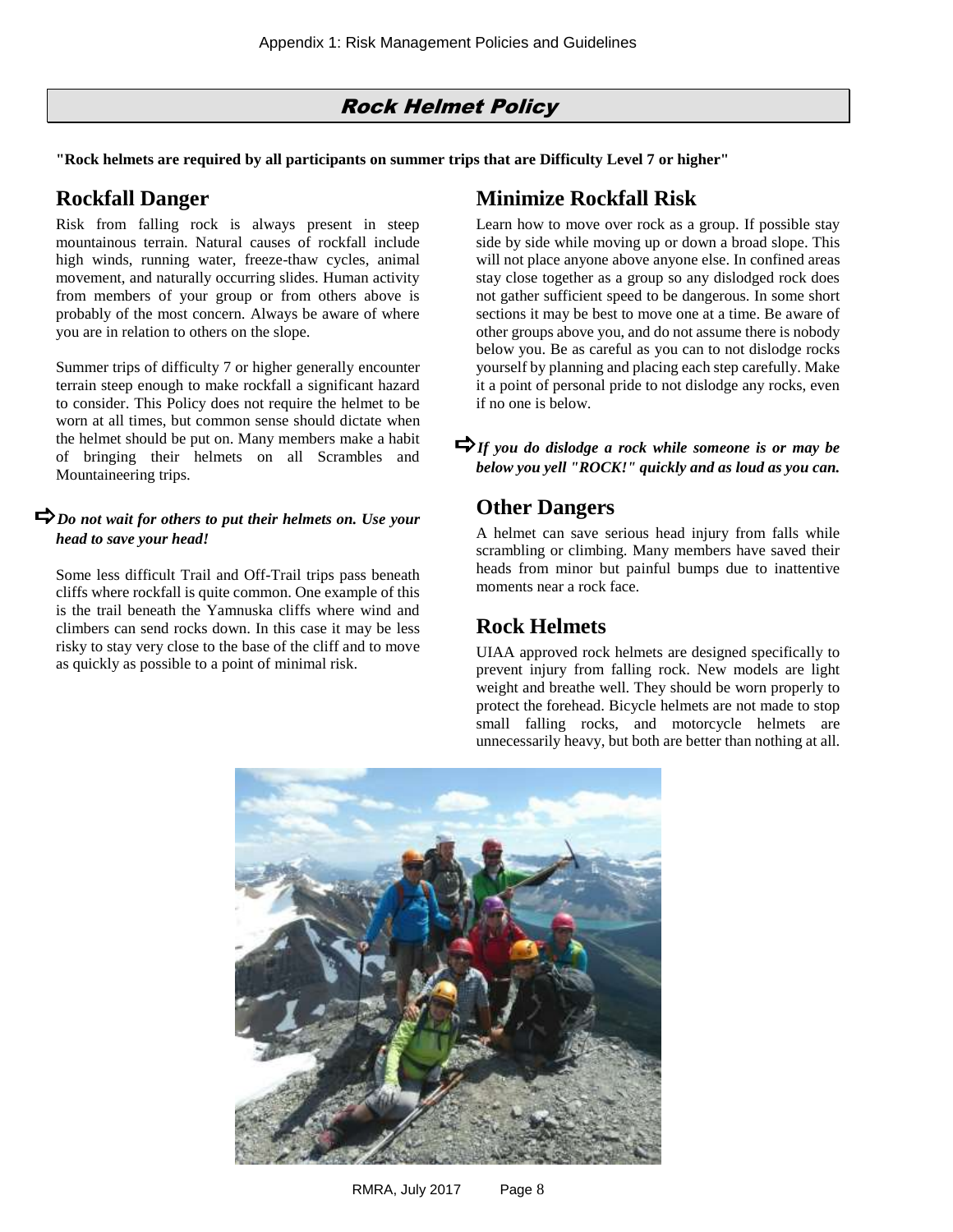### Rock Helmet Policy

<span id="page-7-0"></span>**"Rock helmets are required by all participants on summer trips that are Difficulty Level 7 or higher"**

### **Rockfall Danger**

Risk from falling rock is always present in steep mountainous terrain. Natural causes of rockfall include high winds, running water, freeze-thaw cycles, animal movement, and naturally occurring slides. Human activity from members of your group or from others above is probably of the most concern. Always be aware of where you are in relation to others on the slope.

Summer trips of difficulty 7 or higher generally encounter terrain steep enough to make rockfall a significant hazard to consider. This Policy does not require the helmet to be worn at all times, but common sense should dictate when the helmet should be put on. Many members make a habit of bringing their helmets on all Scrambles and Mountaineering trips.

#### *Do not wait for others to put their helmets on. Use your head to save your head!*

Some less difficult Trail and Off-Trail trips pass beneath cliffs where rockfall is quite common. One example of this is the trail beneath the Yamnuska cliffs where wind and climbers can send rocks down. In this case it may be less risky to stay very close to the base of the cliff and to move as quickly as possible to a point of minimal risk.

### **Minimize Rockfall Risk**

Learn how to move over rock as a group. If possible stay side by side while moving up or down a broad slope. This will not place anyone above anyone else. In confined areas stay close together as a group so any dislodged rock does not gather sufficient speed to be dangerous. In some short sections it may be best to move one at a time. Be aware of other groups above you, and do not assume there is nobody below you. Be as careful as you can to not dislodge rocks yourself by planning and placing each step carefully. Make it a point of personal pride to not dislodge any rocks, even if no one is below.

#### **Other Dangers**

A helmet can save serious head injury from falls while scrambling or climbing. Many members have saved their heads from minor but painful bumps due to inattentive moments near a rock face.

### **Rock Helmets**

UIAA approved rock helmets are designed specifically to prevent injury from falling rock. New models are light weight and breathe well. They should be worn properly to protect the forehead. Bicycle helmets are not made to stop small falling rocks, and motorcycle helmets are unnecessarily heavy, but both are better than nothing at all.



*If you do dislodge a rock while someone is or may be below you yell "ROCK!" quickly and as loud as you can.*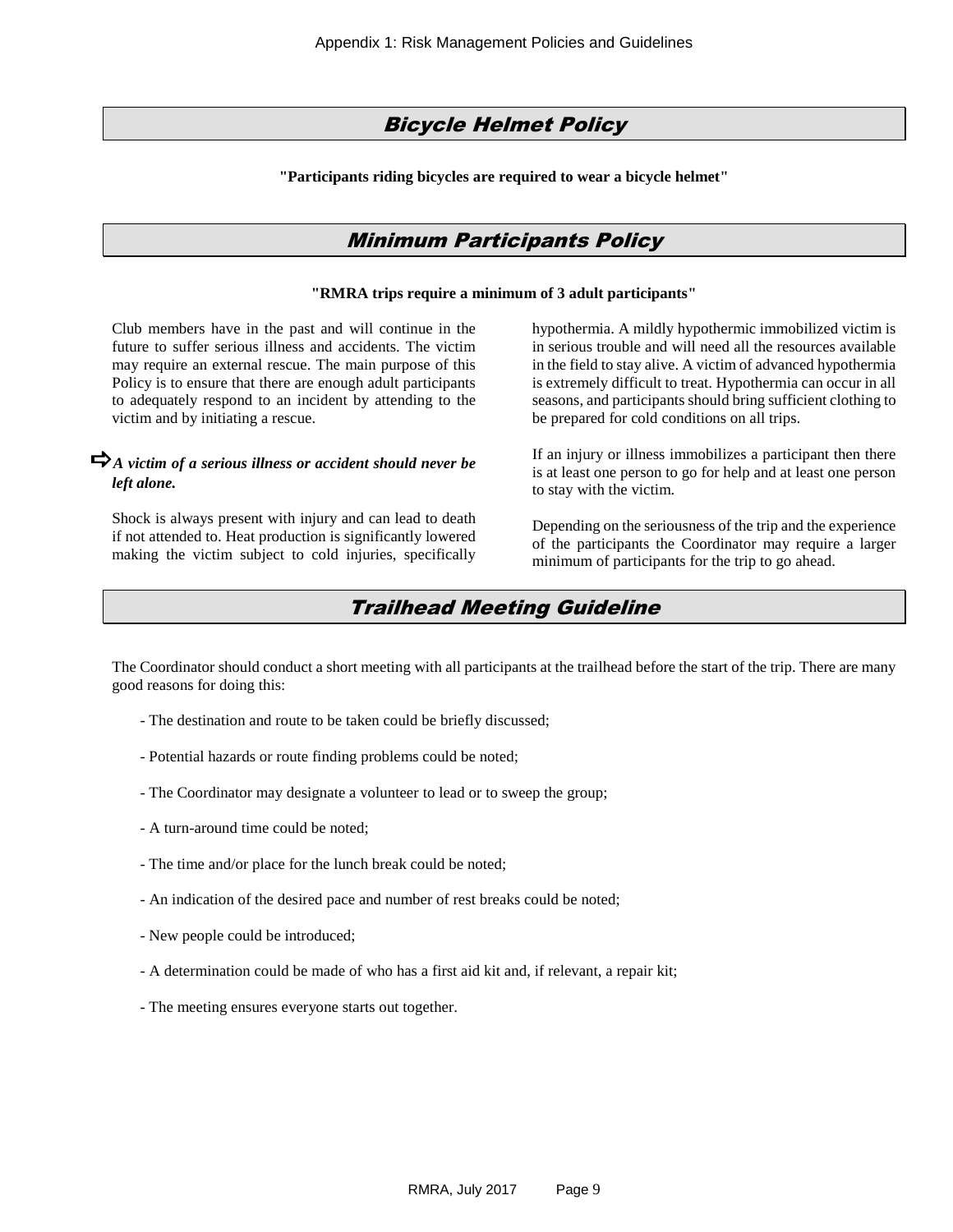#### Bicycle Helmet Policy

<span id="page-8-0"></span>**"Participants riding bicycles are required to wear a bicycle helmet"**

#### Minimum Participants Policy

#### **"RMRA trips require a minimum of 3 adult participants"**

<span id="page-8-1"></span>Club members have in the past and will continue in the future to suffer serious illness and accidents. The victim may require an external rescue. The main purpose of this Policy is to ensure that there are enough adult participants to adequately respond to an incident by attending to the victim and by initiating a rescue.

#### $\bigtriangledown_A$  victim of a serious illness or accident should never be *left alone.*

<span id="page-8-2"></span>Shock is always present with injury and can lead to death if not attended to. Heat production is significantly lowered making the victim subject to cold injuries, specifically hypothermia. A mildly hypothermic immobilized victim is in serious trouble and will need all the resources available in the field to stay alive. A victim of advanced hypothermia is extremely difficult to treat. Hypothermia can occur in all seasons, and participants should bring sufficient clothing to be prepared for cold conditions on all trips.

If an injury or illness immobilizes a participant then there is at least one person to go for help and at least one person to stay with the victim.

Depending on the seriousness of the trip and the experience of the participants the Coordinator may require a larger minimum of participants for the trip to go ahead.

#### Trailhead Meeting Guideline

The Coordinator should conduct a short meeting with all participants at the trailhead before the start of the trip. There are many good reasons for doing this:

- The destination and route to be taken could be briefly discussed;
- Potential hazards or route finding problems could be noted;
- The Coordinator may designate a volunteer to lead or to sweep the group;
- A turn-around time could be noted;
- The time and/or place for the lunch break could be noted;
- An indication of the desired pace and number of rest breaks could be noted;
- New people could be introduced;
- A determination could be made of who has a first aid kit and, if relevant, a repair kit;
- The meeting ensures everyone starts out together.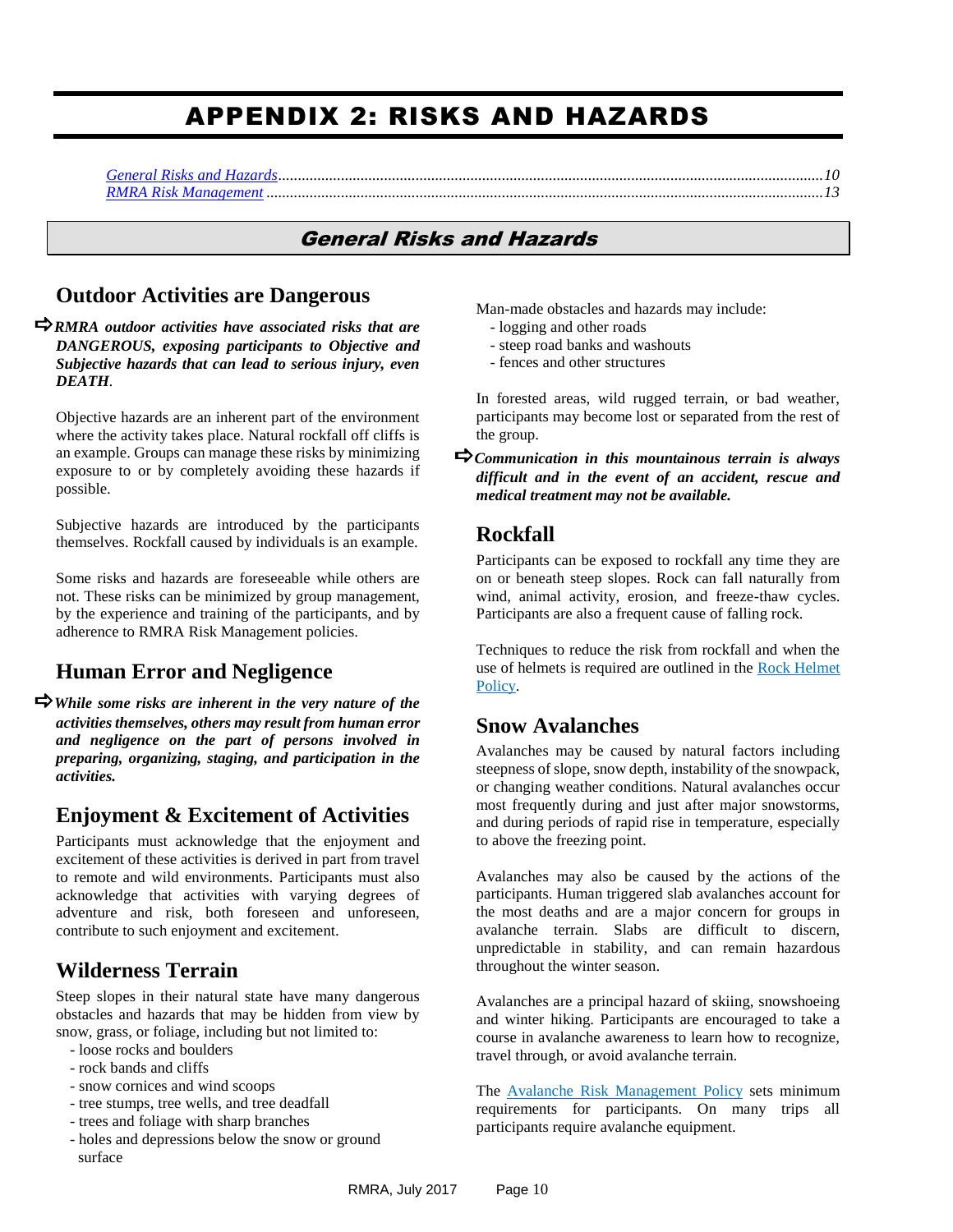# APPENDIX 2: RISKS AND HAZARDS

<span id="page-9-1"></span><span id="page-9-0"></span>

#### General Risks and Hazards

#### **Outdoor Activities are Dangerous**

*RMRA outdoor activities have associated risks that are DANGEROUS, exposing participants to Objective and Subjective hazards that can lead to serious injury, even DEATH.* 

Objective hazards are an inherent part of the environment where the activity takes place. Natural rockfall off cliffs is an example. Groups can manage these risks by minimizing exposure to or by completely avoiding these hazards if possible.

Subjective hazards are introduced by the participants themselves. Rockfall caused by individuals is an example.

Some risks and hazards are foreseeable while others are not. These risks can be minimized by group management, by the experience and training of the participants, and by adherence to RMRA Risk Management policies.

#### **Human Error and Negligence**

*While some risks are inherent in the very nature of the activities themselves, others may result from human error and negligence on the part of persons involved in preparing, organizing, staging, and participation in the activities.*

#### **Enjoyment & Excitement of Activities**

Participants must acknowledge that the enjoyment and excitement of these activities is derived in part from travel to remote and wild environments. Participants must also acknowledge that activities with varying degrees of adventure and risk, both foreseen and unforeseen, contribute to such enjoyment and excitement.

#### **Wilderness Terrain**

Steep slopes in their natural state have many dangerous obstacles and hazards that may be hidden from view by snow, grass, or foliage, including but not limited to:

- loose rocks and boulders
- rock bands and cliffs
- snow cornices and wind scoops
- tree stumps, tree wells, and tree deadfall
- trees and foliage with sharp branches
- holes and depressions below the snow or ground surface

Man-made obstacles and hazards may include:

- logging and other roads
- steep road banks and washouts
- fences and other structures

In forested areas, wild rugged terrain, or bad weather, participants may become lost or separated from the rest of the group.

*Communication in this mountainous terrain is always difficult and in the event of an accident, rescue and medical treatment may not be available.*

#### **Rockfall**

Participants can be exposed to rockfall any time they are on or beneath steep slopes. Rock can fall naturally from wind, animal activity, erosion, and freeze-thaw cycles. Participants are also a frequent cause of falling rock.

Techniques to reduce the risk from rockfall and when the use of helmets is required are outlined in the Rock Helmet [Policy.](#page-7-0)

#### **Snow Avalanches**

Avalanches may be caused by natural factors including steepness of slope, snow depth, instability of the snowpack, or changing weather conditions. Natural avalanches occur most frequently during and just after major snowstorms, and during periods of rapid rise in temperature, especially to above the freezing point.

Avalanches may also be caused by the actions of the participants. Human triggered slab avalanches account for the most deaths and are a major concern for groups in avalanche terrain. Slabs are difficult to discern, unpredictable in stability, and can remain hazardous throughout the winter season.

Avalanches are a principal hazard of skiing, snowshoeing and winter hiking. Participants are encouraged to take a course in avalanche awareness to learn how to recognize, travel through, or avoid avalanche terrain.

The [Avalanche Risk Management](#page-5-0) Policy sets minimum requirements for participants. On many trips all participants require avalanche equipment.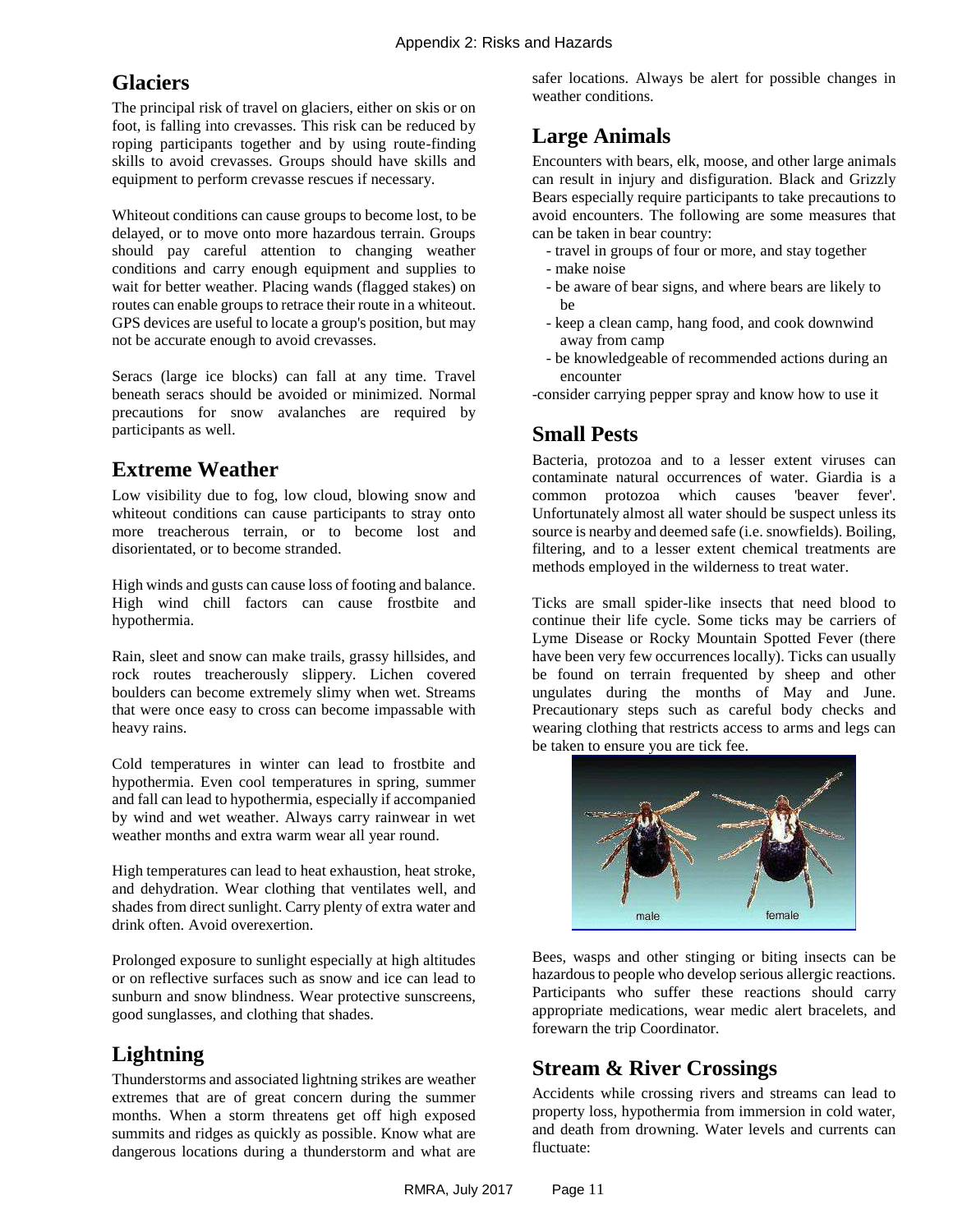# **Glaciers**

The principal risk of travel on glaciers, either on skis or on foot, is falling into crevasses. This risk can be reduced by roping participants together and by using route-finding skills to avoid crevasses. Groups should have skills and equipment to perform crevasse rescues if necessary.

Whiteout conditions can cause groups to become lost, to be delayed, or to move onto more hazardous terrain. Groups should pay careful attention to changing weather conditions and carry enough equipment and supplies to wait for better weather. Placing wands (flagged stakes) on routes can enable groups to retrace their route in a whiteout. GPS devices are useful to locate a group's position, but may not be accurate enough to avoid crevasses.

Seracs (large ice blocks) can fall at any time. Travel beneath seracs should be avoided or minimized. Normal precautions for snow avalanches are required by participants as well.

### <span id="page-10-0"></span>**Extreme Weather**

Low visibility due to fog, low cloud, blowing snow and whiteout conditions can cause participants to stray onto more treacherous terrain, or to become lost and disorientated, or to become stranded.

High winds and gusts can cause loss of footing and balance. High wind chill factors can cause frostbite and hypothermia.

Rain, sleet and snow can make trails, grassy hillsides, and rock routes treacherously slippery. Lichen covered boulders can become extremely slimy when wet. Streams that were once easy to cross can become impassable with heavy rains.

Cold temperatures in winter can lead to frostbite and hypothermia. Even cool temperatures in spring, summer and fall can lead to hypothermia, especially if accompanied by wind and wet weather. Always carry rainwear in wet weather months and extra warm wear all year round.

High temperatures can lead to heat exhaustion, heat stroke, and dehydration. Wear clothing that ventilates well, and shades from direct sunlight. Carry plenty of extra water and drink often. Avoid overexertion.

Prolonged exposure to sunlight especially at high altitudes or on reflective surfaces such as snow and ice can lead to sunburn and snow blindness. Wear protective sunscreens, good sunglasses, and clothing that shades.

# <span id="page-10-1"></span>**Lightning**

Thunderstorms and associated lightning strikes are weather extremes that are of great concern during the summer months. When a storm threatens get off high exposed summits and ridges as quickly as possible. Know what are dangerous locations during a thunderstorm and what are safer locations. Always be alert for possible changes in weather conditions.

# <span id="page-10-2"></span>**Large Animals**

Encounters with bears, elk, moose, and other large animals can result in injury and disfiguration. Black and Grizzly Bears especially require participants to take precautions to avoid encounters. The following are some measures that can be taken in bear country:

- travel in groups of four or more, and stay together
- make noise
- be aware of bear signs, and where bears are likely to be
- keep a clean camp, hang food, and cook downwind away from camp
- be knowledgeable of recommended actions during an encounter

-consider carrying pepper spray and know how to use it

### <span id="page-10-3"></span>**Small Pests**

Bacteria, protozoa and to a lesser extent viruses can contaminate natural occurrences of water. Giardia is a common protozoa which causes 'beaver fever'. Unfortunately almost all water should be suspect unless its source is nearby and deemed safe (i.e. snowfields). Boiling, filtering, and to a lesser extent chemical treatments are methods employed in the wilderness to treat water.

Ticks are small spider-like insects that need blood to continue their life cycle. Some ticks may be carriers of Lyme Disease or Rocky Mountain Spotted Fever (there have been very few occurrences locally). Ticks can usually be found on terrain frequented by sheep and other ungulates during the months of May and June. Precautionary steps such as careful body checks and wearing clothing that restricts access to arms and legs can be taken to ensure you are tick fee.



Bees, wasps and other stinging or biting insects can be hazardous to people who develop serious allergic reactions. Participants who suffer these reactions should carry appropriate medications, wear medic alert bracelets, and forewarn the trip Coordinator.

# <span id="page-10-4"></span>**Stream & River Crossings**

Accidents while crossing rivers and streams can lead to property loss, hypothermia from immersion in cold water, and death from drowning. Water levels and currents can fluctuate: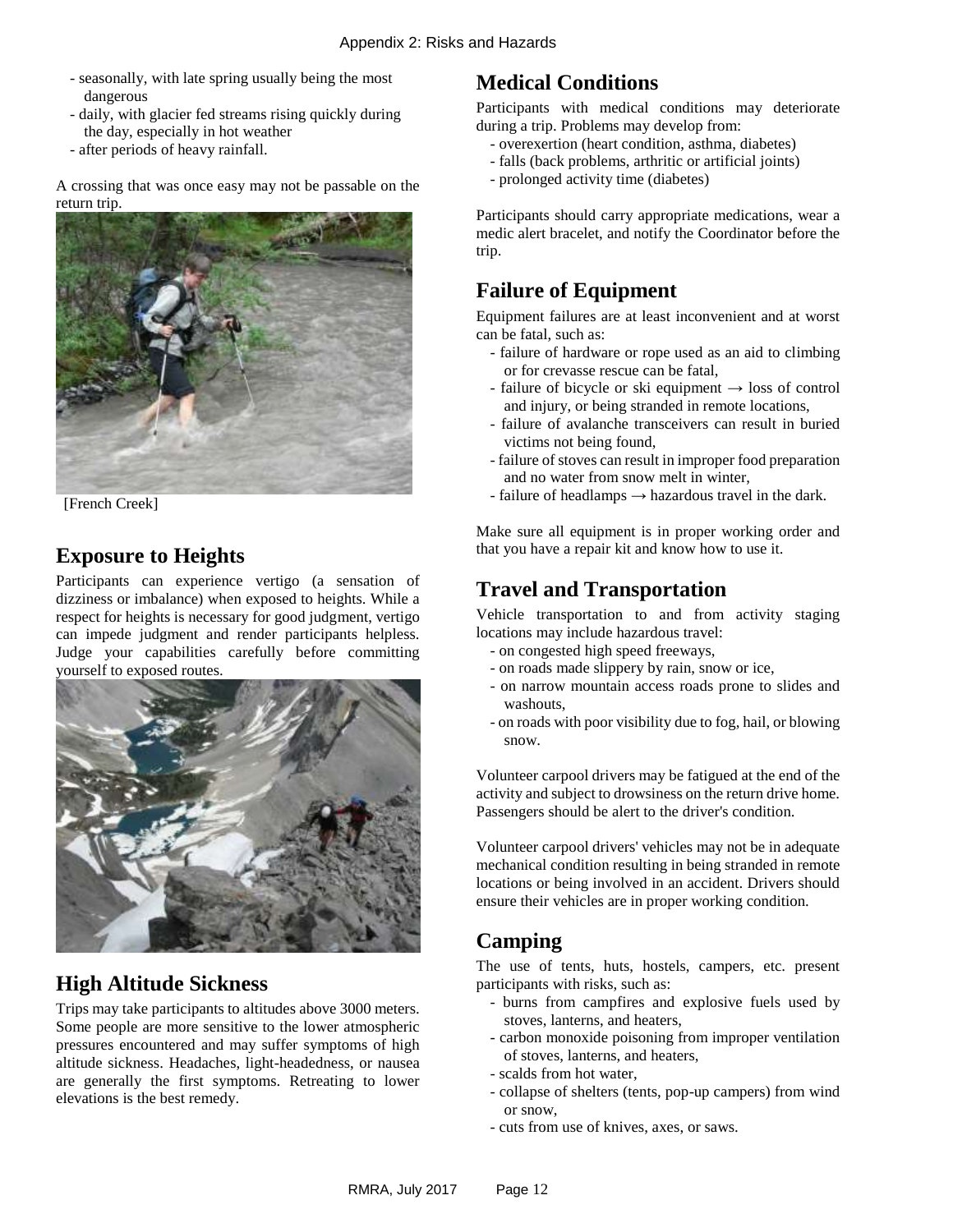- seasonally, with late spring usually being the most dangerous
- daily, with glacier fed streams rising quickly during the day, especially in hot weather
- after periods of heavy rainfall.

A crossing that was once easy may not be passable on the return trip.



[French Creek]

# **Exposure to Heights**

Participants can experience vertigo (a sensation of dizziness or imbalance) when exposed to heights. While a respect for heights is necessary for good judgment, vertigo can impede judgment and render participants helpless. Judge your capabilities carefully before committing yourself to exposed routes.



### **High Altitude Sickness**

Trips may take participants to altitudes above 3000 meters. Some people are more sensitive to the lower atmospheric pressures encountered and may suffer symptoms of high altitude sickness. Headaches, light-headedness, or nausea are generally the first symptoms. Retreating to lower elevations is the best remedy.

### **Medical Conditions**

Participants with medical conditions may deteriorate during a trip. Problems may develop from:

- overexertion (heart condition, asthma, diabetes)
- falls (back problems, arthritic or artificial joints)
- prolonged activity time (diabetes)

Participants should carry appropriate medications, wear a medic alert bracelet, and notify the Coordinator before the trip.

# **Failure of Equipment**

Equipment failures are at least inconvenient and at worst can be fatal, such as:

- failure of hardware or rope used as an aid to climbing or for crevasse rescue can be fatal,
- failure of bicycle or ski equipment  $\rightarrow$  loss of control and injury, or being stranded in remote locations,
- failure of avalanche transceivers can result in buried victims not being found,
- failure of stoves can result in improper food preparation and no water from snow melt in winter,
- failure of headlamps  $\rightarrow$  hazardous travel in the dark.

Make sure all equipment is in proper working order and that you have a repair kit and know how to use it.

# **Travel and Transportation**

Vehicle transportation to and from activity staging locations may include hazardous travel:

- on congested high speed freeways,
- on roads made slippery by rain, snow or ice,
- on narrow mountain access roads prone to slides and washouts,
- on roads with poor visibility due to fog, hail, or blowing snow.

Volunteer carpool drivers may be fatigued at the end of the activity and subject to drowsiness on the return drive home. Passengers should be alert to the driver's condition.

Volunteer carpool drivers' vehicles may not be in adequate mechanical condition resulting in being stranded in remote locations or being involved in an accident. Drivers should ensure their vehicles are in proper working condition.

# **Camping**

The use of tents, huts, hostels, campers, etc. present participants with risks, such as:

- burns from campfires and explosive fuels used by stoves, lanterns, and heaters,
- carbon monoxide poisoning from improper ventilation of stoves, lanterns, and heaters,
- scalds from hot water,
- collapse of shelters (tents, pop-up campers) from wind or snow,
- cuts from use of knives, axes, or saws.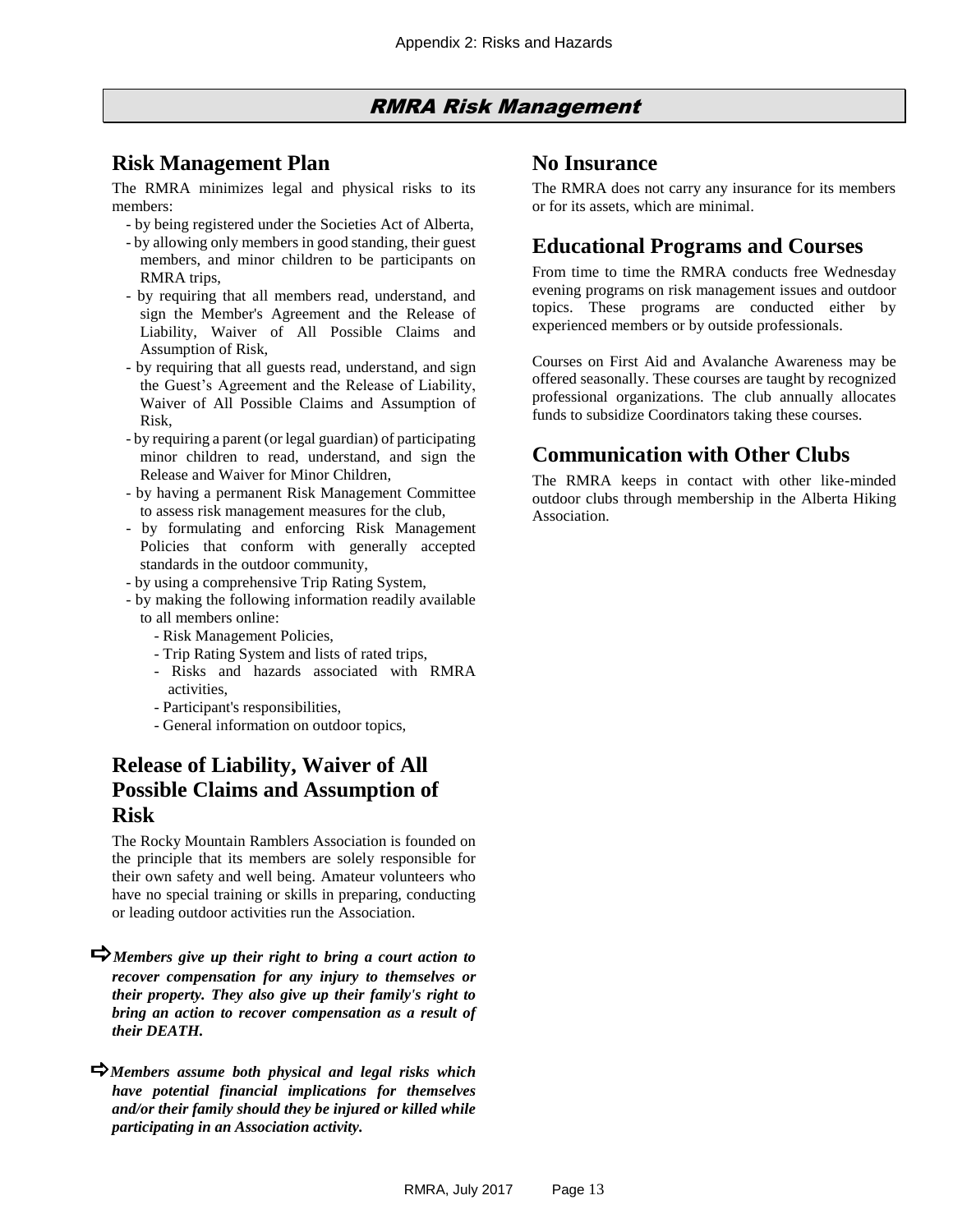#### RMRA Risk Management

#### <span id="page-12-0"></span>**Risk Management Plan**

The RMRA minimizes legal and physical risks to its members:

- by being registered under the Societies Act of Alberta,
- by allowing only members in good standing, their guest members, and minor children to be participants on RMRA trips,
- by requiring that all members read, understand, and sign the Member's Agreement and the Release of Liability, Waiver of All Possible Claims and Assumption of Risk,
- by requiring that all guests read, understand, and sign the Guest's Agreement and the Release of Liability, Waiver of All Possible Claims and Assumption of Risk,
- by requiring a parent (or legal guardian) of participating minor children to read, understand, and sign the Release and Waiver for Minor Children,
- by having a permanent Risk Management Committee to assess risk management measures for the club,
- by formulating and enforcing Risk Management Policies that conform with generally accepted standards in the outdoor community,
- by using a comprehensive Trip Rating System,
- by making the following information readily available to all members online:
	- Risk Management Policies,
	- Trip Rating System and lists of rated trips,
	- Risks and hazards associated with RMRA activities,
	- Participant's responsibilities,
	- General information on outdoor topics,

#### **Release of Liability, Waiver of All Possible Claims and Assumption of Risk**

The Rocky Mountain Ramblers Association is founded on the principle that its members are solely responsible for their own safety and well being. Amateur volunteers who have no special training or skills in preparing, conducting or leading outdoor activities run the Association.

- *Members give up their right to bring a court action to recover compensation for any injury to themselves or their property. They also give up their family's right to bring an action to recover compensation as a result of their DEATH.*
- *Members assume both physical and legal risks which have potential financial implications for themselves and/or their family should they be injured or killed while participating in an Association activity.*

#### **No Insurance**

The RMRA does not carry any insurance for its members or for its assets, which are minimal.

#### **Educational Programs and Courses**

From time to time the RMRA conducts free Wednesday evening programs on risk management issues and outdoor topics. These programs are conducted either by experienced members or by outside professionals.

Courses on First Aid and Avalanche Awareness may be offered seasonally. These courses are taught by recognized professional organizations. The club annually allocates funds to subsidize Coordinators taking these courses.

#### **Communication with Other Clubs**

The RMRA keeps in contact with other like-minded outdoor clubs through membership in the Alberta Hiking Association.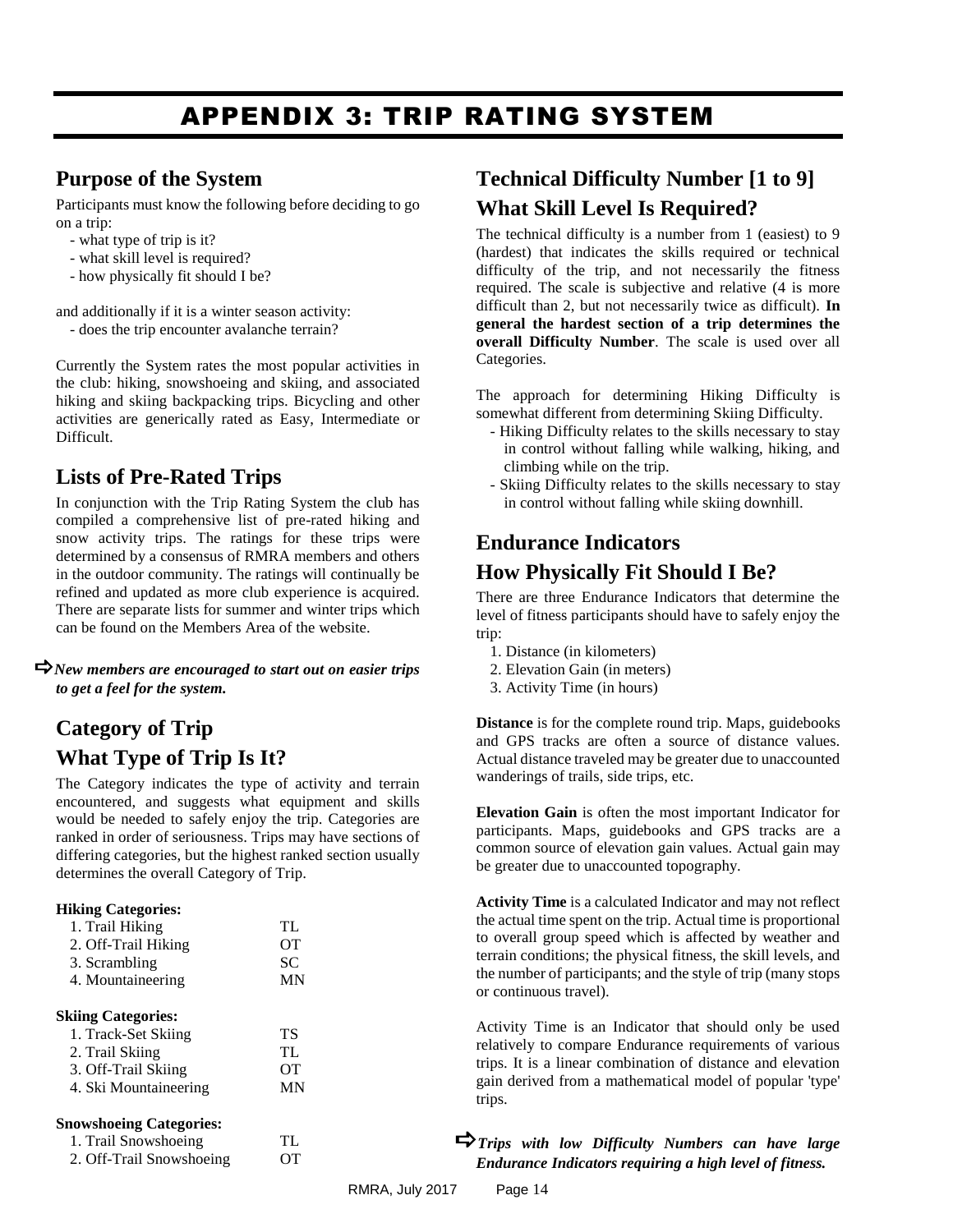# APPENDIX 3: TRIP RATING SYSTEM

#### <span id="page-13-0"></span>**Purpose of the System**

Participants must know the following before deciding to go on a trip:

- what type of trip is it?
- what skill level is required?
- how physically fit should I be?

and additionally if it is a winter season activity:

- does the trip encounter avalanche terrain?

Currently the System rates the most popular activities in the club: hiking, snowshoeing and skiing, and associated hiking and skiing backpacking trips. Bicycling and other activities are generically rated as Easy, Intermediate or Difficult.

# **Lists of Pre-Rated Trips**

In conjunction with the Trip Rating System the club has compiled a comprehensive list of pre-rated hiking and snow activity trips. The ratings for these trips were determined by a consensus of RMRA members and others in the outdoor community. The ratings will continually be refined and updated as more club experience is acquired. There are separate lists for summer and winter trips which can be found on the Members Area of the website.

*New members are encouraged to start out on easier trips to get a feel for the system.*

# **Category of Trip What Type of Trip Is It?**

The Category indicates the type of activity and terrain encountered, and suggests what equipment and skills would be needed to safely enjoy the trip. Categories are ranked in order of seriousness. Trips may have sections of differing categories, but the highest ranked section usually determines the overall Category of Trip.

#### **Hiking Categories:**

| 1. Trail Hiking     | TL. |
|---------------------|-----|
| 2. Off-Trail Hiking | OТ  |
| 3. Scrambling       | SC. |
| 4. Mountaineering   | MN  |
|                     |     |

#### **Skiing Categories:**

| 1. Track-Set Skiing   | ТS        |
|-----------------------|-----------|
| 2. Trail Skiing       | TL.       |
| 3. Off-Trail Skiing   | <b>OT</b> |
| 4. Ski Mountaineering | MN        |

#### **Snowshoeing Categories:**

1. Trail Snowshoeing TL 2. Off-Trail Snowshoeing OT

# **Technical Difficulty Number [1 to 9] What Skill Level Is Required?**

The technical difficulty is a number from 1 (easiest) to 9 (hardest) that indicates the skills required or technical difficulty of the trip, and not necessarily the fitness required. The scale is subjective and relative (4 is more difficult than 2, but not necessarily twice as difficult). **In general the hardest section of a trip determines the overall Difficulty Number**. The scale is used over all Categories.

The approach for determining Hiking Difficulty is somewhat different from determining Skiing Difficulty.

- Hiking Difficulty relates to the skills necessary to stay in control without falling while walking, hiking, and climbing while on the trip.
- Skiing Difficulty relates to the skills necessary to stay in control without falling while skiing downhill.

### **Endurance Indicators**

#### **How Physically Fit Should I Be?**

There are three Endurance Indicators that determine the level of fitness participants should have to safely enjoy the trip:

- 1. Distance (in kilometers)
- 2. Elevation Gain (in meters)
- 3. Activity Time (in hours)

**Distance** is for the complete round trip. Maps, guidebooks and GPS tracks are often a source of distance values. Actual distance traveled may be greater due to unaccounted wanderings of trails, side trips, etc.

**Elevation Gain** is often the most important Indicator for participants. Maps, guidebooks and GPS tracks are a common source of elevation gain values. Actual gain may be greater due to unaccounted topography.

**Activity Time** is a calculated Indicator and may not reflect the actual time spent on the trip. Actual time is proportional to overall group speed which is affected by weather and terrain conditions; the physical fitness, the skill levels, and the number of participants; and the style of trip (many stops or continuous travel).

Activity Time is an Indicator that should only be used relatively to compare Endurance requirements of various trips. It is a linear combination of distance and elevation gain derived from a mathematical model of popular 'type' trips.

#### *Trips with low Difficulty Numbers can have large Endurance Indicators requiring a high level of fitness.*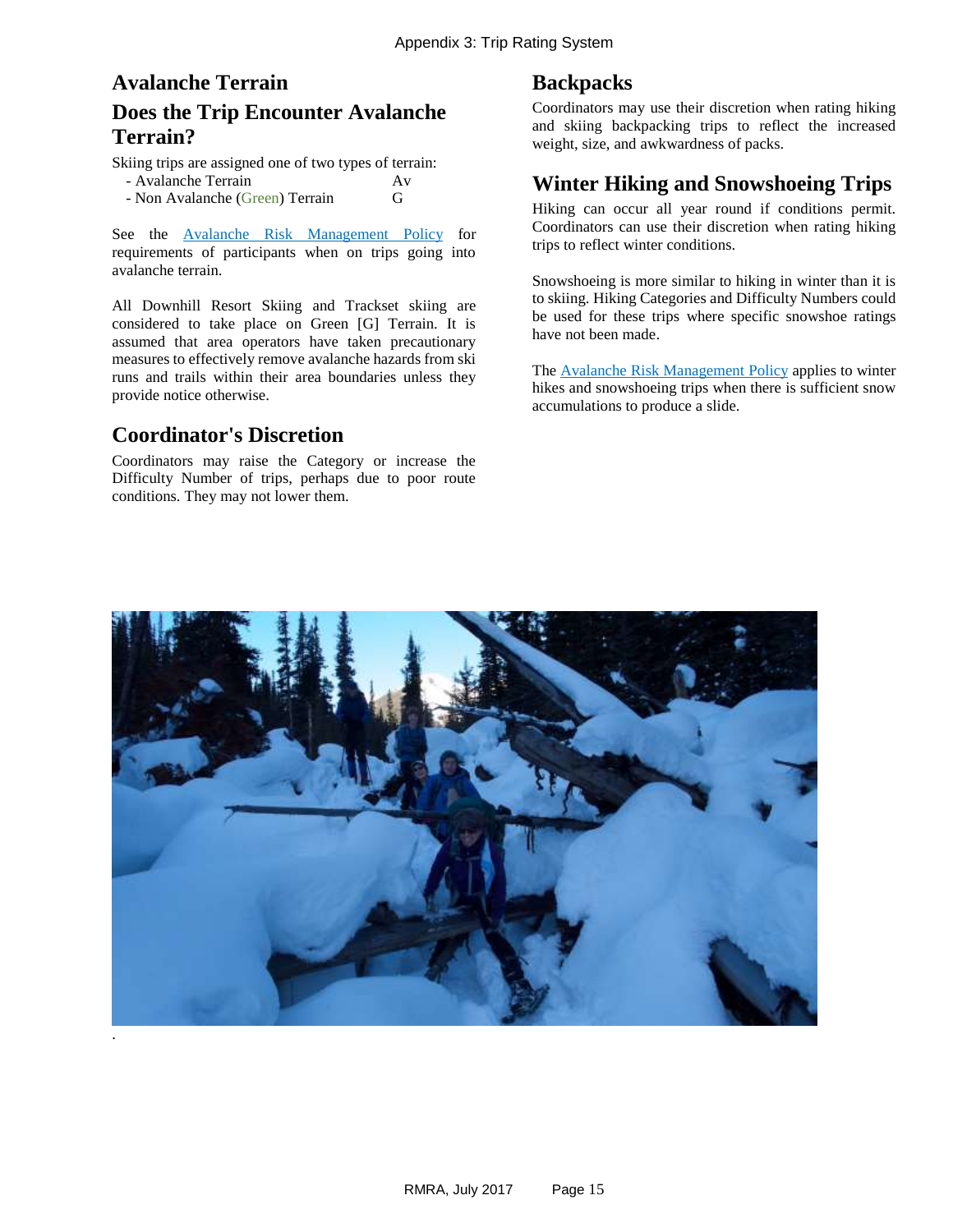# **Avalanche Terrain Does the Trip Encounter Avalanche Terrain?**

Skiing trips are assigned one of two types of terrain:

| - Avalanche Terrain |  |  |  | Αv |
|---------------------|--|--|--|----|
|                     |  |  |  |    |

- Non Avalanche (Green) Terrain G

See the [Avalanche Risk Management](#page-5-0) Policy for requirements of participants when on trips going into avalanche terrain.

All Downhill Resort Skiing and Trackset skiing are considered to take place on Green [G] Terrain. It is assumed that area operators have taken precautionary measures to effectively remove avalanche hazards from ski runs and trails within their area boundaries unless they provide notice otherwise.

#### **Coordinator's Discretion**

Coordinators may raise the Category or increase the Difficulty Number of trips, perhaps due to poor route conditions. They may not lower them.

#### **Backpacks**

Coordinators may use their discretion when rating hiking and skiing backpacking trips to reflect the increased weight, size, and awkwardness of packs.

#### **Winter Hiking and Snowshoeing Trips**

Hiking can occur all year round if conditions permit. Coordinators can use their discretion when rating hiking trips to reflect winter conditions.

Snowshoeing is more similar to hiking in winter than it is to skiing. Hiking Categories and Difficulty Numbers could be used for these trips where specific snowshoe ratings have not been made.

The **Avalanche Risk Management Policy** applies to winter hikes and snowshoeing trips when there is sufficient snow accumulations to produce a slide.

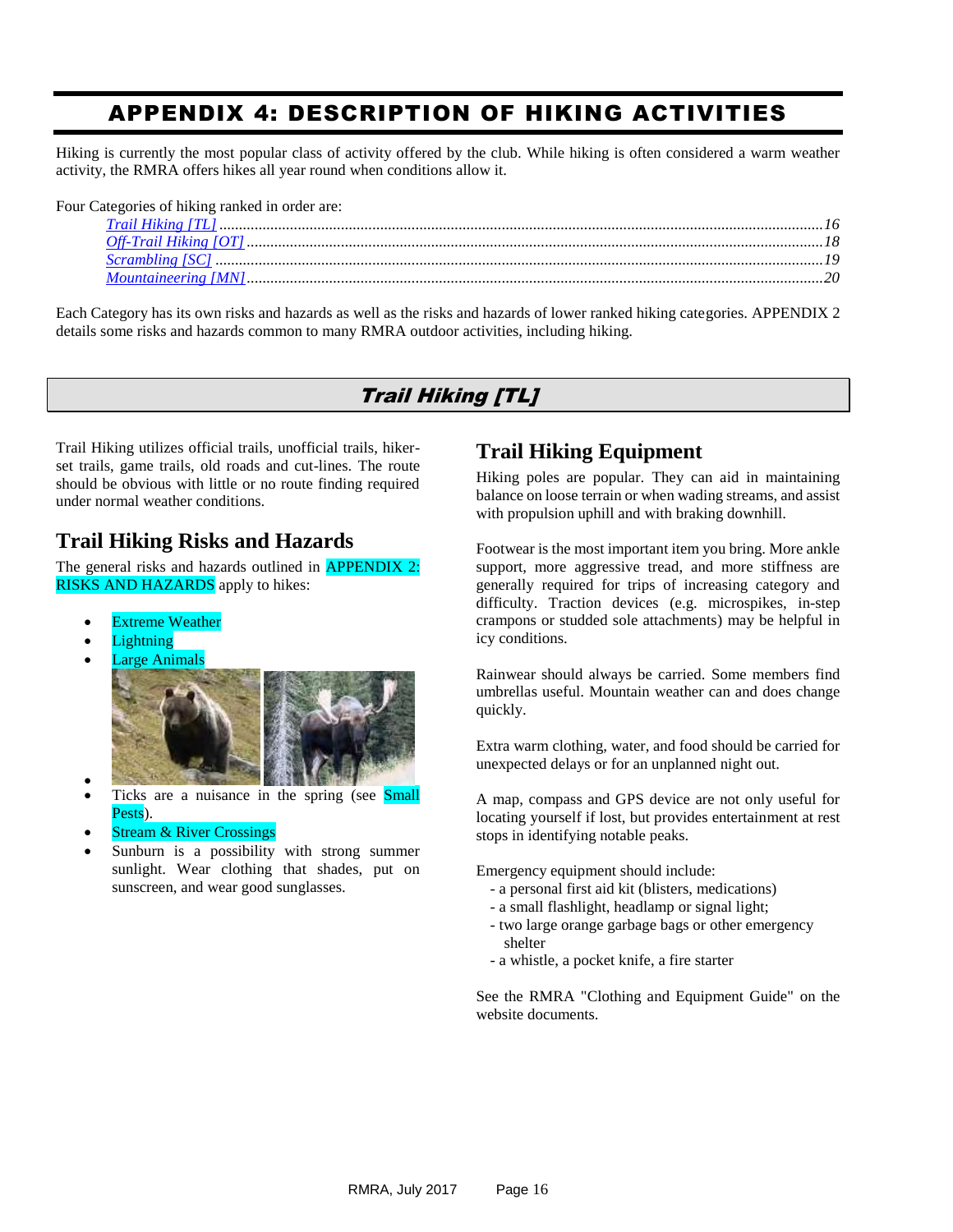# <span id="page-15-0"></span>APPENDIX 4: DESCRIPTION OF HIKING ACTIVITIES

Hiking is currently the most popular class of activity offered by the club. While hiking is often considered a warm weather activity, the RMRA offers hikes all year round when conditions allow it.

Four Categories of hiking ranked in order are:

<span id="page-15-1"></span>Each Category has its own risks and hazards as well as the risks and hazards of lower ranked hiking categories. APPENDIX 2 details some risks and hazards common to many RMRA outdoor activities, including hiking.

#### Trail Hiking [TL]

Trail Hiking utilizes official trails, unofficial trails, hikerset trails, game trails, old roads and cut-lines. The route should be obvious with little or no route finding required under normal weather conditions.

### **Trail Hiking Risks and Hazards**

The general risks and hazards outlined in **APPENDIX 2: [RISKS AND HAZARDS](#page-9-0)** apply to hikes:

- [Extreme Weather](#page-10-0)
- **[Lightning](#page-10-1)**
- [Large Animals](#page-10-2)



- $\bullet$  Ticks are a nuisance in the spring (see [Small](#page-10-3)  [Pests\)](#page-10-3).
- [Stream & River Crossings](#page-10-4)
- Sunburn is a possibility with strong summer sunlight. Wear clothing that shades, put on sunscreen, and wear good sunglasses.

### **Trail Hiking Equipment**

Hiking poles are popular. They can aid in maintaining balance on loose terrain or when wading streams, and assist with propulsion uphill and with braking downhill.

Footwear is the most important item you bring. More ankle support, more aggressive tread, and more stiffness are generally required for trips of increasing category and difficulty. Traction devices (e.g. microspikes, in-step crampons or studded sole attachments) may be helpful in icy conditions.

Rainwear should always be carried. Some members find umbrellas useful. Mountain weather can and does change quickly.

Extra warm clothing, water, and food should be carried for unexpected delays or for an unplanned night out.

A map, compass and GPS device are not only useful for locating yourself if lost, but provides entertainment at rest stops in identifying notable peaks.

Emergency equipment should include:

- a personal first aid kit (blisters, medications)
- a small flashlight, headlamp or signal light;
- two large orange garbage bags or other emergency shelter
- a whistle, a pocket knife, a fire starter

See the RMRA "Clothing and Equipment Guide" on the website documents.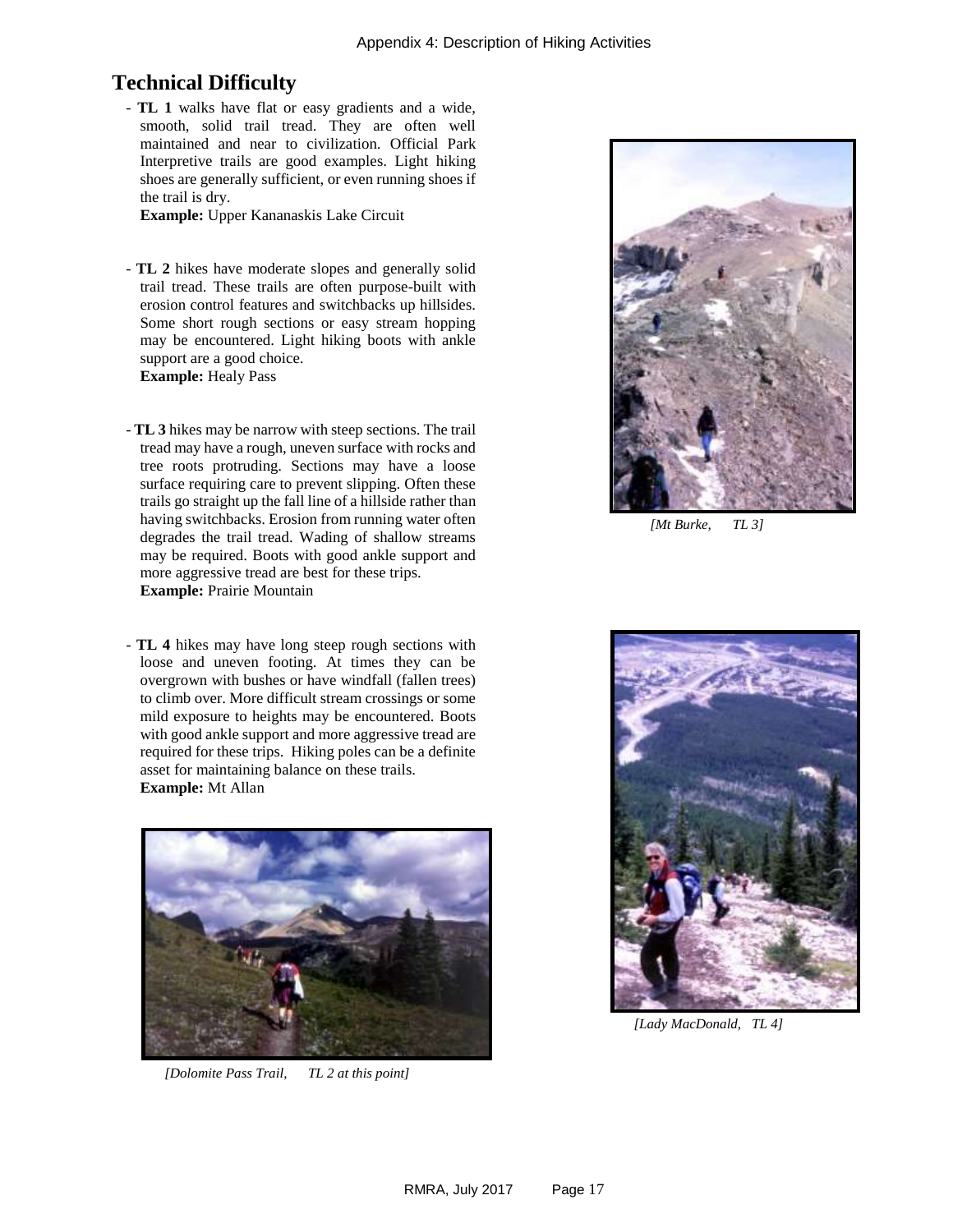#### **Technical Difficulty**

- **TL 1** walks have flat or easy gradients and a wide, smooth, solid trail tread. They are often well maintained and near to civilization. Official Park Interpretive trails are good examples. Light hiking shoes are generally sufficient, or even running shoes if the trail is dry.

**Example:** Upper Kananaskis Lake Circuit

- **TL 2** hikes have moderate slopes and generally solid trail tread. These trails are often purpose-built with erosion control features and switchbacks up hillsides. Some short rough sections or easy stream hopping may be encountered. Light hiking boots with ankle support are a good choice. **Example:** Healy Pass
- **TL 3** hikes may be narrow with steep sections. The trail tread may have a rough, uneven surface with rocks and tree roots protruding. Sections may have a loose surface requiring care to prevent slipping. Often these trails go straight up the fall line of a hillside rather than having switchbacks. Erosion from running water often degrades the trail tread. Wading of shallow streams may be required. Boots with good ankle support and more aggressive tread are best for these trips. **Example:** Prairie Mountain
- **TL 4** hikes may have long steep rough sections with loose and uneven footing. At times they can be overgrown with bushes or have windfall (fallen trees) to climb over. More difficult stream crossings or some mild exposure to heights may be encountered. Boots with good ankle support and more aggressive tread are required for these trips. Hiking poles can be a definite asset for maintaining balance on these trails. **Example:** Mt Allan



 *[Dolomite Pass Trail, TL 2 at this point]*



*[Mt Burke, TL 3]*



 *[Lady MacDonald, TL 4]*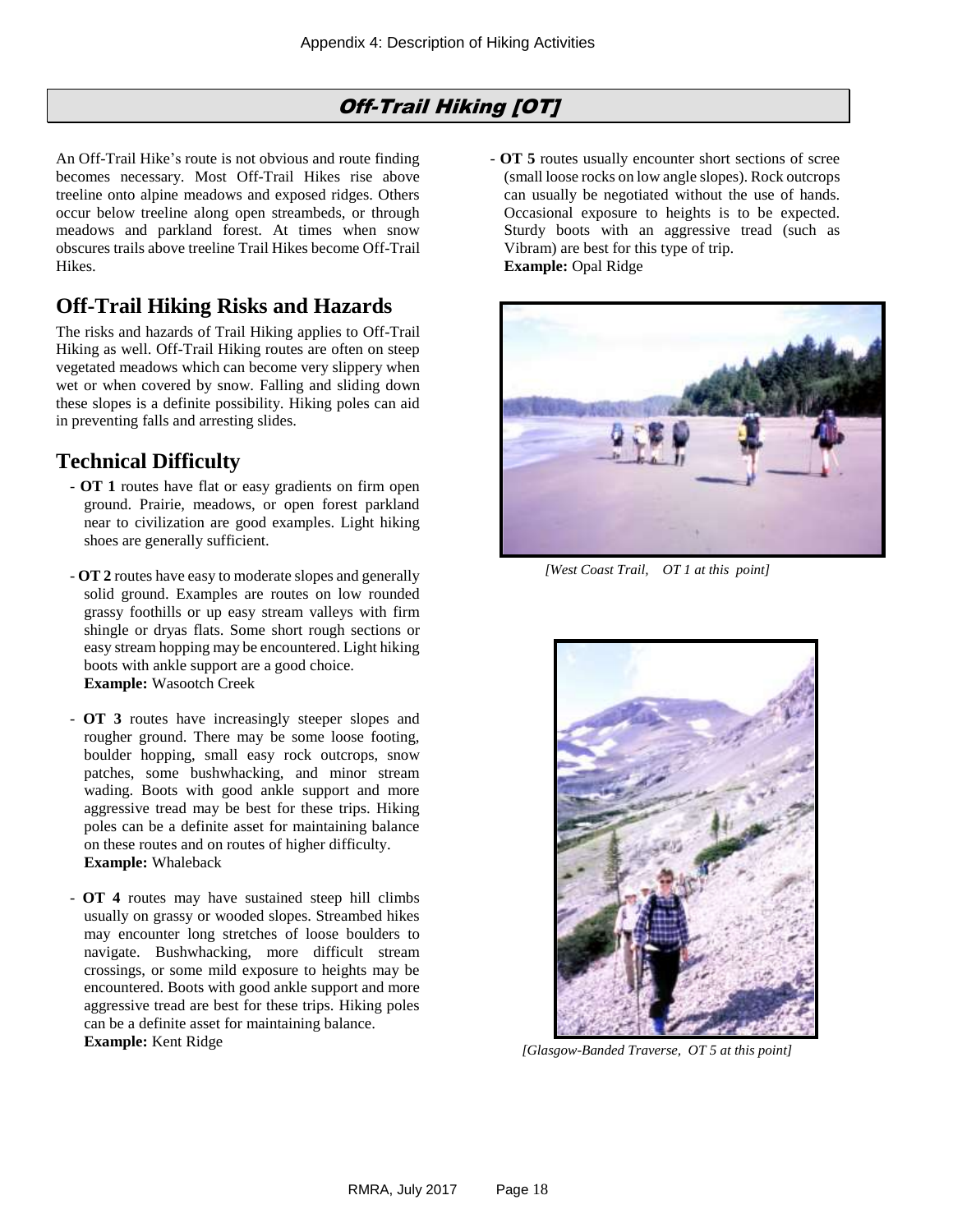# Off-Trail Hiking [OT]

<span id="page-17-0"></span>An Off-Trail Hike's route is not obvious and route finding becomes necessary. Most Off-Trail Hikes rise above treeline onto alpine meadows and exposed ridges. Others occur below treeline along open streambeds, or through meadows and parkland forest. At times when snow obscures trails above treeline Trail Hikes become Off-Trail Hikes.

# **Off-Trail Hiking Risks and Hazards**

The risks and hazards of Trail Hiking applies to Off-Trail Hiking as well. Off-Trail Hiking routes are often on steep vegetated meadows which can become very slippery when wet or when covered by snow. Falling and sliding down these slopes is a definite possibility. Hiking poles can aid in preventing falls and arresting slides.

# **Technical Difficulty**

- **OT 1** routes have flat or easy gradients on firm open ground. Prairie, meadows, or open forest parkland near to civilization are good examples. Light hiking shoes are generally sufficient.
- **OT 2** routes have easy to moderate slopes and generally solid ground. Examples are routes on low rounded grassy foothills or up easy stream valleys with firm shingle or dryas flats. Some short rough sections or easy stream hopping may be encountered. Light hiking boots with ankle support are a good choice. **Example:** Wasootch Creek
- **OT 3** routes have increasingly steeper slopes and rougher ground. There may be some loose footing, boulder hopping, small easy rock outcrops, snow patches, some bushwhacking, and minor stream wading. Boots with good ankle support and more aggressive tread may be best for these trips. Hiking poles can be a definite asset for maintaining balance on these routes and on routes of higher difficulty. **Example:** Whaleback
- **OT 4** routes may have sustained steep hill climbs usually on grassy or wooded slopes. Streambed hikes may encounter long stretches of loose boulders to navigate. Bushwhacking, more difficult stream crossings, or some mild exposure to heights may be encountered. Boots with good ankle support and more aggressive tread are best for these trips. Hiking poles can be a definite asset for maintaining balance. **Example:** Kent Ridge

- **OT 5** routes usually encounter short sections of scree (small loose rocks on low angle slopes). Rock outcrops can usually be negotiated without the use of hands. Occasional exposure to heights is to be expected. Sturdy boots with an aggressive tread (such as Vibram) are best for this type of trip. **Example:** Opal Ridge



*[West Coast Trail, OT 1 at this point]*



 *[Glasgow-Banded Traverse, OT 5 at this point]*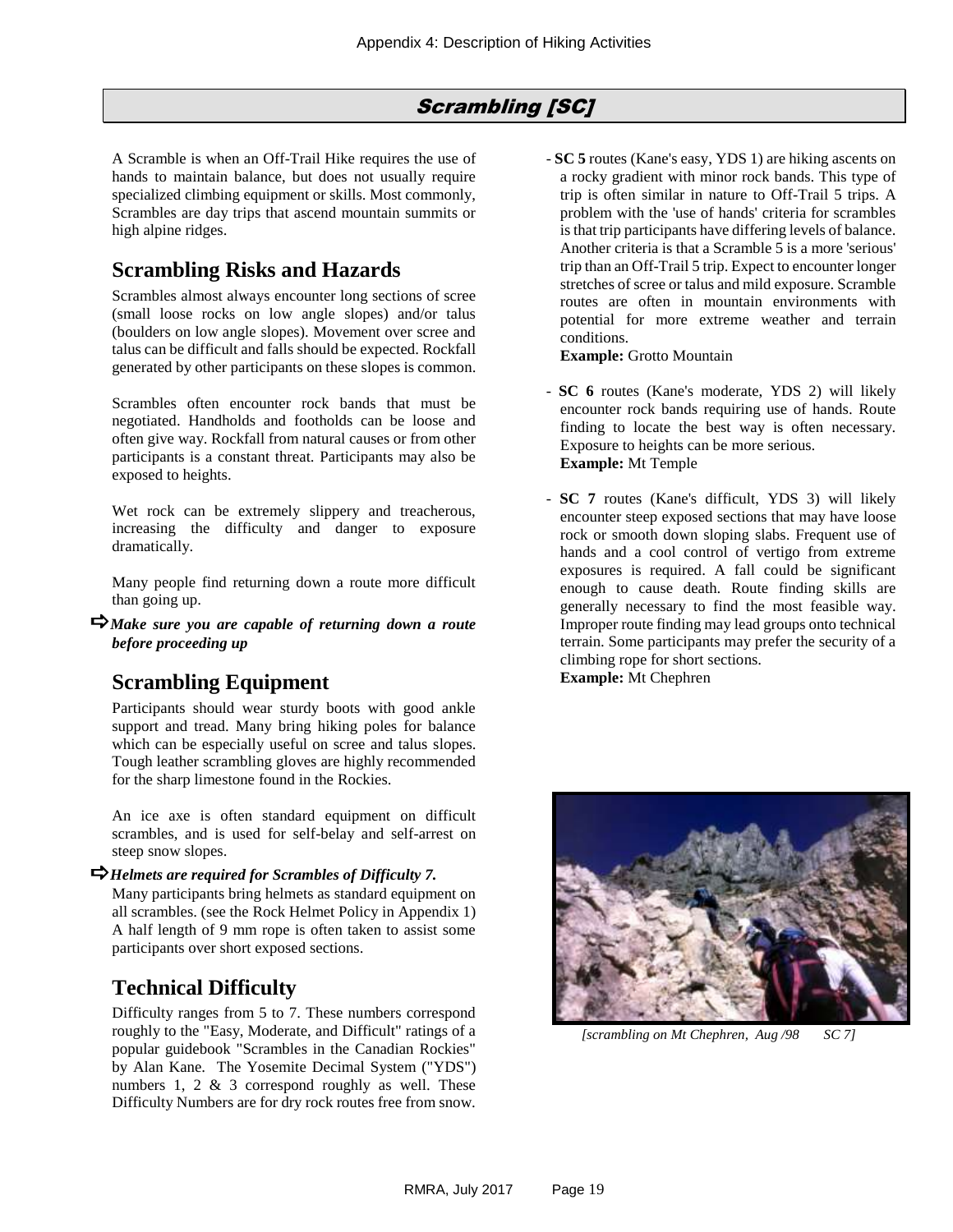#### Scrambling [SC]

<span id="page-18-0"></span>A Scramble is when an Off-Trail Hike requires the use of hands to maintain balance, but does not usually require specialized climbing equipment or skills. Most commonly, Scrambles are day trips that ascend mountain summits or high alpine ridges.

#### **Scrambling Risks and Hazards**

Scrambles almost always encounter long sections of scree (small loose rocks on low angle slopes) and/or talus (boulders on low angle slopes). Movement over scree and talus can be difficult and falls should be expected. Rockfall generated by other participants on these slopes is common.

Scrambles often encounter rock bands that must be negotiated. Handholds and footholds can be loose and often give way. Rockfall from natural causes or from other participants is a constant threat. Participants may also be exposed to heights.

Wet rock can be extremely slippery and treacherous, increasing the difficulty and danger to exposure dramatically.

Many people find returning down a route more difficult than going up.

*Make sure you are capable of returning down a route before proceeding up*

### **Scrambling Equipment**

Participants should wear sturdy boots with good ankle support and tread. Many bring hiking poles for balance which can be especially useful on scree and talus slopes. Tough leather scrambling gloves are highly recommended for the sharp limestone found in the Rockies.

An ice axe is often standard equipment on difficult scrambles, and is used for self-belay and self-arrest on steep snow slopes.

#### *Helmets are required for Scrambles of Difficulty 7.*

Many participants bring helmets as standard equipment on all scrambles. (see the [Rock Helmet Policy](#page-7-0) in Appendix 1) A half length of 9 mm rope is often taken to assist some participants over short exposed sections.

#### **Technical Difficulty**

Difficulty ranges from 5 to 7. These numbers correspond roughly to the "Easy, Moderate, and Difficult" ratings of a popular guidebook "Scrambles in the Canadian Rockies" by Alan Kane. The Yosemite Decimal System ("YDS") numbers 1, 2 & 3 correspond roughly as well. These Difficulty Numbers are for dry rock routes free from snow.

- **SC 5** routes (Kane's easy, YDS 1) are hiking ascents on a rocky gradient with minor rock bands. This type of trip is often similar in nature to Off-Trail 5 trips. A problem with the 'use of hands' criteria for scrambles is that trip participants have differing levels of balance. Another criteria is that a Scramble 5 is a more 'serious' trip than an Off-Trail 5 trip. Expect to encounter longer stretches of scree or talus and mild exposure. Scramble routes are often in mountain environments with potential for more extreme weather and terrain conditions.

**Example:** Grotto Mountain

- **SC 6** routes (Kane's moderate, YDS 2) will likely encounter rock bands requiring use of hands. Route finding to locate the best way is often necessary. Exposure to heights can be more serious. **Example:** Mt Temple
- **SC 7** routes (Kane's difficult, YDS 3) will likely encounter steep exposed sections that may have loose rock or smooth down sloping slabs. Frequent use of hands and a cool control of vertigo from extreme exposures is required. A fall could be significant enough to cause death. Route finding skills are generally necessary to find the most feasible way. Improper route finding may lead groups onto technical terrain. Some participants may prefer the security of a climbing rope for short sections.

**Example:** Mt Chephren



 *[scrambling on Mt Chephren, Aug /98 SC 7]*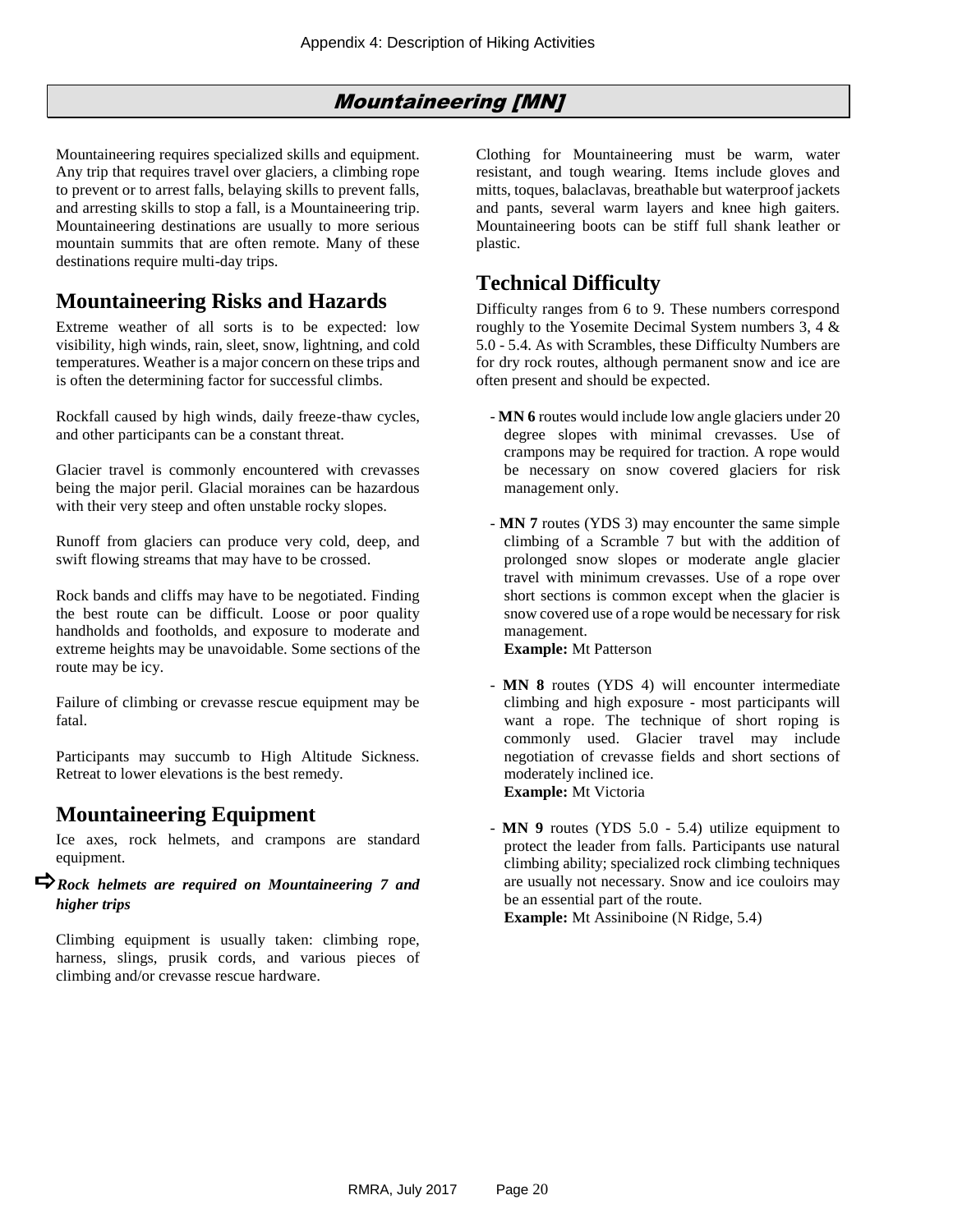### Mountaineering [MN]

<span id="page-19-0"></span>Mountaineering requires specialized skills and equipment. Any trip that requires travel over glaciers, a climbing rope to prevent or to arrest falls, belaying skills to prevent falls, and arresting skills to stop a fall, is a Mountaineering trip. Mountaineering destinations are usually to more serious mountain summits that are often remote. Many of these destinations require multi-day trips.

### **Mountaineering Risks and Hazards**

Extreme weather of all sorts is to be expected: low visibility, high winds, rain, sleet, snow, lightning, and cold temperatures. Weather is a major concern on these trips and is often the determining factor for successful climbs.

Rockfall caused by high winds, daily freeze-thaw cycles, and other participants can be a constant threat.

Glacier travel is commonly encountered with crevasses being the major peril. Glacial moraines can be hazardous with their very steep and often unstable rocky slopes.

Runoff from glaciers can produce very cold, deep, and swift flowing streams that may have to be crossed.

Rock bands and cliffs may have to be negotiated. Finding the best route can be difficult. Loose or poor quality handholds and footholds, and exposure to moderate and extreme heights may be unavoidable. Some sections of the route may be icy.

Failure of climbing or crevasse rescue equipment may be fatal.

Participants may succumb to High Altitude Sickness. Retreat to lower elevations is the best remedy.

### **Mountaineering Equipment**

Ice axes, rock helmets, and crampons are standard equipment.

#### *Rock helmets are required on Mountaineering 7 and higher trips*

Climbing equipment is usually taken: climbing rope, harness, slings, prusik cords, and various pieces of climbing and/or crevasse rescue hardware.

Clothing for Mountaineering must be warm, water resistant, and tough wearing. Items include gloves and mitts, toques, balaclavas, breathable but waterproof jackets and pants, several warm layers and knee high gaiters. Mountaineering boots can be stiff full shank leather or plastic.

# **Technical Difficulty**

Difficulty ranges from 6 to 9. These numbers correspond roughly to the Yosemite Decimal System numbers 3, 4 & 5.0 - 5.4. As with Scrambles, these Difficulty Numbers are for dry rock routes, although permanent snow and ice are often present and should be expected.

- **MN 6** routes would include low angle glaciers under 20 degree slopes with minimal crevasses. Use of crampons may be required for traction. A rope would be necessary on snow covered glaciers for risk management only.
- **MN 7** routes (YDS 3) may encounter the same simple climbing of a Scramble 7 but with the addition of prolonged snow slopes or moderate angle glacier travel with minimum crevasses. Use of a rope over short sections is common except when the glacier is snow covered use of a rope would be necessary for risk management.

#### **Example:** Mt Patterson

- **MN 8** routes (YDS 4) will encounter intermediate climbing and high exposure - most participants will want a rope. The technique of short roping is commonly used. Glacier travel may include negotiation of crevasse fields and short sections of moderately inclined ice. **Example:** Mt Victoria
- **MN 9** routes (YDS 5.0 5.4) utilize equipment to protect the leader from falls. Participants use natural climbing ability; specialized rock climbing techniques are usually not necessary. Snow and ice couloirs may be an essential part of the route.

**Example:** Mt Assiniboine (N Ridge, 5.4)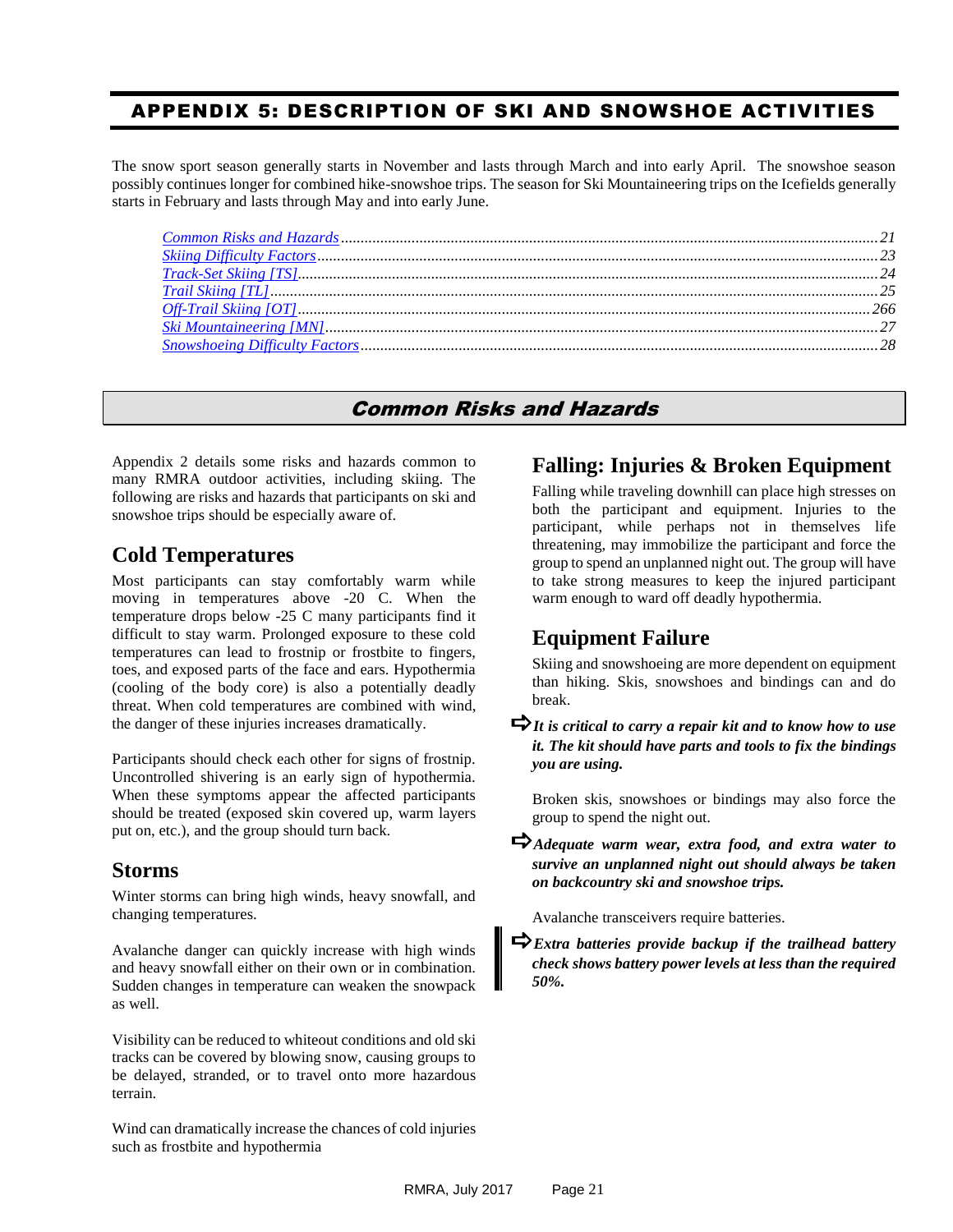#### <span id="page-20-0"></span>APPENDIX 5: DESCRIPTION OF SKI AND SNOWSHOE ACTIVITIES

The snow sport season generally starts in November and lasts through March and into early April. The snowshoe season possibly continues longer for combined hike-snowshoe trips. The season for Ski Mountaineering trips on the Icefields generally starts in February and lasts through May and into early June.

#### Common Risks and Hazards

<span id="page-20-1"></span>Appendix 2 details some risks and hazards common to many RMRA outdoor activities, including skiing. The following are risks and hazards that participants on ski and snowshoe trips should be especially aware of.

#### **Cold Temperatures**

Most participants can stay comfortably warm while moving in temperatures above -20 C. When the temperature drops below -25 C many participants find it difficult to stay warm. Prolonged exposure to these cold temperatures can lead to frostnip or frostbite to fingers, toes, and exposed parts of the face and ears. Hypothermia (cooling of the body core) is also a potentially deadly threat. When cold temperatures are combined with wind, the danger of these injuries increases dramatically.

Participants should check each other for signs of frostnip. Uncontrolled shivering is an early sign of hypothermia. When these symptoms appear the affected participants should be treated (exposed skin covered up, warm layers put on, etc.), and the group should turn back.

#### **Storms**

Winter storms can bring high winds, heavy snowfall, and changing temperatures.

Avalanche danger can quickly increase with high winds and heavy snowfall either on their own or in combination. Sudden changes in temperature can weaken the snowpack as well.

Visibility can be reduced to whiteout conditions and old ski tracks can be covered by blowing snow, causing groups to be delayed, stranded, or to travel onto more hazardous terrain.

Wind can dramatically increase the chances of cold injuries such as frostbite and hypothermia

#### **Falling: Injuries & Broken Equipment**

Falling while traveling downhill can place high stresses on both the participant and equipment. Injuries to the participant, while perhaps not in themselves life threatening, may immobilize the participant and force the group to spend an unplanned night out. The group will have to take strong measures to keep the injured participant warm enough to ward off deadly hypothermia.

#### **Equipment Failure**

Skiing and snowshoeing are more dependent on equipment than hiking. Skis, snowshoes and bindings can and do break.

*It is critical to carry a repair kit and to know how to use it. The kit should have parts and tools to fix the bindings you are using.*

Broken skis, snowshoes or bindings may also force the group to spend the night out.

*Adequate warm wear, extra food, and extra water to survive an unplanned night out should always be taken on backcountry ski and snowshoe trips.*

Avalanche transceivers require batteries.

*Extra batteries provide backup if the trailhead battery check shows battery power levels at less than the required 50%.*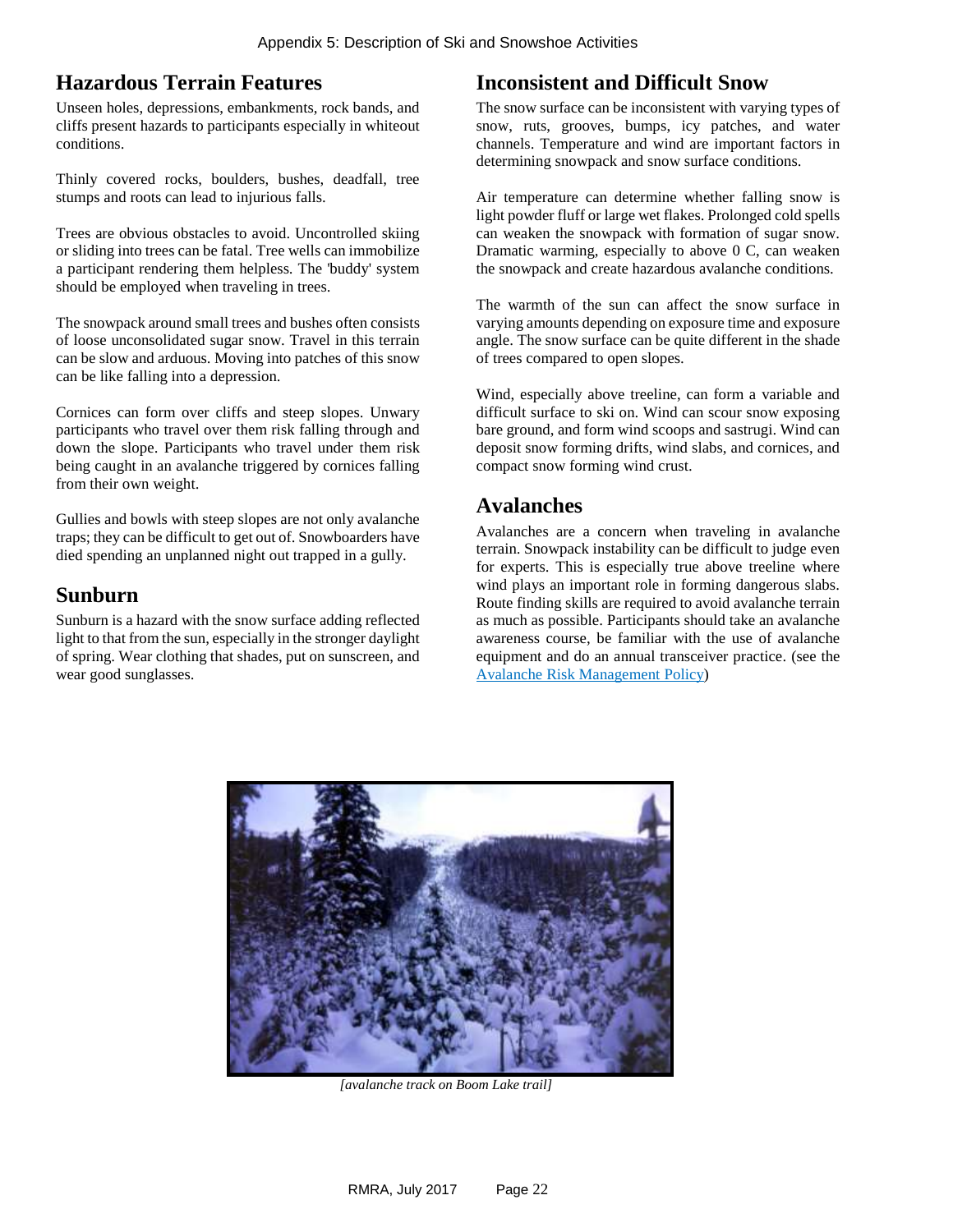#### **Hazardous Terrain Features**

Unseen holes, depressions, embankments, rock bands, and cliffs present hazards to participants especially in whiteout conditions.

Thinly covered rocks, boulders, bushes, deadfall, tree stumps and roots can lead to injurious falls.

Trees are obvious obstacles to avoid. Uncontrolled skiing or sliding into trees can be fatal. Tree wells can immobilize a participant rendering them helpless. The 'buddy' system should be employed when traveling in trees.

The snowpack around small trees and bushes often consists of loose unconsolidated sugar snow. Travel in this terrain can be slow and arduous. Moving into patches of this snow can be like falling into a depression.

Cornices can form over cliffs and steep slopes. Unwary participants who travel over them risk falling through and down the slope. Participants who travel under them risk being caught in an avalanche triggered by cornices falling from their own weight.

Gullies and bowls with steep slopes are not only avalanche traps; they can be difficult to get out of. Snowboarders have died spending an unplanned night out trapped in a gully.

#### **Sunburn**

Sunburn is a hazard with the snow surface adding reflected light to that from the sun, especially in the stronger daylight of spring. Wear clothing that shades, put on sunscreen, and wear good sunglasses.

#### **Inconsistent and Difficult Snow**

The snow surface can be inconsistent with varying types of snow, ruts, grooves, bumps, icy patches, and water channels. Temperature and wind are important factors in determining snowpack and snow surface conditions.

Air temperature can determine whether falling snow is light powder fluff or large wet flakes. Prolonged cold spells can weaken the snowpack with formation of sugar snow. Dramatic warming, especially to above 0 C, can weaken the snowpack and create hazardous avalanche conditions.

The warmth of the sun can affect the snow surface in varying amounts depending on exposure time and exposure angle. The snow surface can be quite different in the shade of trees compared to open slopes.

Wind, especially above treeline, can form a variable and difficult surface to ski on. Wind can scour snow exposing bare ground, and form wind scoops and sastrugi. Wind can deposit snow forming drifts, wind slabs, and cornices, and compact snow forming wind crust.

#### **Avalanches**

Avalanches are a concern when traveling in avalanche terrain. Snowpack instability can be difficult to judge even for experts. This is especially true above treeline where wind plays an important role in forming dangerous slabs. Route finding skills are required to avoid avalanche terrain as much as possible. Participants should take an avalanche awareness course, be familiar with the use of avalanche equipment and do an annual transceiver practice. (see the [Avalanche Risk Management](#page-5-0) Policy)



 *[avalanche track on Boom Lake trail]*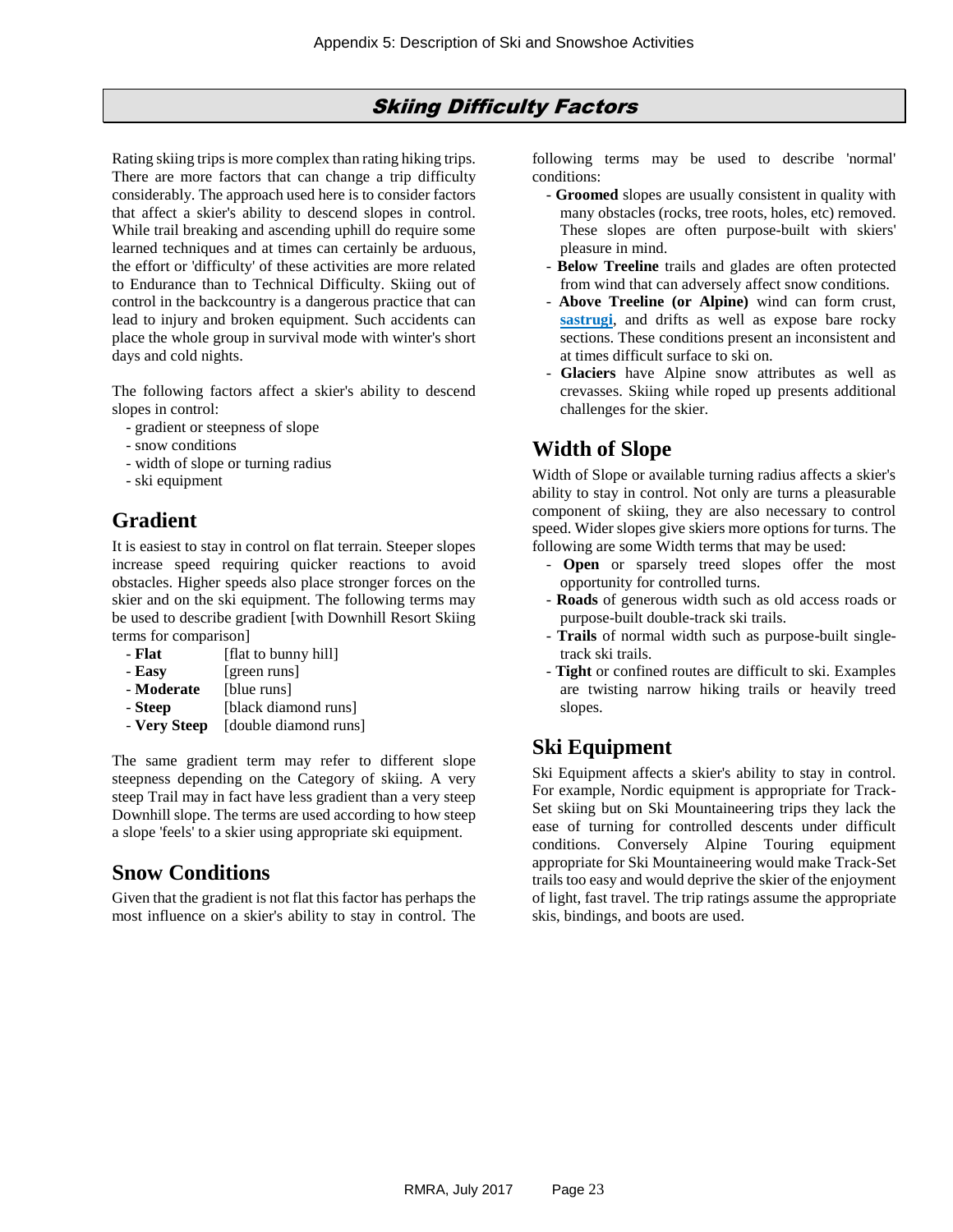#### Skiing Difficulty Factors

<span id="page-22-0"></span>Rating skiing trips is more complex than rating hiking trips. There are more factors that can change a trip difficulty considerably. The approach used here is to consider factors that affect a skier's ability to descend slopes in control. While trail breaking and ascending uphill do require some learned techniques and at times can certainly be arduous, the effort or 'difficulty' of these activities are more related to Endurance than to Technical Difficulty. Skiing out of control in the backcountry is a dangerous practice that can lead to injury and broken equipment. Such accidents can place the whole group in survival mode with winter's short days and cold nights.

The following factors affect a skier's ability to descend slopes in control:

- gradient or steepness of slope
- snow conditions
- width of slope or turning radius
- ski equipment

# **Gradient**

It is easiest to stay in control on flat terrain. Steeper slopes increase speed requiring quicker reactions to avoid obstacles. Higher speeds also place stronger forces on the skier and on the ski equipment. The following terms may be used to describe gradient [with Downhill Resort Skiing terms for comparison]

- **Flat** [flat to bunny hill] - **Easy** [green runs] - **Moderate** [blue runs] - **Steep** [black diamond runs] - **Very Steep** [double diamond runs]
- The same gradient term may refer to different slope steepness depending on the Category of skiing. A very steep Trail may in fact have less gradient than a very steep Downhill slope. The terms are used according to how steep a slope 'feels' to a skier using appropriate ski equipment.

### **Snow Conditions**

Given that the gradient is not flat this factor has perhaps the most influence on a skier's ability to stay in control. The

following terms may be used to describe 'normal' conditions:

- **Groomed** slopes are usually consistent in quality with many obstacles (rocks, tree roots, holes, etc) removed. These slopes are often purpose-built with skiers' pleasure in mind.
- **Below Treeline** trails and glades are often protected from wind that can adversely affect snow conditions.
- **Above Treeline (or Alpine)** wind can form crust, **[sastrugi](#page-37-0)**, and drifts as well as expose bare rocky sections. These conditions present an inconsistent and at times difficult surface to ski on.
- **Glaciers** have Alpine snow attributes as well as crevasses. Skiing while roped up presents additional challenges for the skier.

### **Width of Slope**

Width of Slope or available turning radius affects a skier's ability to stay in control. Not only are turns a pleasurable component of skiing, they are also necessary to control speed. Wider slopes give skiers more options for turns. The following are some Width terms that may be used:

- **Open** or sparsely treed slopes offer the most opportunity for controlled turns.
- **Roads** of generous width such as old access roads or purpose-built double-track ski trails.
- **Trails** of normal width such as purpose-built singletrack ski trails.
- **Tight** or confined routes are difficult to ski. Examples are twisting narrow hiking trails or heavily treed slopes.

# **Ski Equipment**

Ski Equipment affects a skier's ability to stay in control. For example, Nordic equipment is appropriate for Track-Set skiing but on Ski Mountaineering trips they lack the ease of turning for controlled descents under difficult conditions. Conversely Alpine Touring equipment appropriate for Ski Mountaineering would make Track-Set trails too easy and would deprive the skier of the enjoyment of light, fast travel. The trip ratings assume the appropriate skis, bindings, and boots are used.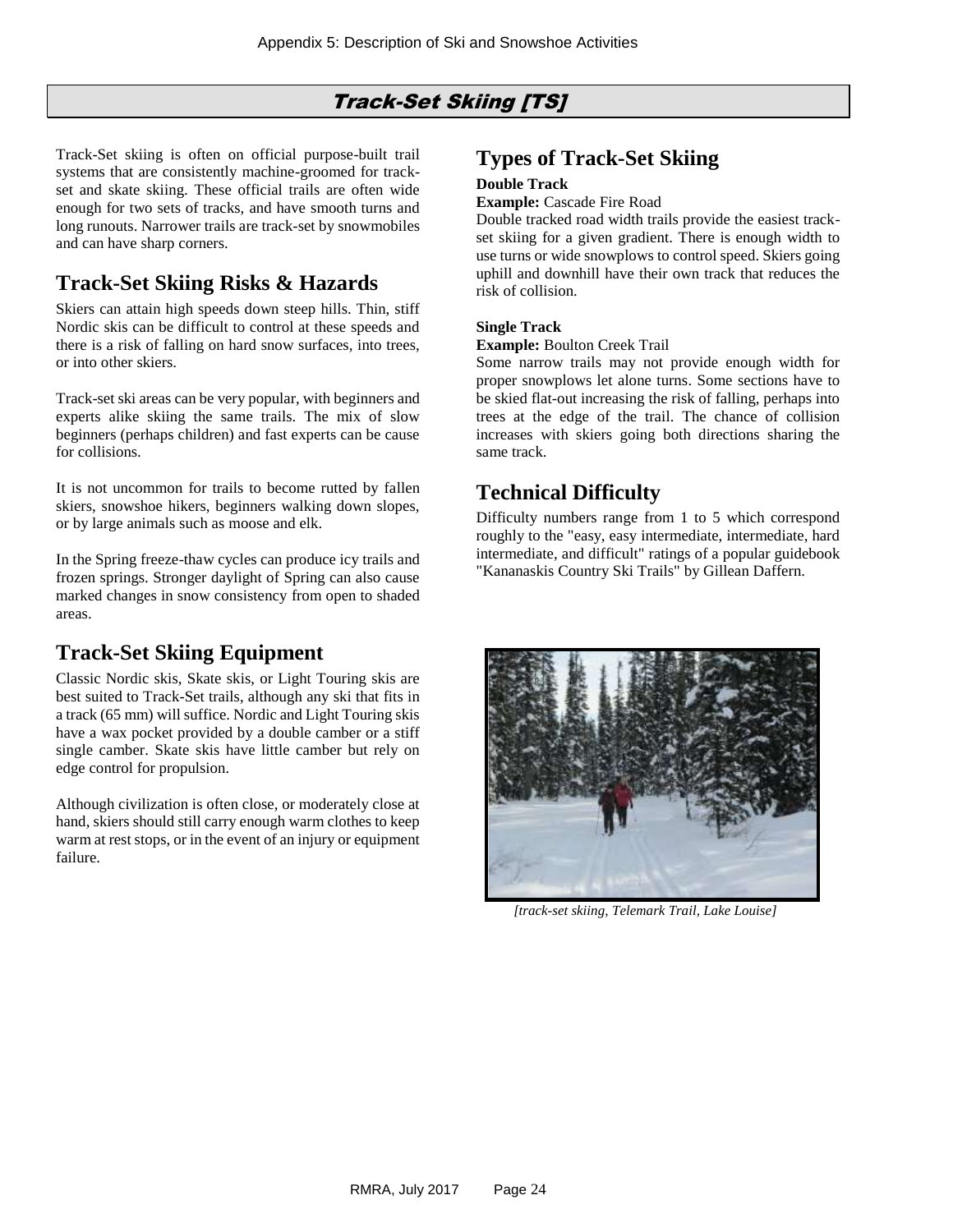# Track-Set Skiing [TS]

<span id="page-23-0"></span>Track-Set skiing is often on official purpose-built trail systems that are consistently machine-groomed for trackset and skate skiing. These official trails are often wide enough for two sets of tracks, and have smooth turns and long runouts. Narrower trails are track-set by snowmobiles and can have sharp corners.

### **Track-Set Skiing Risks & Hazards**

Skiers can attain high speeds down steep hills. Thin, stiff Nordic skis can be difficult to control at these speeds and there is a risk of falling on hard snow surfaces, into trees, or into other skiers.

Track-set ski areas can be very popular, with beginners and experts alike skiing the same trails. The mix of slow beginners (perhaps children) and fast experts can be cause for collisions.

It is not uncommon for trails to become rutted by fallen skiers, snowshoe hikers, beginners walking down slopes, or by large animals such as moose and elk.

In the Spring freeze-thaw cycles can produce icy trails and frozen springs. Stronger daylight of Spring can also cause marked changes in snow consistency from open to shaded areas.

# **Track-Set Skiing Equipment**

Classic Nordic skis, Skate skis, or Light Touring skis are best suited to Track-Set trails, although any ski that fits in a track (65 mm) will suffice. Nordic and Light Touring skis have a wax pocket provided by a double camber or a stiff single camber. Skate skis have little camber but rely on edge control for propulsion.

Although civilization is often close, or moderately close at hand, skiers should still carry enough warm clothes to keep warm at rest stops, or in the event of an injury or equipment failure.

#### **Types of Track-Set Skiing**

#### **Double Track**

#### **Example:** Cascade Fire Road

Double tracked road width trails provide the easiest trackset skiing for a given gradient. There is enough width to use turns or wide snowplows to control speed. Skiers going uphill and downhill have their own track that reduces the risk of collision.

#### **Single Track**

#### **Example:** Boulton Creek Trail

Some narrow trails may not provide enough width for proper snowplows let alone turns. Some sections have to be skied flat-out increasing the risk of falling, perhaps into trees at the edge of the trail. The chance of collision increases with skiers going both directions sharing the same track.

#### **Technical Difficulty**

Difficulty numbers range from 1 to 5 which correspond roughly to the "easy, easy intermediate, intermediate, hard intermediate, and difficult" ratings of a popular guidebook "Kananaskis Country Ski Trails" by Gillean Daffern.



*[track-set skiing, Telemark Trail, Lake Louise]*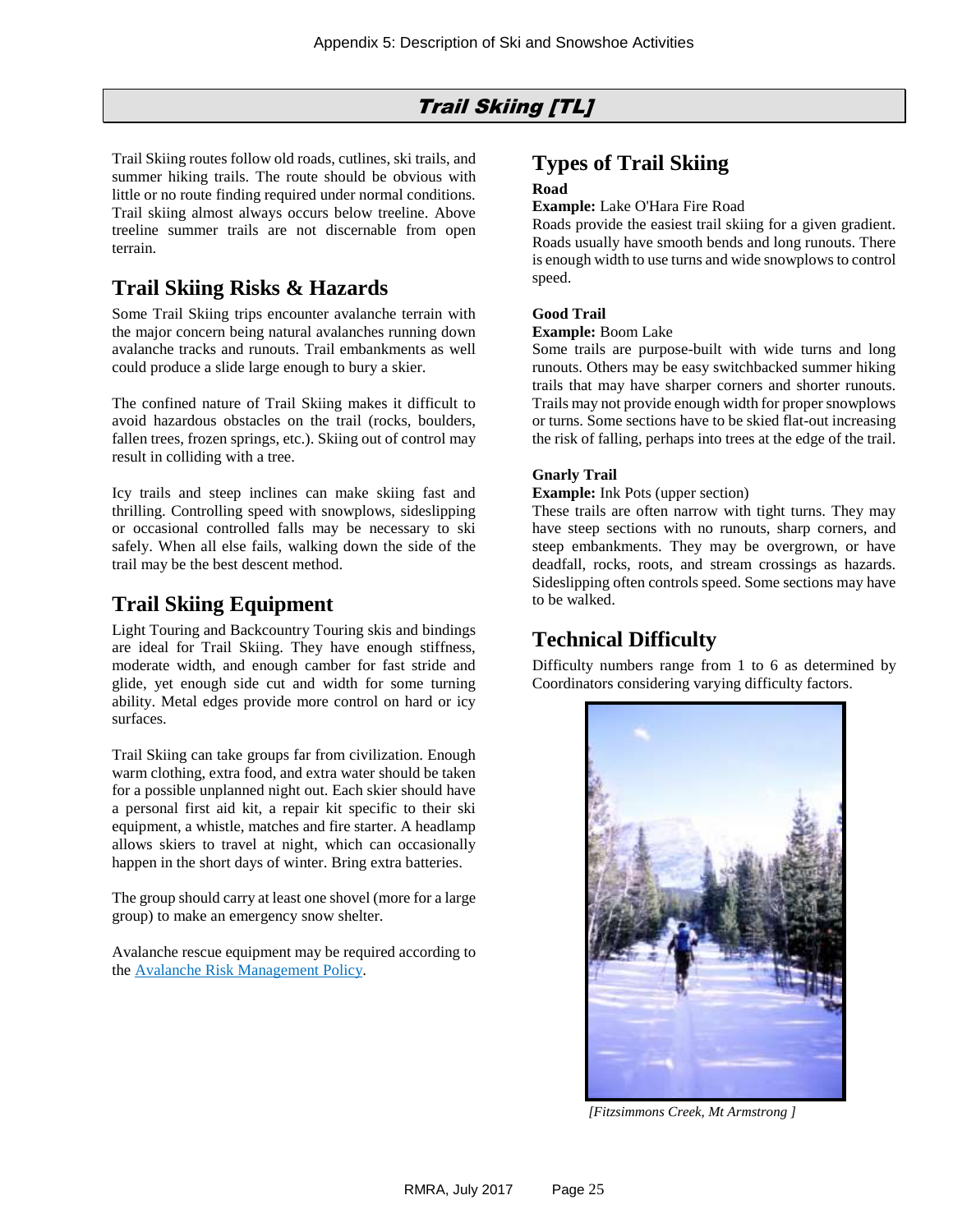### Trail Skiing [TL]

<span id="page-24-0"></span>Trail Skiing routes follow old roads, cutlines, ski trails, and summer hiking trails. The route should be obvious with little or no route finding required under normal conditions. Trail skiing almost always occurs below treeline. Above treeline summer trails are not discernable from open terrain.

### **Trail Skiing Risks & Hazards**

Some Trail Skiing trips encounter avalanche terrain with the major concern being natural avalanches running down avalanche tracks and runouts. Trail embankments as well could produce a slide large enough to bury a skier.

The confined nature of Trail Skiing makes it difficult to avoid hazardous obstacles on the trail (rocks, boulders, fallen trees, frozen springs, etc.). Skiing out of control may result in colliding with a tree.

Icy trails and steep inclines can make skiing fast and thrilling. Controlling speed with snowplows, sideslipping or occasional controlled falls may be necessary to ski safely. When all else fails, walking down the side of the trail may be the best descent method.

#### **Trail Skiing Equipment**

Light Touring and Backcountry Touring skis and bindings are ideal for Trail Skiing. They have enough stiffness, moderate width, and enough camber for fast stride and glide, yet enough side cut and width for some turning ability. Metal edges provide more control on hard or icy surfaces.

Trail Skiing can take groups far from civilization. Enough warm clothing, extra food, and extra water should be taken for a possible unplanned night out. Each skier should have a personal first aid kit, a repair kit specific to their ski equipment, a whistle, matches and fire starter. A headlamp allows skiers to travel at night, which can occasionally happen in the short days of winter. Bring extra batteries.

The group should carry at least one shovel (more for a large group) to make an emergency snow shelter.

Avalanche rescue equipment may be required according to th[e Avalanche Risk Management](#page-5-0) Policy.

#### **Types of Trail Skiing Road**

#### **Example:** Lake O'Hara Fire Road

Roads provide the easiest trail skiing for a given gradient. Roads usually have smooth bends and long runouts. There is enough width to use turns and wide snowplows to control speed.

#### **Good Trail**

#### **Example:** Boom Lake

Some trails are purpose-built with wide turns and long runouts. Others may be easy switchbacked summer hiking trails that may have sharper corners and shorter runouts. Trails may not provide enough width for proper snowplows or turns. Some sections have to be skied flat-out increasing the risk of falling, perhaps into trees at the edge of the trail.

#### **Gnarly Trail**

#### **Example:** Ink Pots (upper section)

These trails are often narrow with tight turns. They may have steep sections with no runouts, sharp corners, and steep embankments. They may be overgrown, or have deadfall, rocks, roots, and stream crossings as hazards. Sideslipping often controls speed. Some sections may have to be walked.

### **Technical Difficulty**

Difficulty numbers range from 1 to 6 as determined by Coordinators considering varying difficulty factors.



 *[Fitzsimmons Creek, Mt Armstrong ]*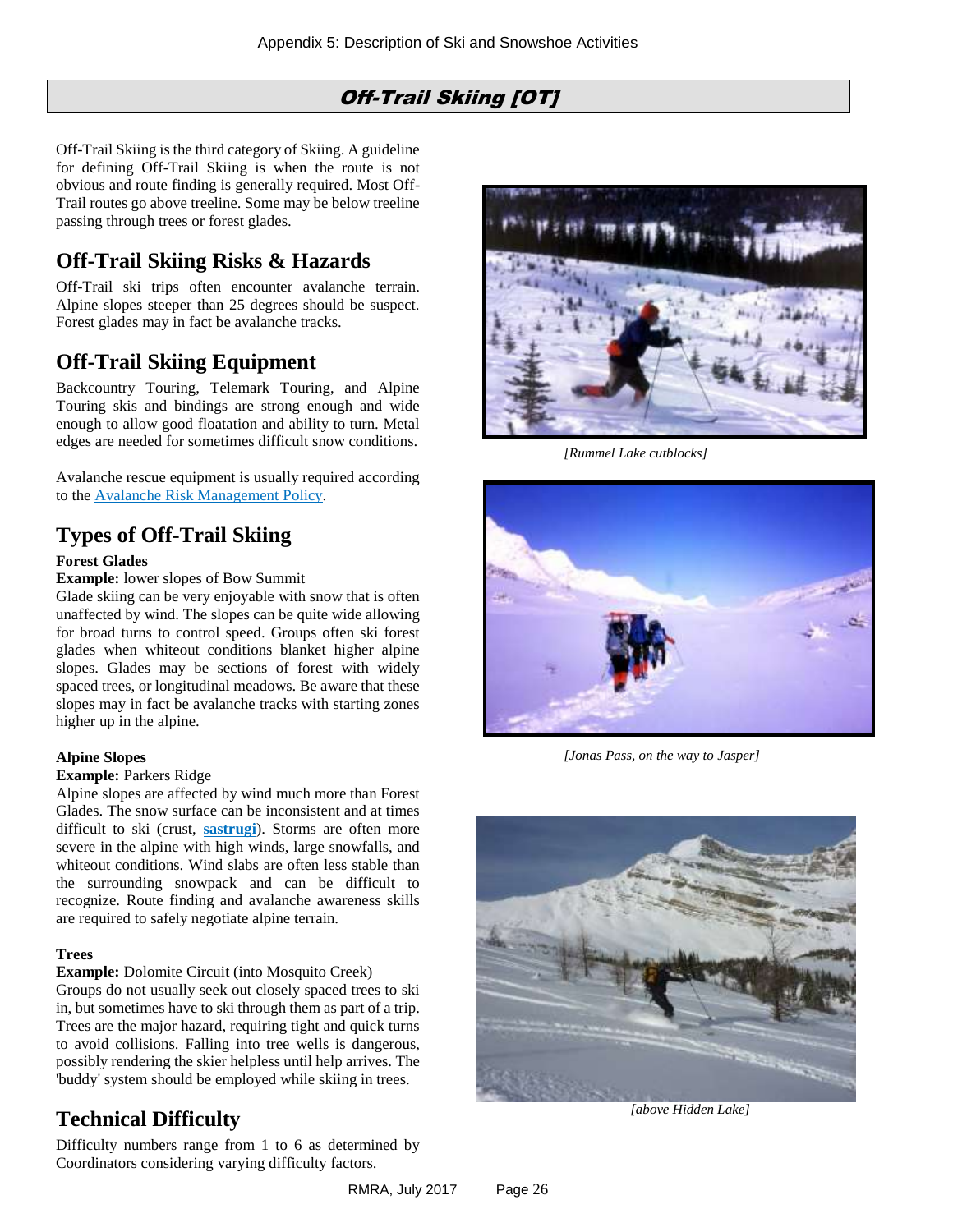# Off-Trail Skiing [OT]

<span id="page-25-0"></span>Off-Trail Skiing is the third category of Skiing. A guideline for defining Off-Trail Skiing is when the route is not obvious and route finding is generally required. Most Off-Trail routes go above treeline. Some may be below treeline passing through trees or forest glades.

## **Off-Trail Skiing Risks & Hazards**

Off-Trail ski trips often encounter avalanche terrain. Alpine slopes steeper than 25 degrees should be suspect. Forest glades may in fact be avalanche tracks.

# **Off-Trail Skiing Equipment**

Backcountry Touring, Telemark Touring, and Alpine Touring skis and bindings are strong enough and wide enough to allow good floatation and ability to turn. Metal edges are needed for sometimes difficult snow conditions.

Avalanche rescue equipment is usually required according to the [Avalanche Risk Management](#page-5-0) Policy.

# **Types of Off-Trail Skiing**

#### **Forest Glades**

**Example:** lower slopes of Bow Summit

Glade skiing can be very enjoyable with snow that is often unaffected by wind. The slopes can be quite wide allowing for broad turns to control speed. Groups often ski forest glades when whiteout conditions blanket higher alpine slopes. Glades may be sections of forest with widely spaced trees, or longitudinal meadows. Be aware that these slopes may in fact be avalanche tracks with starting zones higher up in the alpine.

#### **Alpine Slopes**

#### **Example: Parkers Ridge**

Alpine slopes are affected by wind much more than Forest Glades. The snow surface can be inconsistent and at times difficult to ski (crust, **[sastrugi](#page-37-0)**). Storms are often more severe in the alpine with high winds, large snowfalls, and whiteout conditions. Wind slabs are often less stable than the surrounding snowpack and can be difficult to recognize. Route finding and avalanche awareness skills are required to safely negotiate alpine terrain.

#### **Trees**

**Example:** Dolomite Circuit (into Mosquito Creek)

Groups do not usually seek out closely spaced trees to ski in, but sometimes have to ski through them as part of a trip. Trees are the major hazard, requiring tight and quick turns to avoid collisions. Falling into tree wells is dangerous, possibly rendering the skier helpless until help arrives. The 'buddy' system should be employed while skiing in trees.

# **Technical Difficulty**

Difficulty numbers range from 1 to 6 as determined by Coordinators considering varying difficulty factors.



 *[Rummel Lake cutblocks]*



 *[Jonas Pass, on the way to Jasper]*



 *[above Hidden Lake]*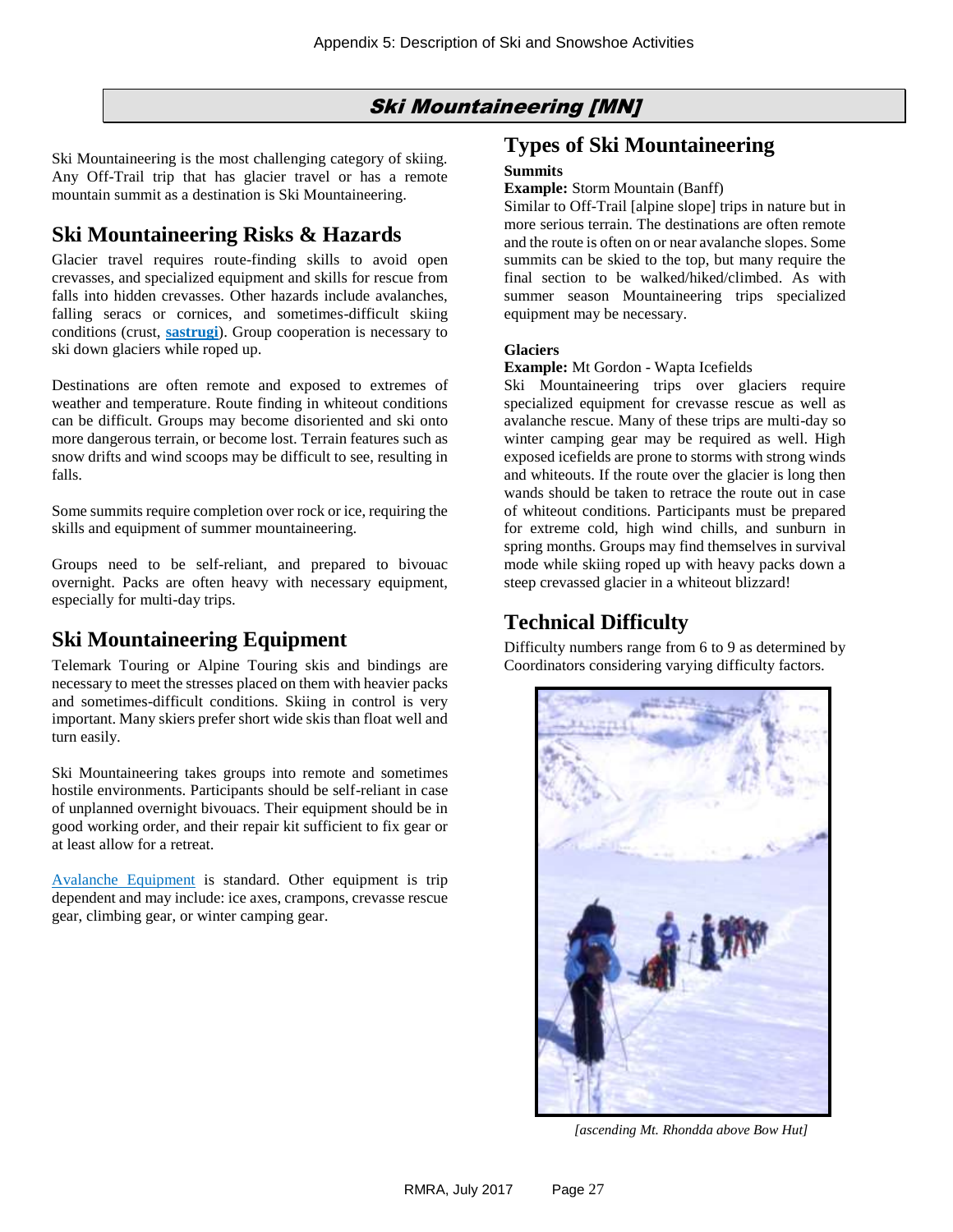### Ski Mountaineering [MN]

<span id="page-26-0"></span>Ski Mountaineering is the most challenging category of skiing. Any Off-Trail trip that has glacier travel or has a remote mountain summit as a destination is Ski Mountaineering.

# **Ski Mountaineering Risks & Hazards**

Glacier travel requires route-finding skills to avoid open crevasses, and specialized equipment and skills for rescue from falls into hidden crevasses. Other hazards include avalanches, falling seracs or cornices, and sometimes-difficult skiing conditions (crust, **[sastrugi](#page-37-0)**). Group cooperation is necessary to ski down glaciers while roped up.

Destinations are often remote and exposed to extremes of weather and temperature. Route finding in whiteout conditions can be difficult. Groups may become disoriented and ski onto more dangerous terrain, or become lost. Terrain features such as snow drifts and wind scoops may be difficult to see, resulting in falls.

Some summits require completion over rock or ice, requiring the skills and equipment of summer mountaineering.

Groups need to be self-reliant, and prepared to bivouac overnight. Packs are often heavy with necessary equipment, especially for multi-day trips.

### **Ski Mountaineering Equipment**

Telemark Touring or Alpine Touring skis and bindings are necessary to meet the stresses placed on them with heavier packs and sometimes-difficult conditions. Skiing in control is very important. Many skiers prefer short wide skis than float well and turn easily.

Ski Mountaineering takes groups into remote and sometimes hostile environments. Participants should be self-reliant in case of unplanned overnight bivouacs. Their equipment should be in good working order, and their repair kit sufficient to fix gear or at least allow for a retreat.

[Avalanche Equipment](#page-5-1) is standard. Other equipment is trip dependent and may include: ice axes, crampons, crevasse rescue gear, climbing gear, or winter camping gear.

#### **Types of Ski Mountaineering**

#### **Summits**

**Example:** Storm Mountain (Banff)

Similar to Off-Trail [alpine slope] trips in nature but in more serious terrain. The destinations are often remote and the route is often on or near avalanche slopes. Some summits can be skied to the top, but many require the final section to be walked/hiked/climbed. As with summer season Mountaineering trips specialized equipment may be necessary.

#### **Glaciers**

#### **Example:** Mt Gordon - Wapta Icefields

Ski Mountaineering trips over glaciers require specialized equipment for crevasse rescue as well as avalanche rescue. Many of these trips are multi-day so winter camping gear may be required as well. High exposed icefields are prone to storms with strong winds and whiteouts. If the route over the glacier is long then wands should be taken to retrace the route out in case of whiteout conditions. Participants must be prepared for extreme cold, high wind chills, and sunburn in spring months. Groups may find themselves in survival mode while skiing roped up with heavy packs down a steep crevassed glacier in a whiteout blizzard!

### **Technical Difficulty**

Difficulty numbers range from 6 to 9 as determined by Coordinators considering varying difficulty factors.



 *[ascending Mt. Rhondda above Bow Hut]*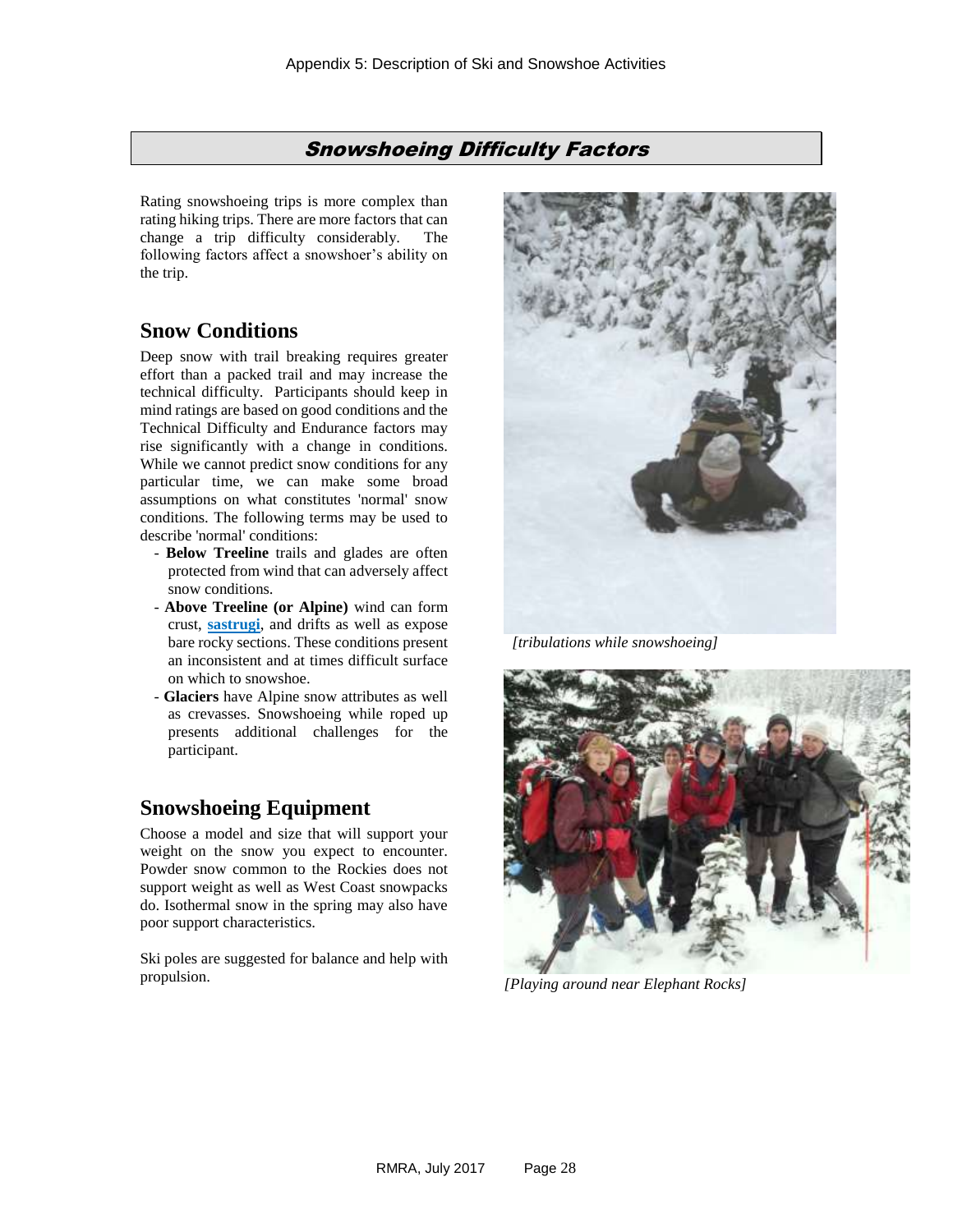#### Snowshoeing Difficulty Factors

<span id="page-27-0"></span>Rating snowshoeing trips is more complex than rating hiking trips. There are more factors that can change a trip difficulty considerably. The following factors affect a snowshoer's ability on the trip.

#### **Snow Conditions**

Deep snow with trail breaking requires greater effort than a packed trail and may increase the technical difficulty. Participants should keep in mind ratings are based on good conditions and the Technical Difficulty and Endurance factors may rise significantly with a change in conditions. While we cannot predict snow conditions for any particular time, we can make some broad assumptions on what constitutes 'normal' snow conditions. The following terms may be used to describe 'normal' conditions:

- **Below Treeline** trails and glades are often protected from wind that can adversely affect snow conditions.
- **Above Treeline (or Alpine)** wind can form crust, **[sastrugi](#page-37-0)**, and drifts as well as expose bare rocky sections. These conditions present an inconsistent and at times difficult surface on which to snowshoe.
- **Glaciers** have Alpine snow attributes as well as crevasses. Snowshoeing while roped up presents additional challenges for the participant.

### **Snowshoeing Equipment**

Choose a model and size that will support your weight on the snow you expect to encounter. Powder snow common to the Rockies does not support weight as well as West Coast snowpacks do. Isothermal snow in the spring may also have poor support characteristics.

Ski poles are suggested for balance and help with propulsion.



*[tribulations while snowshoeing]*



*[Playing around near Elephant Rocks]*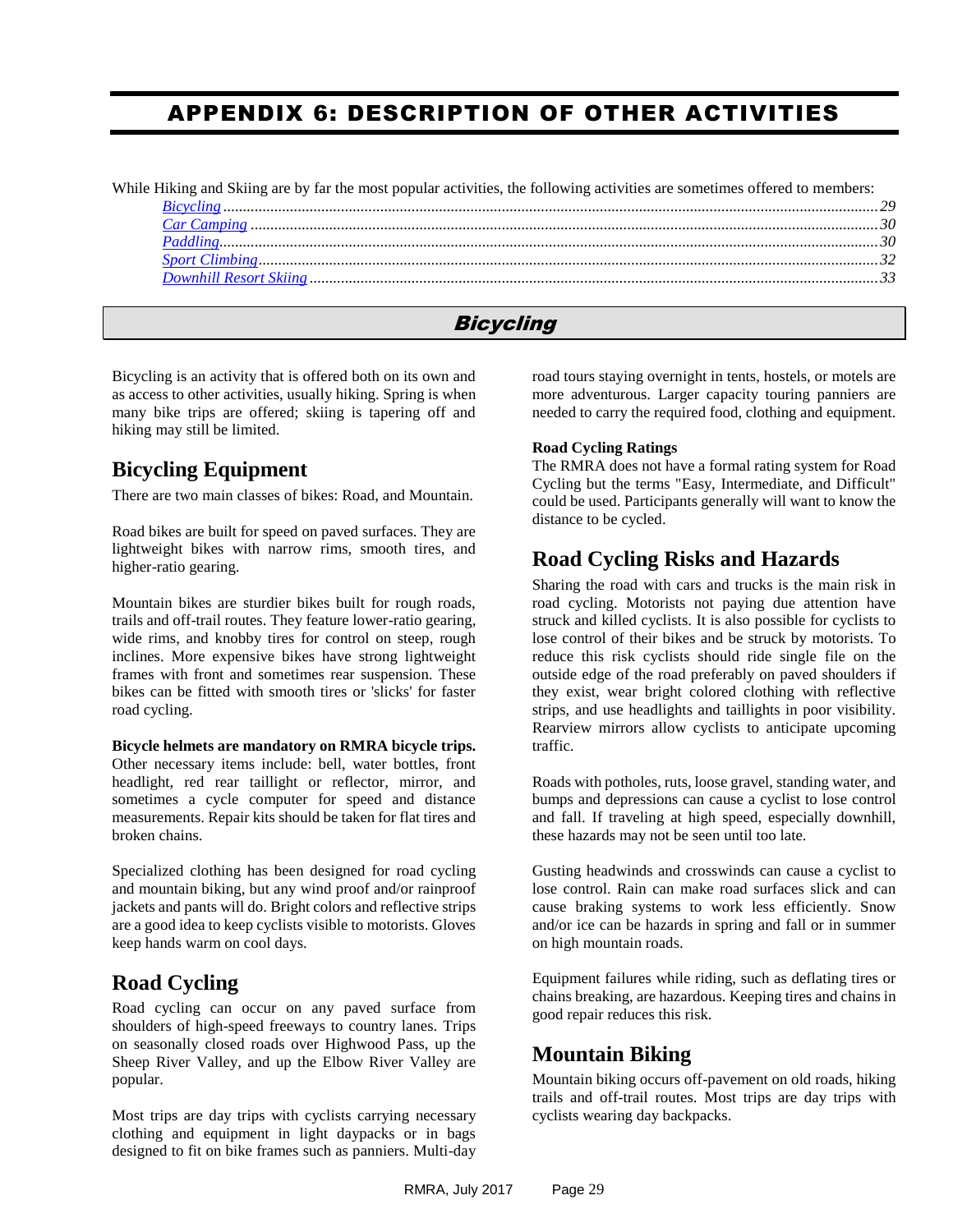# <span id="page-28-0"></span>APPENDIX 6: DESCRIPTION OF OTHER ACTIVITIES

While Hiking and Skiing are by far the most popular activities, the following activities are sometimes offered to members:

# **Bicycling**

<span id="page-28-1"></span>Bicycling is an activity that is offered both on its own and as access to other activities, usually hiking. Spring is when many bike trips are offered; skiing is tapering off and hiking may still be limited.

# **Bicycling Equipment**

There are two main classes of bikes: Road, and Mountain.

Road bikes are built for speed on paved surfaces. They are lightweight bikes with narrow rims, smooth tires, and higher-ratio gearing.

Mountain bikes are sturdier bikes built for rough roads, trails and off-trail routes. They feature lower-ratio gearing, wide rims, and knobby tires for control on steep, rough inclines. More expensive bikes have strong lightweight frames with front and sometimes rear suspension. These bikes can be fitted with smooth tires or 'slicks' for faster road cycling.

**Bicycle helmets are mandatory on RMRA bicycle trips.** Other necessary items include: bell, water bottles, front headlight, red rear taillight or reflector, mirror, and sometimes a cycle computer for speed and distance measurements. Repair kits should be taken for flat tires and broken chains.

Specialized clothing has been designed for road cycling and mountain biking, but any wind proof and/or rainproof jackets and pants will do. Bright colors and reflective strips are a good idea to keep cyclists visible to motorists. Gloves keep hands warm on cool days.

# **Road Cycling**

Road cycling can occur on any paved surface from shoulders of high-speed freeways to country lanes. Trips on seasonally closed roads over Highwood Pass, up the Sheep River Valley, and up the Elbow River Valley are popular.

Most trips are day trips with cyclists carrying necessary clothing and equipment in light daypacks or in bags designed to fit on bike frames such as panniers. Multi-day road tours staying overnight in tents, hostels, or motels are more adventurous. Larger capacity touring panniers are needed to carry the required food, clothing and equipment.

#### **Road Cycling Ratings**

The RMRA does not have a formal rating system for Road Cycling but the terms "Easy, Intermediate, and Difficult" could be used. Participants generally will want to know the distance to be cycled.

# **Road Cycling Risks and Hazards**

Sharing the road with cars and trucks is the main risk in road cycling. Motorists not paying due attention have struck and killed cyclists. It is also possible for cyclists to lose control of their bikes and be struck by motorists. To reduce this risk cyclists should ride single file on the outside edge of the road preferably on paved shoulders if they exist, wear bright colored clothing with reflective strips, and use headlights and taillights in poor visibility. Rearview mirrors allow cyclists to anticipate upcoming traffic.

Roads with potholes, ruts, loose gravel, standing water, and bumps and depressions can cause a cyclist to lose control and fall. If traveling at high speed, especially downhill, these hazards may not be seen until too late.

Gusting headwinds and crosswinds can cause a cyclist to lose control. Rain can make road surfaces slick and can cause braking systems to work less efficiently. Snow and/or ice can be hazards in spring and fall or in summer on high mountain roads.

Equipment failures while riding, such as deflating tires or chains breaking, are hazardous. Keeping tires and chains in good repair reduces this risk.

# **Mountain Biking**

Mountain biking occurs off-pavement on old roads, hiking trails and off-trail routes. Most trips are day trips with cyclists wearing day backpacks.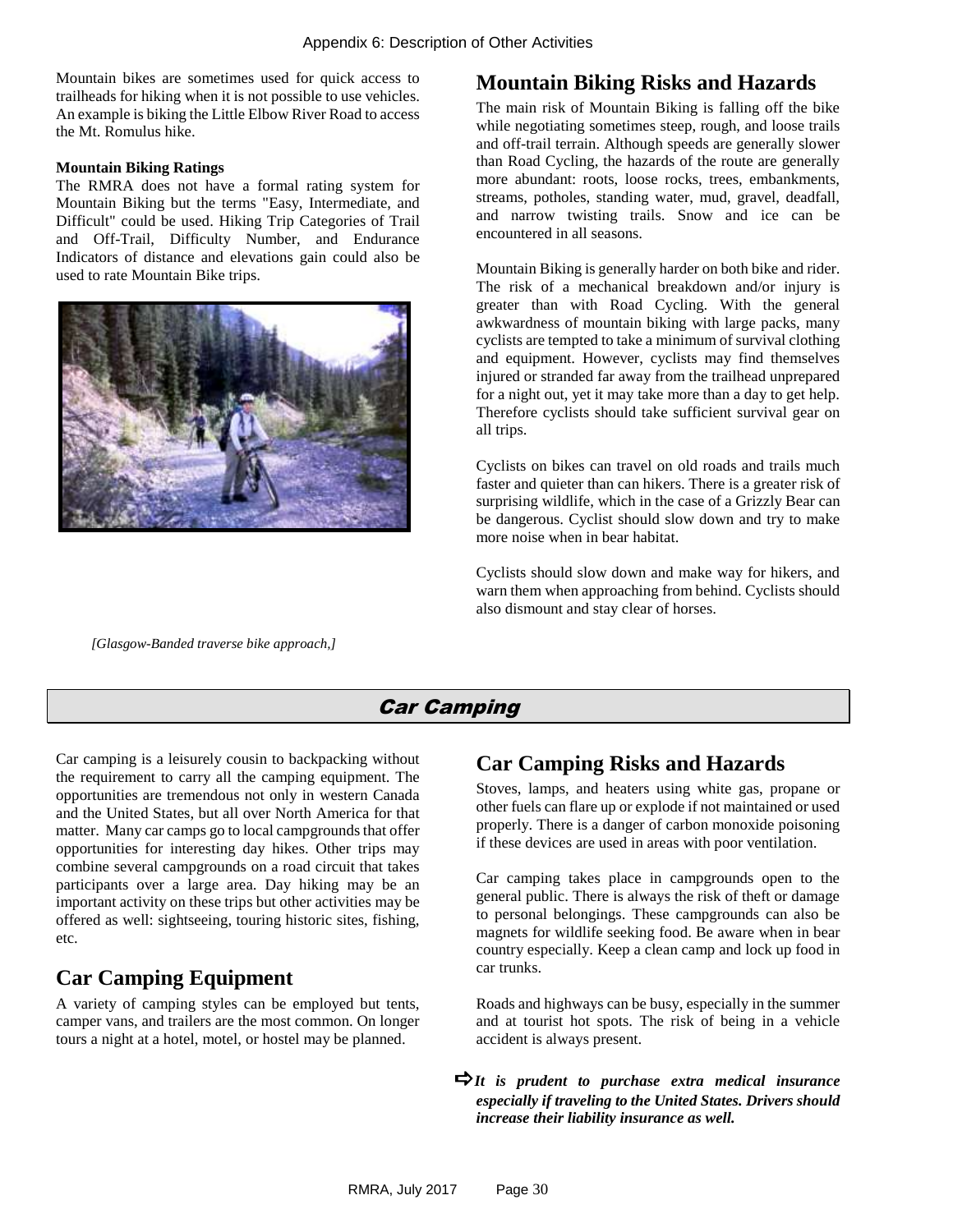Mountain bikes are sometimes used for quick access to trailheads for hiking when it is not possible to use vehicles. An example is biking the Little Elbow River Road to access the Mt. Romulus hike.

#### **Mountain Biking Ratings**

The RMRA does not have a formal rating system for Mountain Biking but the terms "Easy, Intermediate, and Difficult" could be used. Hiking Trip Categories of Trail and Off-Trail, Difficulty Number, and Endurance Indicators of distance and elevations gain could also be used to rate Mountain Bike trips.



<span id="page-29-0"></span> *[Glasgow-Banded traverse bike approach,]*

### **Mountain Biking Risks and Hazards**

The main risk of Mountain Biking is falling off the bike while negotiating sometimes steep, rough, and loose trails and off-trail terrain. Although speeds are generally slower than Road Cycling, the hazards of the route are generally more abundant: roots, loose rocks, trees, embankments, streams, potholes, standing water, mud, gravel, deadfall, and narrow twisting trails. Snow and ice can be encountered in all seasons.

Mountain Biking is generally harder on both bike and rider. The risk of a mechanical breakdown and/or injury is greater than with Road Cycling. With the general awkwardness of mountain biking with large packs, many cyclists are tempted to take a minimum of survival clothing and equipment. However, cyclists may find themselves injured or stranded far away from the trailhead unprepared for a night out, yet it may take more than a day to get help. Therefore cyclists should take sufficient survival gear on all trips.

Cyclists on bikes can travel on old roads and trails much faster and quieter than can hikers. There is a greater risk of surprising wildlife, which in the case of a Grizzly Bear can be dangerous. Cyclist should slow down and try to make more noise when in bear habitat.

Cyclists should slow down and make way for hikers, and warn them when approaching from behind. Cyclists should also dismount and stay clear of horses.

### Car Camping

Car camping is a leisurely cousin to backpacking without the requirement to carry all the camping equipment. The opportunities are tremendous not only in western Canada and the United States, but all over North America for that matter. Many car camps go to local campgrounds that offer opportunities for interesting day hikes. Other trips may combine several campgrounds on a road circuit that takes participants over a large area. Day hiking may be an important activity on these trips but other activities may be offered as well: sightseeing, touring historic sites, fishing, etc.

# **Car Camping Equipment**

A variety of camping styles can be employed but tents, camper vans, and trailers are the most common. On longer tours a night at a hotel, motel, or hostel may be planned.

# **Car Camping Risks and Hazards**

Stoves, lamps, and heaters using white gas, propane or other fuels can flare up or explode if not maintained or used properly. There is a danger of carbon monoxide poisoning if these devices are used in areas with poor ventilation.

Car camping takes place in campgrounds open to the general public. There is always the risk of theft or damage to personal belongings. These campgrounds can also be magnets for wildlife seeking food. Be aware when in bear country especially. Keep a clean camp and lock up food in car trunks.

Roads and highways can be busy, especially in the summer and at tourist hot spots. The risk of being in a vehicle accident is always present.

*It is prudent to purchase extra medical insurance especially if traveling to the United States. Drivers should increase their liability insurance as well.*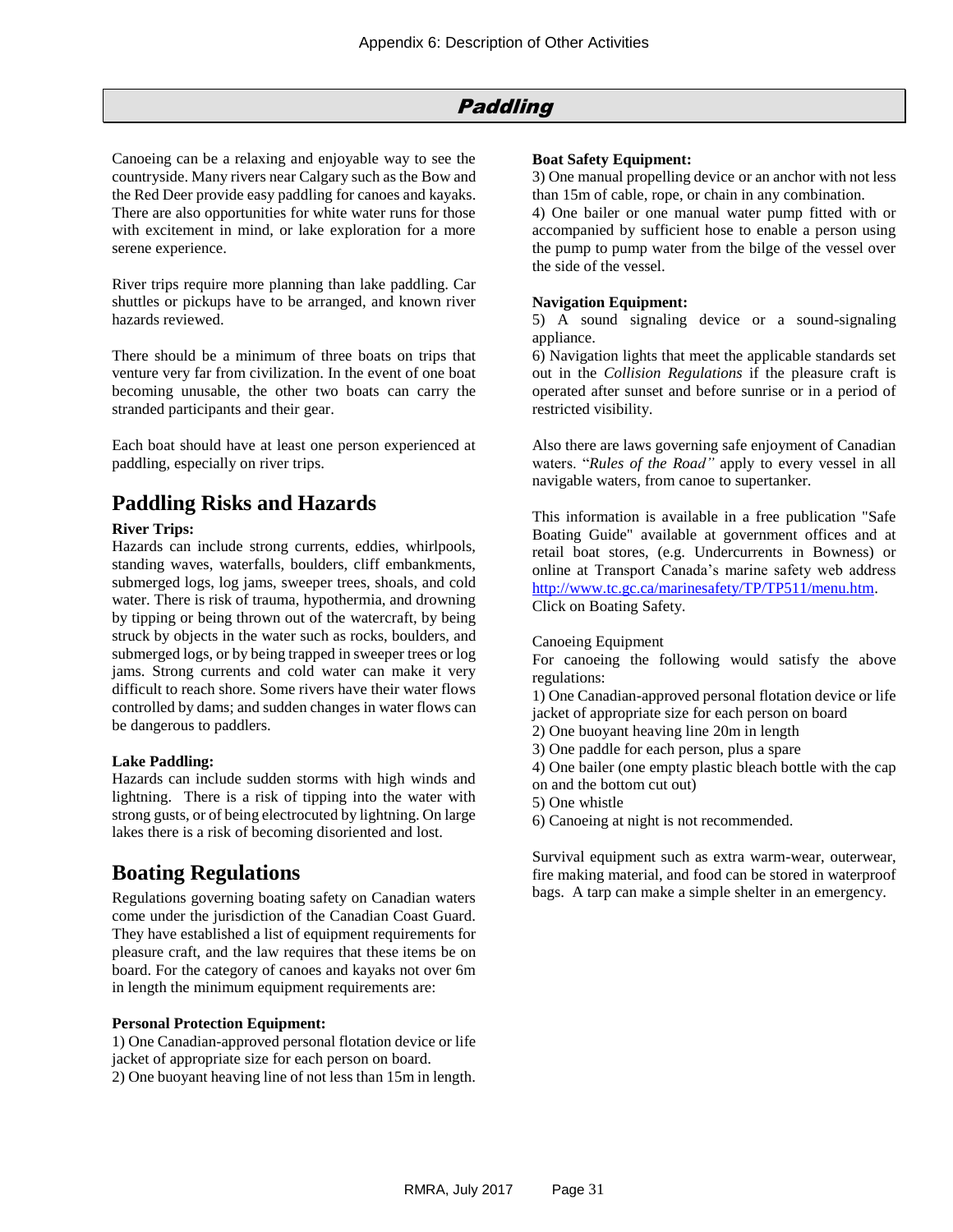#### Paddling

<span id="page-30-0"></span>Canoeing can be a relaxing and enjoyable way to see the countryside. Many rivers near Calgary such as the Bow and the Red Deer provide easy paddling for canoes and kayaks. There are also opportunities for white water runs for those with excitement in mind, or lake exploration for a more serene experience.

River trips require more planning than lake paddling. Car shuttles or pickups have to be arranged, and known river hazards reviewed.

There should be a minimum of three boats on trips that venture very far from civilization. In the event of one boat becoming unusable, the other two boats can carry the stranded participants and their gear.

Each boat should have at least one person experienced at paddling, especially on river trips.

### **Paddling Risks and Hazards**

#### **River Trips:**

Hazards can include strong currents, eddies, whirlpools, standing waves, waterfalls, boulders, cliff embankments, submerged logs, log jams, sweeper trees, shoals, and cold water. There is risk of trauma, hypothermia, and drowning by tipping or being thrown out of the watercraft, by being struck by objects in the water such as rocks, boulders, and submerged logs, or by being trapped in sweeper trees or log jams. Strong currents and cold water can make it very difficult to reach shore. Some rivers have their water flows controlled by dams; and sudden changes in water flows can be dangerous to paddlers.

#### **Lake Paddling:**

Hazards can include sudden storms with high winds and lightning. There is a risk of tipping into the water with strong gusts, or of being electrocuted by lightning. On large lakes there is a risk of becoming disoriented and lost.

#### **Boating Regulations**

Regulations governing boating safety on Canadian waters come under the jurisdiction of the Canadian Coast Guard. They have established a list of equipment requirements for pleasure craft, and the law requires that these items be on board. For the category of canoes and kayaks not over 6m in length the minimum equipment requirements are:

#### **Personal Protection Equipment:**

1) One Canadian-approved personal flotation device or life jacket of appropriate size for each person on board. 2) One buoyant heaving line of not less than 15m in length.

#### **Boat Safety Equipment:**

3) One manual propelling device or an anchor with not less than 15m of cable, rope, or chain in any combination.

4) One bailer or one manual water pump fitted with or accompanied by sufficient hose to enable a person using the pump to pump water from the bilge of the vessel over the side of the vessel.

#### **Navigation Equipment:**

5) A sound signaling device or a sound-signaling appliance.

6) Navigation lights that meet the applicable standards set out in the *Collision Regulations* if the pleasure craft is operated after sunset and before sunrise or in a period of restricted visibility.

Also there are laws governing safe enjoyment of Canadian waters. "*Rules of the Road"* apply to every vessel in all navigable waters, from canoe to supertanker.

This information is available in a free publication "Safe Boating Guide" available at government offices and at retail boat stores, (e.g. Undercurrents in Bowness) or online at Transport Canada's marine safety web address [http://www.tc.gc.ca/marinesafety/TP/TP511/menu.htm.](http://www.tc.gc.ca/marinesafety/TP/TP511/menu.htm) Click on Boating Safety.

#### Canoeing Equipment

For canoeing the following would satisfy the above regulations:

1) One Canadian-approved personal flotation device or life jacket of appropriate size for each person on board

- 2) One buoyant heaving line 20m in length
- 3) One paddle for each person, plus a spare
- 4) One bailer (one empty plastic bleach bottle with the cap on and the bottom cut out)
- 5) One whistle
- 6) Canoeing at night is not recommended.

Survival equipment such as extra warm-wear, outerwear, fire making material, and food can be stored in waterproof bags. A tarp can make a simple shelter in an emergency.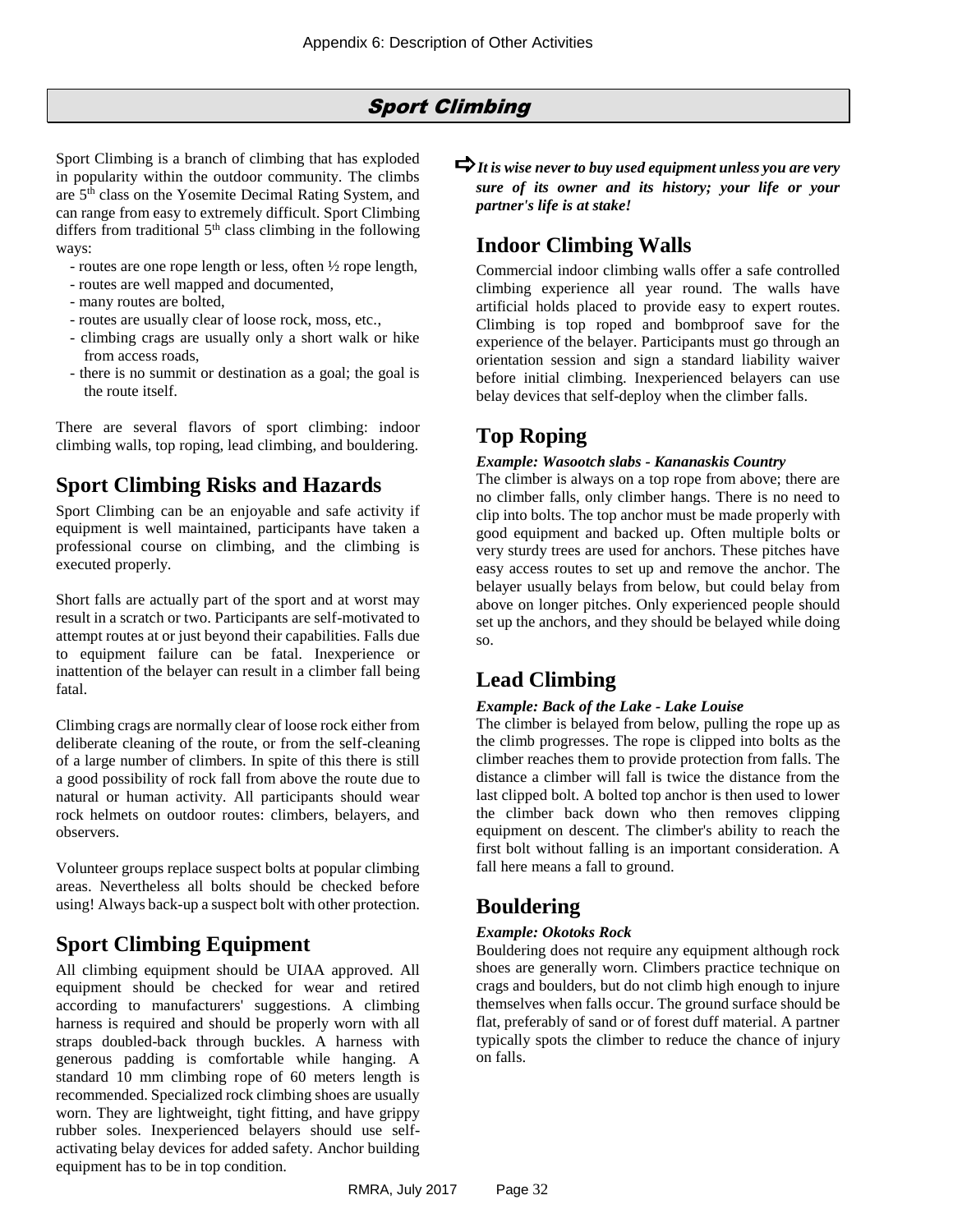#### Sport Climbing

<span id="page-31-0"></span>Sport Climbing is a branch of climbing that has exploded in popularity within the outdoor community. The climbs are 5th class on the Yosemite Decimal Rating System, and can range from easy to extremely difficult. Sport Climbing differs from traditional  $5<sup>th</sup>$  class climbing in the following ways:

- routes are one rope length or less, often ½ rope length,
- routes are well mapped and documented,
- many routes are bolted,
- routes are usually clear of loose rock, moss, etc.,
- climbing crags are usually only a short walk or hike from access roads,
- there is no summit or destination as a goal; the goal is the route itself.

There are several flavors of sport climbing: indoor climbing walls, top roping, lead climbing, and bouldering.

#### **Sport Climbing Risks and Hazards**

Sport Climbing can be an enjoyable and safe activity if equipment is well maintained, participants have taken a professional course on climbing, and the climbing is executed properly.

Short falls are actually part of the sport and at worst may result in a scratch or two. Participants are self-motivated to attempt routes at or just beyond their capabilities. Falls due to equipment failure can be fatal. Inexperience or inattention of the belayer can result in a climber fall being fatal.

Climbing crags are normally clear of loose rock either from deliberate cleaning of the route, or from the self-cleaning of a large number of climbers. In spite of this there is still a good possibility of rock fall from above the route due to natural or human activity. All participants should wear rock helmets on outdoor routes: climbers, belayers, and observers.

Volunteer groups replace suspect bolts at popular climbing areas. Nevertheless all bolts should be checked before using! Always back-up a suspect bolt with other protection.

### **Sport Climbing Equipment**

All climbing equipment should be UIAA approved. All equipment should be checked for wear and retired according to manufacturers' suggestions. A climbing harness is required and should be properly worn with all straps doubled-back through buckles. A harness with generous padding is comfortable while hanging. A standard 10 mm climbing rope of 60 meters length is recommended. Specialized rock climbing shoes are usually worn. They are lightweight, tight fitting, and have grippy rubber soles. Inexperienced belayers should use selfactivating belay devices for added safety. Anchor building equipment has to be in top condition.

 $\Rightarrow$  *It is wise never to buy used equipment unless you are very sure of its owner and its history; your life or your partner's life is at stake!*

#### **Indoor Climbing Walls**

Commercial indoor climbing walls offer a safe controlled climbing experience all year round. The walls have artificial holds placed to provide easy to expert routes. Climbing is top roped and bombproof save for the experience of the belayer. Participants must go through an orientation session and sign a standard liability waiver before initial climbing. Inexperienced belayers can use belay devices that self-deploy when the climber falls.

#### **Top Roping**

#### *Example: Wasootch slabs - Kananaskis Country*

The climber is always on a top rope from above; there are no climber falls, only climber hangs. There is no need to clip into bolts. The top anchor must be made properly with good equipment and backed up. Often multiple bolts or very sturdy trees are used for anchors. These pitches have easy access routes to set up and remove the anchor. The belayer usually belays from below, but could belay from above on longer pitches. Only experienced people should set up the anchors, and they should be belayed while doing so.

#### **Lead Climbing**

#### *Example: Back of the Lake - Lake Louise*

The climber is belayed from below, pulling the rope up as the climb progresses. The rope is clipped into bolts as the climber reaches them to provide protection from falls. The distance a climber will fall is twice the distance from the last clipped bolt. A bolted top anchor is then used to lower the climber back down who then removes clipping equipment on descent. The climber's ability to reach the first bolt without falling is an important consideration. A fall here means a fall to ground.

### **Bouldering**

#### *Example: Okotoks Rock*

Bouldering does not require any equipment although rock shoes are generally worn. Climbers practice technique on crags and boulders, but do not climb high enough to injure themselves when falls occur. The ground surface should be flat, preferably of sand or of forest duff material. A partner typically spots the climber to reduce the chance of injury on falls.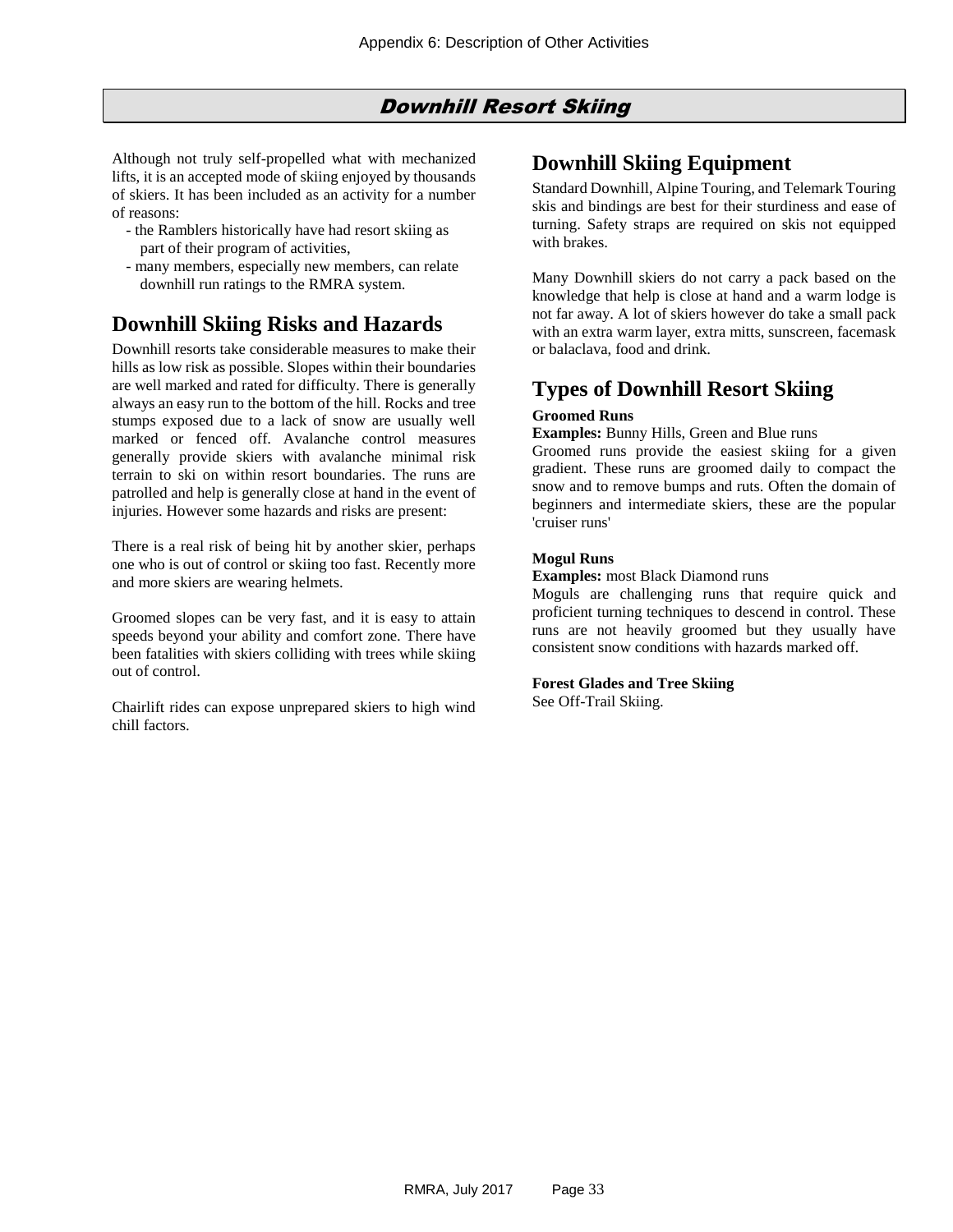#### Downhill Resort Skiing

<span id="page-32-0"></span>Although not truly self-propelled what with mechanized lifts, it is an accepted mode of skiing enjoyed by thousands of skiers. It has been included as an activity for a number of reasons:

- the Ramblers historically have had resort skiing as part of their program of activities,
- many members, especially new members, can relate downhill run ratings to the RMRA system.

### **Downhill Skiing Risks and Hazards**

Downhill resorts take considerable measures to make their hills as low risk as possible. Slopes within their boundaries are well marked and rated for difficulty. There is generally always an easy run to the bottom of the hill. Rocks and tree stumps exposed due to a lack of snow are usually well marked or fenced off. Avalanche control measures generally provide skiers with avalanche minimal risk terrain to ski on within resort boundaries. The runs are patrolled and help is generally close at hand in the event of injuries. However some hazards and risks are present:

There is a real risk of being hit by another skier, perhaps one who is out of control or skiing too fast. Recently more and more skiers are wearing helmets.

Groomed slopes can be very fast, and it is easy to attain speeds beyond your ability and comfort zone. There have been fatalities with skiers colliding with trees while skiing out of control.

Chairlift rides can expose unprepared skiers to high wind chill factors.

### **Downhill Skiing Equipment**

Standard Downhill, Alpine Touring, and Telemark Touring skis and bindings are best for their sturdiness and ease of turning. Safety straps are required on skis not equipped with brakes.

Many Downhill skiers do not carry a pack based on the knowledge that help is close at hand and a warm lodge is not far away. A lot of skiers however do take a small pack with an extra warm layer, extra mitts, sunscreen, facemask or balaclava, food and drink.

### **Types of Downhill Resort Skiing**

#### **Groomed Runs**

**Examples:** Bunny Hills, Green and Blue runs

Groomed runs provide the easiest skiing for a given gradient. These runs are groomed daily to compact the snow and to remove bumps and ruts. Often the domain of beginners and intermediate skiers, these are the popular 'cruiser runs'

#### **Mogul Runs**

#### **Examples:** most Black Diamond runs

Moguls are challenging runs that require quick and proficient turning techniques to descend in control. These runs are not heavily groomed but they usually have consistent snow conditions with hazards marked off.

#### **Forest Glades and Tree Skiing**

See Off-Trail Skiing.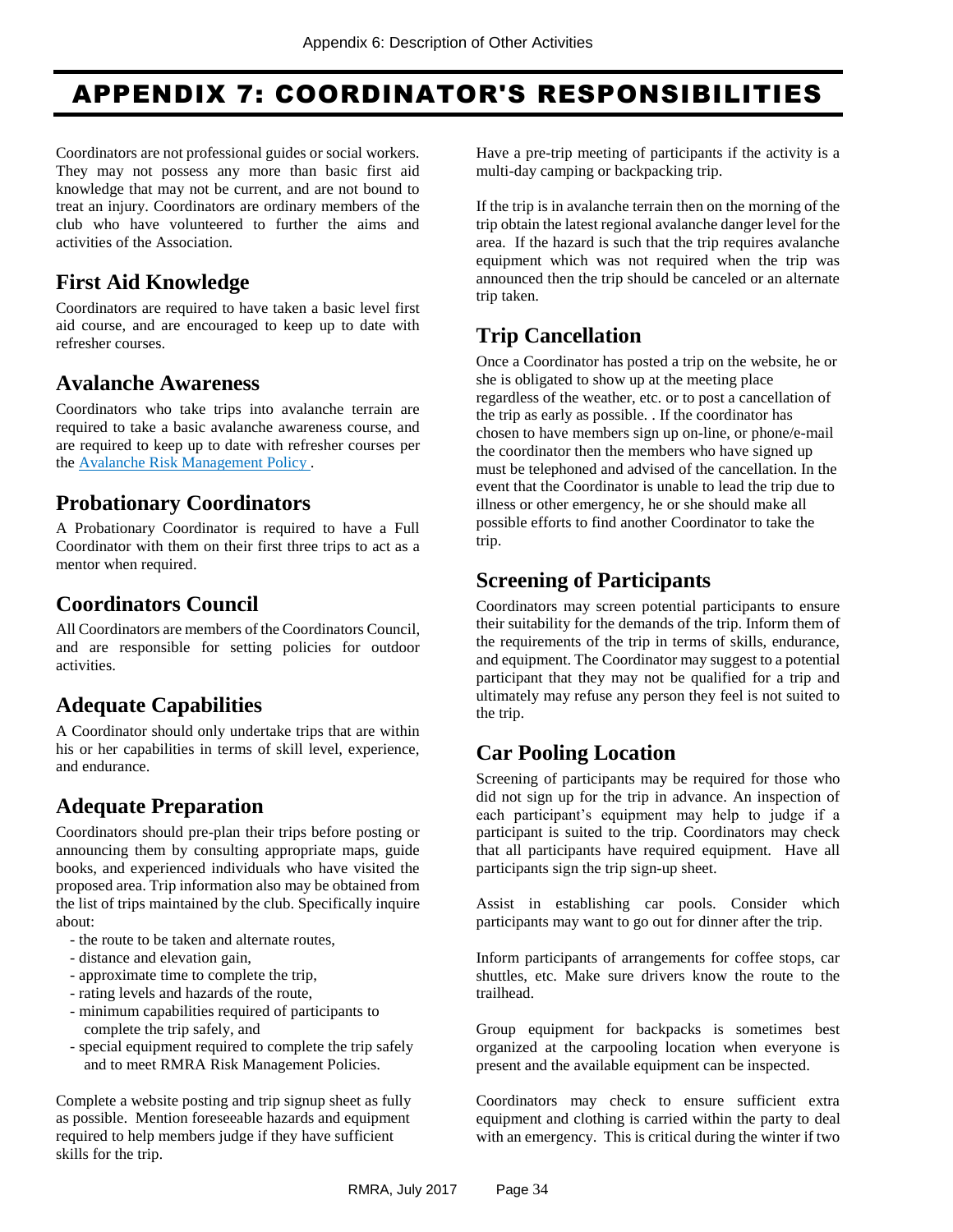# <span id="page-33-0"></span>APPENDIX 7: COORDINATOR'S RESPONSIBILITIES

Coordinators are not professional guides or social workers. They may not possess any more than basic first aid knowledge that may not be current, and are not bound to treat an injury. Coordinators are ordinary members of the club who have volunteered to further the aims and activities of the Association.

### **First Aid Knowledge**

Coordinators are required to have taken a basic level first aid course, and are encouraged to keep up to date with refresher courses.

#### **Avalanche Awareness**

Coordinators who take trips into avalanche terrain are required to take a basic avalanche awareness course, and are required to keep up to date with refresher courses per th[e Avalanche Risk Management](#page-5-0) Policy .

### **Probationary Coordinators**

A Probationary Coordinator is required to have a Full Coordinator with them on their first three trips to act as a mentor when required.

### **Coordinators Council**

All Coordinators are members of the Coordinators Council, and are responsible for setting policies for outdoor activities.

# **Adequate Capabilities**

A Coordinator should only undertake trips that are within his or her capabilities in terms of skill level, experience, and endurance.

# **Adequate Preparation**

Coordinators should pre-plan their trips before posting or announcing them by consulting appropriate maps, guide books, and experienced individuals who have visited the proposed area. Trip information also may be obtained from the list of trips maintained by the club. Specifically inquire about:

- the route to be taken and alternate routes,
- distance and elevation gain,
- approximate time to complete the trip,
- rating levels and hazards of the route,
- minimum capabilities required of participants to complete the trip safely, and
- special equipment required to complete the trip safely and to meet RMRA Risk Management Policies.

Complete a website posting and trip signup sheet as fully as possible. Mention foreseeable hazards and equipment required to help members judge if they have sufficient skills for the trip.

Have a pre-trip meeting of participants if the activity is a multi-day camping or backpacking trip.

If the trip is in avalanche terrain then on the morning of the trip obtain the latest regional avalanche danger level for the area. If the hazard is such that the trip requires avalanche equipment which was not required when the trip was announced then the trip should be canceled or an alternate trip taken.

# **Trip Cancellation**

Once a Coordinator has posted a trip on the website, he or she is obligated to show up at the meeting place regardless of the weather, etc. or to post a cancellation of the trip as early as possible. . If the coordinator has chosen to have members sign up on-line, or phone/e-mail the coordinator then the members who have signed up must be telephoned and advised of the cancellation. In the event that the Coordinator is unable to lead the trip due to illness or other emergency, he or she should make all possible efforts to find another Coordinator to take the trip.

# **Screening of Participants**

Coordinators may screen potential participants to ensure their suitability for the demands of the trip. Inform them of the requirements of the trip in terms of skills, endurance, and equipment. The Coordinator may suggest to a potential participant that they may not be qualified for a trip and ultimately may refuse any person they feel is not suited to the trip.

# **Car Pooling Location**

Screening of participants may be required for those who did not sign up for the trip in advance. An inspection of each participant's equipment may help to judge if a participant is suited to the trip. Coordinators may check that all participants have required equipment. Have all participants sign the trip sign-up sheet.

Assist in establishing car pools. Consider which participants may want to go out for dinner after the trip.

Inform participants of arrangements for coffee stops, car shuttles, etc. Make sure drivers know the route to the trailhead.

Group equipment for backpacks is sometimes best organized at the carpooling location when everyone is present and the available equipment can be inspected.

Coordinators may check to ensure sufficient extra equipment and clothing is carried within the party to deal with an emergency. This is critical during the winter if two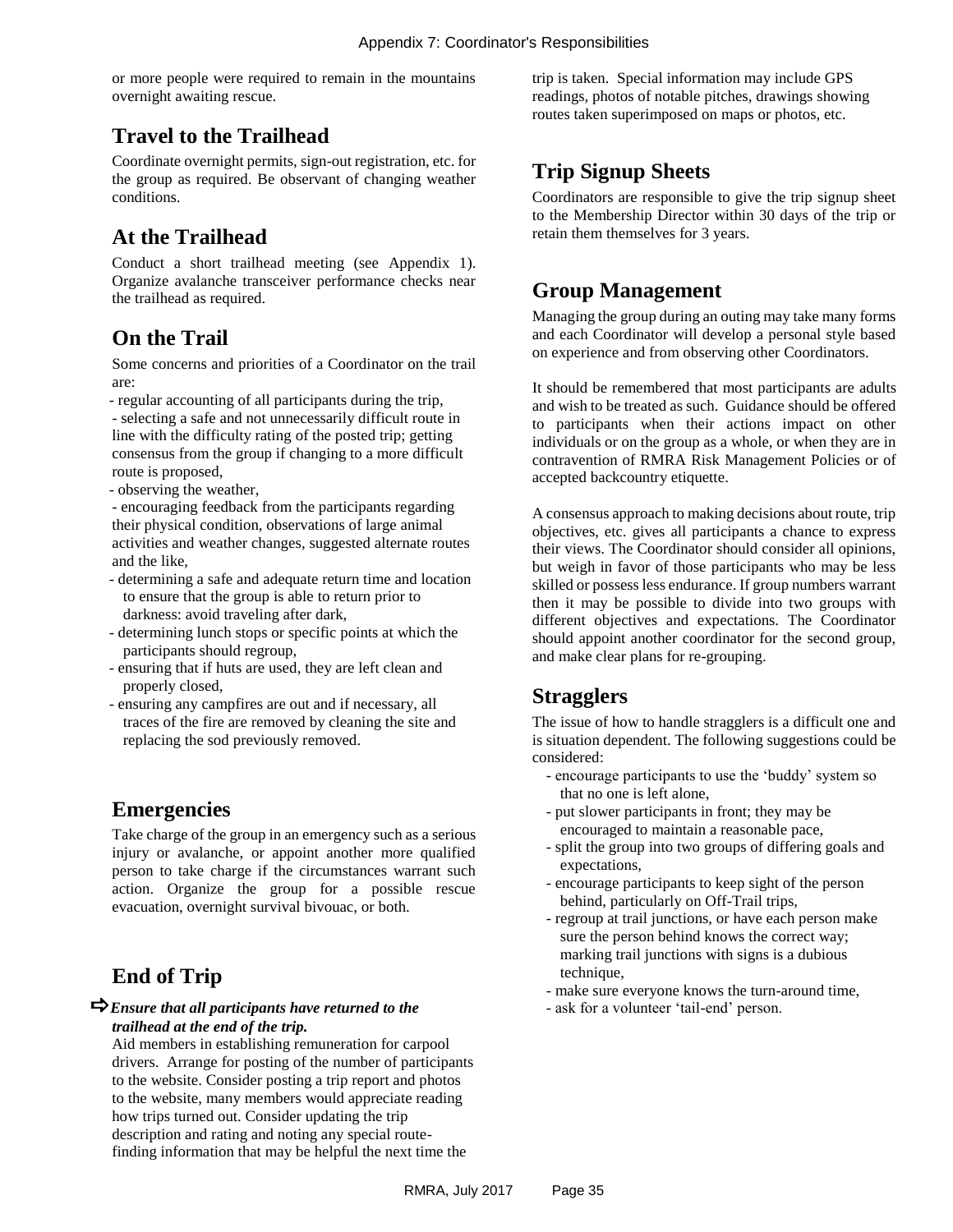or more people were required to remain in the mountains overnight awaiting rescue.

# **Travel to the Trailhead**

Coordinate overnight permits, sign-out registration, etc. for the group as required. Be observant of changing weather conditions.

# **At the Trailhead**

Conduct a short trailhead meeting (see Appendix 1). Organize avalanche transceiver performance checks near the trailhead as required.

### **On the Trail**

Some concerns and priorities of a Coordinator on the trail are:

- regular accounting of all participants during the trip, - selecting a safe and not unnecessarily difficult route in line with the difficulty rating of the posted trip; getting consensus from the group if changing to a more difficult route is proposed,

- observing the weather,

- encouraging feedback from the participants regarding their physical condition, observations of large animal activities and weather changes, suggested alternate routes and the like,

- determining a safe and adequate return time and location to ensure that the group is able to return prior to darkness: avoid traveling after dark,
- determining lunch stops or specific points at which the participants should regroup,
- ensuring that if huts are used, they are left clean and properly closed,
- ensuring any campfires are out and if necessary, all traces of the fire are removed by cleaning the site and replacing the sod previously removed.

#### **Emergencies**

Take charge of the group in an emergency such as a serious injury or avalanche, or appoint another more qualified person to take charge if the circumstances warrant such action. Organize the group for a possible rescue evacuation, overnight survival bivouac, or both.

### **End of Trip**

#### *Ensure that all participants have returned to the trailhead at the end of the trip.*

Aid members in establishing remuneration for carpool drivers. Arrange for posting of the number of participants to the website. Consider posting a trip report and photos to the website, many members would appreciate reading how trips turned out. Consider updating the trip description and rating and noting any special routefinding information that may be helpful the next time the

trip is taken. Special information may include GPS readings, photos of notable pitches, drawings showing routes taken superimposed on maps or photos, etc.

# **Trip Signup Sheets**

Coordinators are responsible to give the trip signup sheet to the Membership Director within 30 days of the trip or retain them themselves for 3 years.

## **Group Management**

Managing the group during an outing may take many forms and each Coordinator will develop a personal style based on experience and from observing other Coordinators.

It should be remembered that most participants are adults and wish to be treated as such. Guidance should be offered to participants when their actions impact on other individuals or on the group as a whole, or when they are in contravention of RMRA Risk Management Policies or of accepted backcountry etiquette.

A consensus approach to making decisions about route, trip objectives, etc. gives all participants a chance to express their views. The Coordinator should consider all opinions, but weigh in favor of those participants who may be less skilled or possess less endurance. If group numbers warrant then it may be possible to divide into two groups with different objectives and expectations. The Coordinator should appoint another coordinator for the second group, and make clear plans for re-grouping.

### **Stragglers**

The issue of how to handle stragglers is a difficult one and is situation dependent. The following suggestions could be considered:

- encourage participants to use the 'buddy' system so that no one is left alone,
- put slower participants in front; they may be encouraged to maintain a reasonable pace,
- split the group into two groups of differing goals and expectations,
- encourage participants to keep sight of the person behind, particularly on Off-Trail trips,
- regroup at trail junctions, or have each person make sure the person behind knows the correct way; marking trail junctions with signs is a dubious technique,
- make sure everyone knows the turn-around time,
- ask for a volunteer 'tail-end' person.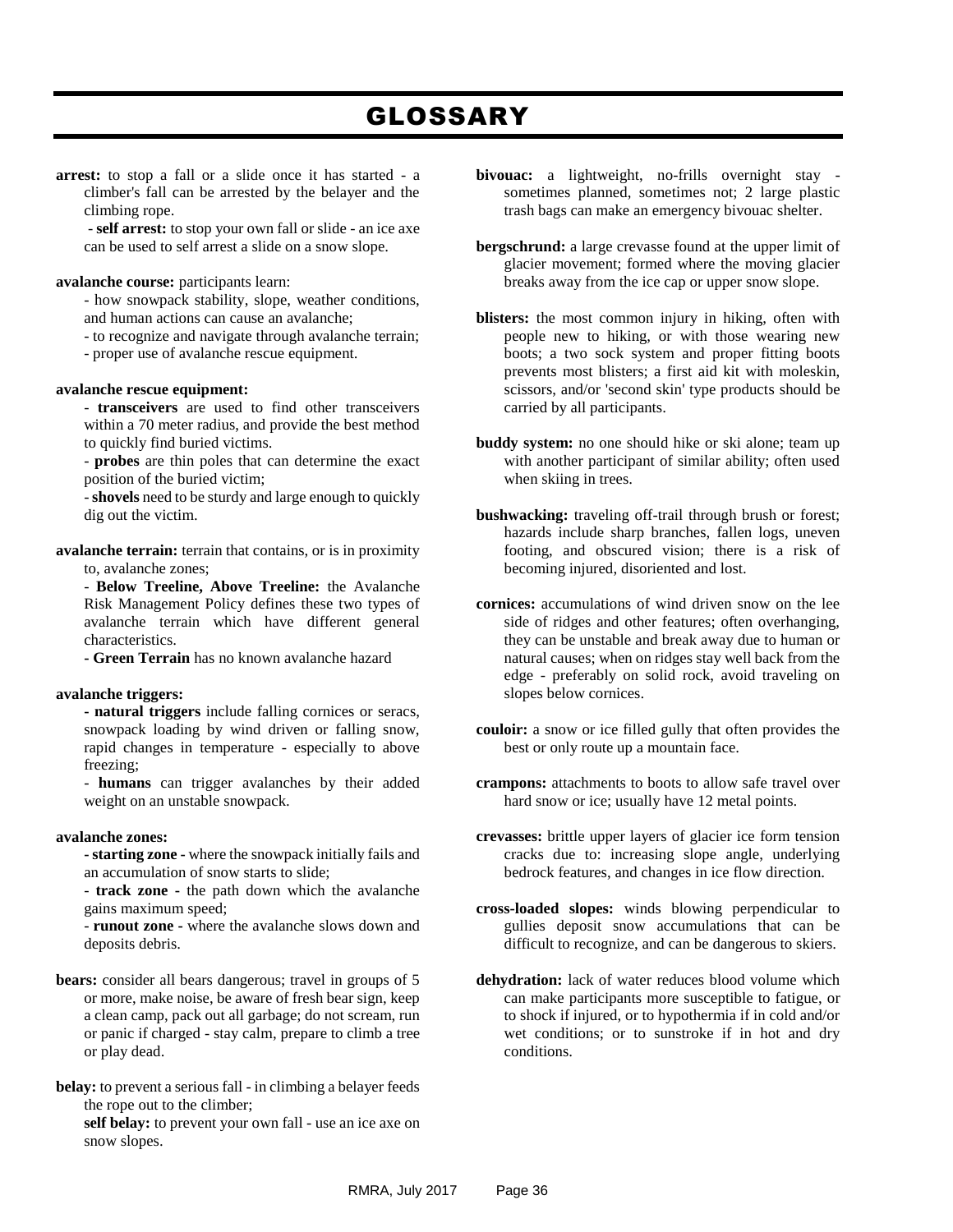# GLOSSARY

<span id="page-35-0"></span>**arrest:** to stop a fall or a slide once it has started - a climber's fall can be arrested by the belayer and the climbing rope.

- **self arrest:** to stop your own fall or slide - an ice axe can be used to self arrest a slide on a snow slope.

#### **avalanche course:** participants learn:

- how snowpack stability, slope, weather conditions, and human actions can cause an avalanche;
- to recognize and navigate through avalanche terrain;
- proper use of avalanche rescue equipment.

#### **avalanche rescue equipment:**

- **transceivers** are used to find other transceivers within a 70 meter radius, and provide the best method to quickly find buried victims.
- **probes** are thin poles that can determine the exact position of the buried victim;

-**shovels** need to be sturdy and large enough to quickly dig out the victim.

**avalanche terrain:** terrain that contains, or is in proximity to, avalanche zones;

- **Below Treeline, Above Treeline:** the Avalanche Risk Management Policy defines these two types of avalanche terrain which have different general characteristics.

**- Green Terrain** has no known avalanche hazard

#### **avalanche triggers:**

**- natural triggers** include falling cornices or seracs, snowpack loading by wind driven or falling snow, rapid changes in temperature - especially to above freezing;

- **humans** can trigger avalanches by their added weight on an unstable snowpack.

#### **avalanche zones:**

**- starting zone -** where the snowpack initially fails and an accumulation of snow starts to slide;

- **track zone -** the path down which the avalanche gains maximum speed;

- **runout zone -** where the avalanche slows down and deposits debris.

- **bears:** consider all bears dangerous; travel in groups of 5 or more, make noise, be aware of fresh bear sign, keep a clean camp, pack out all garbage; do not scream, run or panic if charged - stay calm, prepare to climb a tree or play dead.
- **belay:** to prevent a serious fall in climbing a belayer feeds the rope out to the climber;

**self belay:** to prevent your own fall - use an ice axe on snow slopes.

- **bivouac:** a lightweight, no-frills overnight stay sometimes planned, sometimes not; 2 large plastic trash bags can make an emergency bivouac shelter.
- **bergschrund:** a large crevasse found at the upper limit of glacier movement; formed where the moving glacier breaks away from the ice cap or upper snow slope.
- **blisters:** the most common injury in hiking, often with people new to hiking, or with those wearing new boots; a two sock system and proper fitting boots prevents most blisters; a first aid kit with moleskin, scissors, and/or 'second skin' type products should be carried by all participants.
- **buddy system:** no one should hike or ski alone; team up with another participant of similar ability; often used when skiing in trees.
- **bushwacking:** traveling off-trail through brush or forest; hazards include sharp branches, fallen logs, uneven footing, and obscured vision; there is a risk of becoming injured, disoriented and lost.
- **cornices:** accumulations of wind driven snow on the lee side of ridges and other features; often overhanging, they can be unstable and break away due to human or natural causes; when on ridges stay well back from the edge - preferably on solid rock, avoid traveling on slopes below cornices.
- **couloir:** a snow or ice filled gully that often provides the best or only route up a mountain face.
- **crampons:** attachments to boots to allow safe travel over hard snow or ice; usually have 12 metal points.
- **crevasses:** brittle upper layers of glacier ice form tension cracks due to: increasing slope angle, underlying bedrock features, and changes in ice flow direction.
- **cross-loaded slopes:** winds blowing perpendicular to gullies deposit snow accumulations that can be difficult to recognize, and can be dangerous to skiers.
- **dehydration:** lack of water reduces blood volume which can make participants more susceptible to fatigue, or to shock if injured, or to hypothermia if in cold and/or wet conditions; or to sunstroke if in hot and dry conditions.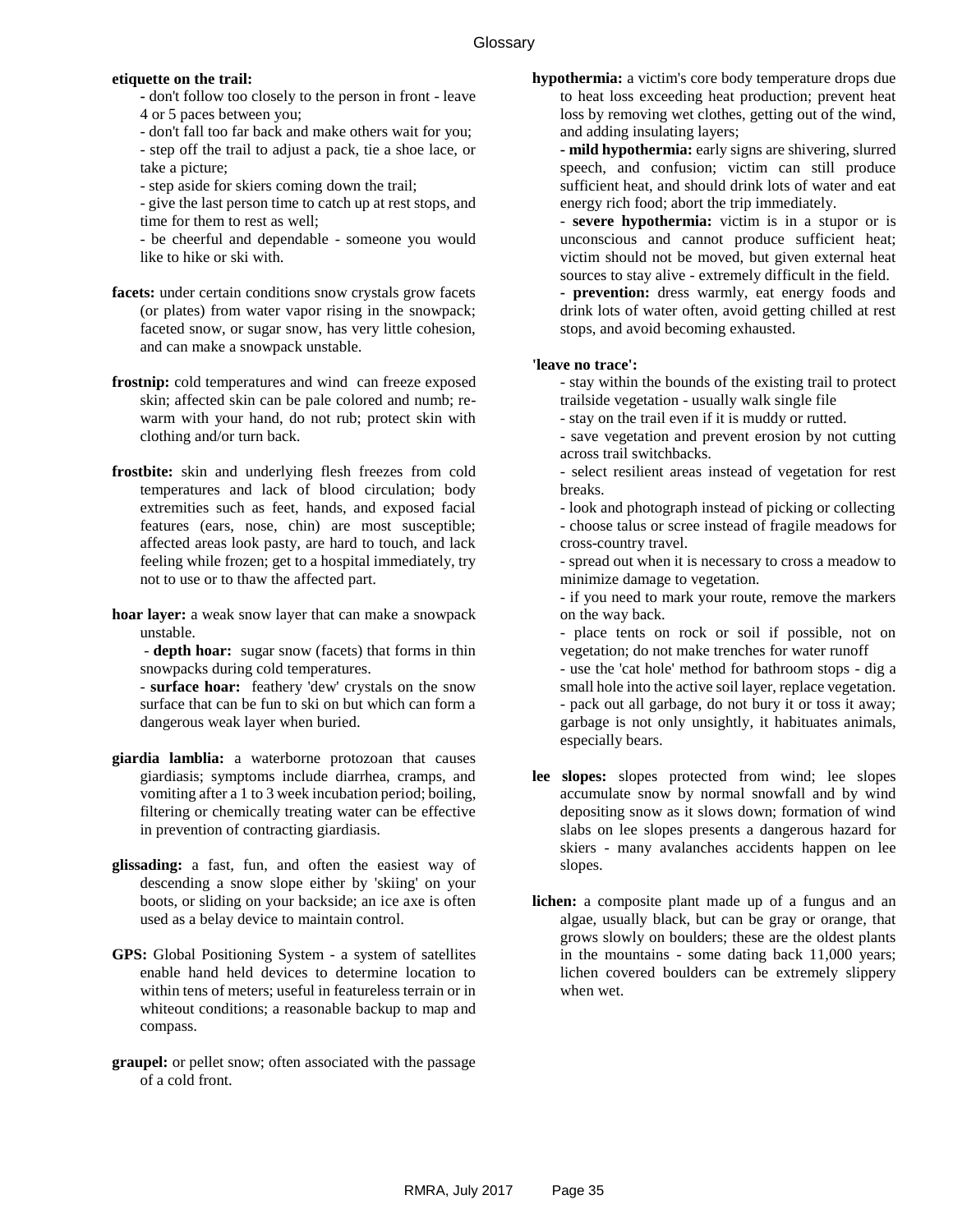#### **etiquette on the trail:**

**-** don't follow too closely to the person in front - leave 4 or 5 paces between you;

- don't fall too far back and make others wait for you;

- step off the trail to adjust a pack, tie a shoe lace, or take a picture;

- step aside for skiers coming down the trail;

- give the last person time to catch up at rest stops, and time for them to rest as well;

- be cheerful and dependable - someone you would like to hike or ski with.

- **facets:** under certain conditions snow crystals grow facets (or plates) from water vapor rising in the snowpack; faceted snow, or sugar snow, has very little cohesion, and can make a snowpack unstable.
- **frostnip:** cold temperatures and wind can freeze exposed skin; affected skin can be pale colored and numb; rewarm with your hand, do not rub; protect skin with clothing and/or turn back.
- **frostbite:** skin and underlying flesh freezes from cold temperatures and lack of blood circulation; body extremities such as feet, hands, and exposed facial features (ears, nose, chin) are most susceptible; affected areas look pasty, are hard to touch, and lack feeling while frozen; get to a hospital immediately, try not to use or to thaw the affected part.
- **hoar layer:** a weak snow layer that can make a snowpack unstable.

- **depth hoar:** sugar snow (facets) that forms in thin snowpacks during cold temperatures.

- **surface hoar:** feathery 'dew' crystals on the snow surface that can be fun to ski on but which can form a dangerous weak layer when buried.

- **giardia lamblia:** a waterborne protozoan that causes giardiasis; symptoms include diarrhea, cramps, and vomiting after a 1 to 3 week incubation period; boiling, filtering or chemically treating water can be effective in prevention of contracting giardiasis.
- **glissading:** a fast, fun, and often the easiest way of descending a snow slope either by 'skiing' on your boots, or sliding on your backside; an ice axe is often used as a belay device to maintain control.
- **GPS:** Global Positioning System a system of satellites enable hand held devices to determine location to within tens of meters; useful in featureless terrain or in whiteout conditions; a reasonable backup to map and compass.
- **graupel:** or pellet snow; often associated with the passage of a cold front.

**hypothermia:** a victim's core body temperature drops due to heat loss exceeding heat production; prevent heat loss by removing wet clothes, getting out of the wind, and adding insulating layers;

**- mild hypothermia:** early signs are shivering, slurred speech, and confusion; victim can still produce sufficient heat, and should drink lots of water and eat energy rich food; abort the trip immediately.

- **severe hypothermia:** victim is in a stupor or is unconscious and cannot produce sufficient heat; victim should not be moved, but given external heat sources to stay alive - extremely difficult in the field.

**- prevention:** dress warmly, eat energy foods and drink lots of water often, avoid getting chilled at rest stops, and avoid becoming exhausted.

#### **'leave no trace':**

- stay within the bounds of the existing trail to protect trailside vegetation - usually walk single file

- stay on the trail even if it is muddy or rutted.
- save vegetation and prevent erosion by not cutting across trail switchbacks.
- select resilient areas instead of vegetation for rest breaks.
- look and photograph instead of picking or collecting

- choose talus or scree instead of fragile meadows for cross-country travel.

- spread out when it is necessary to cross a meadow to minimize damage to vegetation.
- if you need to mark your route, remove the markers on the way back.

- place tents on rock or soil if possible, not on vegetation; do not make trenches for water runoff

- use the 'cat hole' method for bathroom stops - dig a small hole into the active soil layer, replace vegetation. - pack out all garbage, do not bury it or toss it away; garbage is not only unsightly, it habituates animals, especially bears.

- **lee slopes:** slopes protected from wind; lee slopes accumulate snow by normal snowfall and by wind depositing snow as it slows down; formation of wind slabs on lee slopes presents a dangerous hazard for skiers - many avalanches accidents happen on lee slopes.
- **lichen:** a composite plant made up of a fungus and an algae, usually black, but can be gray or orange, that grows slowly on boulders; these are the oldest plants in the mountains - some dating back 11,000 years; lichen covered boulders can be extremely slippery when wet.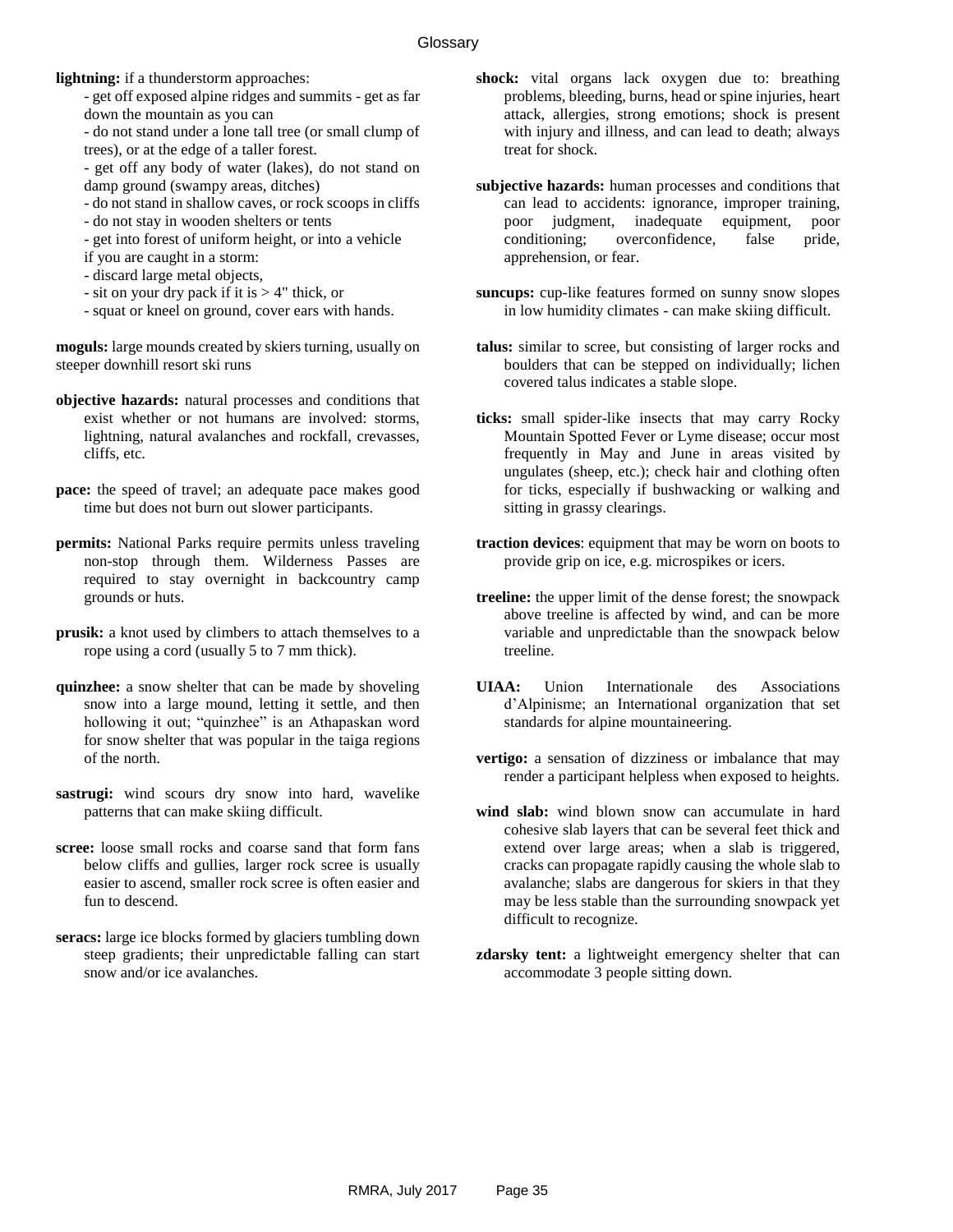**lightning:** if a thunderstorm approaches:

- get off exposed alpine ridges and summits - get as far down the mountain as you can

- do not stand under a lone tall tree (or small clump of trees), or at the edge of a taller forest.

- get off any body of water (lakes), do not stand on damp ground (swampy areas, ditches)

- do not stand in shallow caves, or rock scoops in cliffs
- do not stay in wooden shelters or tents
- get into forest of uniform height, or into a vehicle
- if you are caught in a storm:
- discard large metal objects,
- sit on your dry pack if it is > 4" thick, or

- squat or kneel on ground, cover ears with hands.

**moguls:** large mounds created by skiers turning, usually on steeper downhill resort ski runs

- **objective hazards:** natural processes and conditions that exist whether or not humans are involved: storms, lightning, natural avalanches and rockfall, crevasses, cliffs, etc.
- pace: the speed of travel; an adequate pace makes good time but does not burn out slower participants.
- **permits:** National Parks require permits unless traveling non-stop through them. Wilderness Passes are required to stay overnight in backcountry camp grounds or huts.
- **prusik:** a knot used by climbers to attach themselves to a rope using a cord (usually 5 to 7 mm thick).
- **quinzhee:** a snow shelter that can be made by shoveling snow into a large mound, letting it settle, and then hollowing it out; "quinzhee" is an Athapaskan word for snow shelter that was popular in the taiga regions of the north.
- <span id="page-37-0"></span>**sastrugi:** wind scours dry snow into hard, wavelike patterns that can make skiing difficult.
- **scree:** loose small rocks and coarse sand that form fans below cliffs and gullies, larger rock scree is usually easier to ascend, smaller rock scree is often easier and fun to descend.
- **seracs:** large ice blocks formed by glaciers tumbling down steep gradients; their unpredictable falling can start snow and/or ice avalanches.
- **shock:** vital organs lack oxygen due to: breathing problems, bleeding, burns, head or spine injuries, heart attack, allergies, strong emotions; shock is present with injury and illness, and can lead to death; always treat for shock.
- **subjective hazards:** human processes and conditions that can lead to accidents: ignorance, improper training, poor judgment, inadequate equipment, poor conditioning; overconfidence, false pride, apprehension, or fear.
- **suncups:** cup-like features formed on sunny snow slopes in low humidity climates - can make skiing difficult.
- **talus:** similar to scree, but consisting of larger rocks and boulders that can be stepped on individually; lichen covered talus indicates a stable slope.
- **ticks:** small spider-like insects that may carry Rocky Mountain Spotted Fever or Lyme disease; occur most frequently in May and June in areas visited by ungulates (sheep, etc.); check hair and clothing often for ticks, especially if bushwacking or walking and sitting in grassy clearings.
- **traction devices**: equipment that may be worn on boots to provide grip on ice, e.g. microspikes or icers.
- **treeline:** the upper limit of the dense forest; the snowpack above treeline is affected by wind, and can be more variable and unpredictable than the snowpack below treeline.
- **UIAA:** Union Internationale des Associations d'Alpinisme; an International organization that set standards for alpine mountaineering.
- **vertigo:** a sensation of dizziness or imbalance that may render a participant helpless when exposed to heights.
- **wind slab:** wind blown snow can accumulate in hard cohesive slab layers that can be several feet thick and extend over large areas; when a slab is triggered, cracks can propagate rapidly causing the whole slab to avalanche; slabs are dangerous for skiers in that they may be less stable than the surrounding snowpack yet difficult to recognize.
- **zdarsky tent:** a lightweight emergency shelter that can accommodate 3 people sitting down.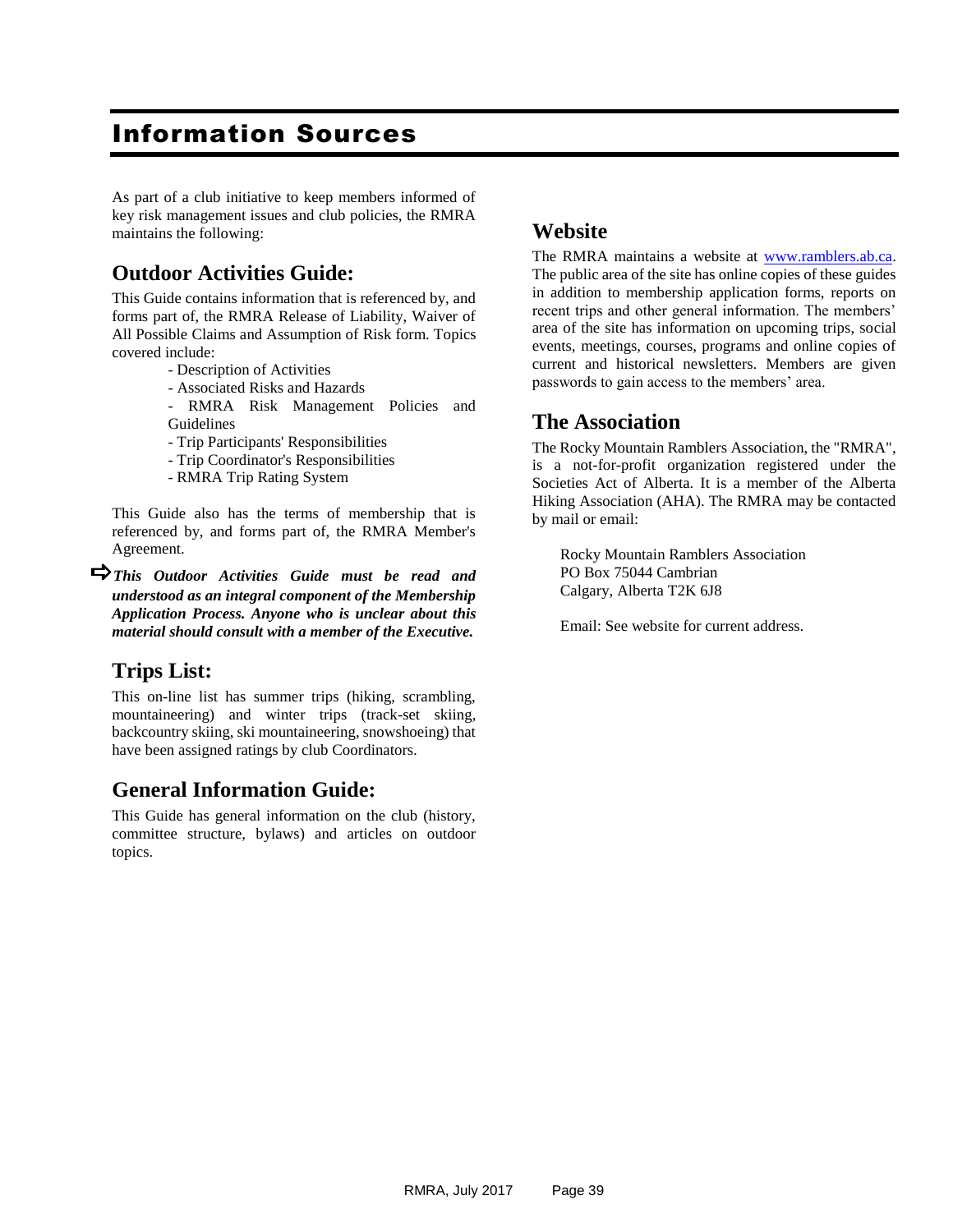# Information Sources

As part of a club initiative to keep members informed of key risk management issues and club policies, the RMRA maintains the following:

### **Outdoor Activities Guide:**

This Guide contains information that is referenced by, and forms part of, the RMRA Release of Liability, Waiver of All Possible Claims and Assumption of Risk form. Topics covered include:

- Description of Activities
- Associated Risks and Hazards
- RMRA Risk Management Policies and Guidelines
- Trip Participants' Responsibilities
- Trip Coordinator's Responsibilities
- RMRA Trip Rating System

This Guide also has the terms of membership that is referenced by, and forms part of, the RMRA Member's Agreement.

*This Outdoor Activities Guide must be read and understood as an integral component of the Membership Application Process. Anyone who is unclear about this material should consult with a member of the Executive.*

### **Trips List:**

This on-line list has summer trips (hiking, scrambling, mountaineering) and winter trips (track-set skiing, backcountry skiing, ski mountaineering, snowshoeing) that have been assigned ratings by club Coordinators.

### **General Information Guide:**

This Guide has general information on the club (history, committee structure, bylaws) and articles on outdoor topics.

#### **Website**

The RMRA maintains a website at [www.ramblers.ab.ca.](http://www.ramblers.ab.ca/) The public area of the site has online copies of these guides in addition to membership application forms, reports on recent trips and other general information. The members' area of the site has information on upcoming trips, social events, meetings, courses, programs and online copies of current and historical newsletters. Members are given passwords to gain access to the members' area.

#### **The Association**

The Rocky Mountain Ramblers Association, the "RMRA", is a not-for-profit organization registered under the Societies Act of Alberta. It is a member of the Alberta Hiking Association (AHA). The RMRA may be contacted by mail or email:

Rocky Mountain Ramblers Association PO Box 75044 Cambrian Calgary, Alberta T2K 6J8

Email: See website for current address.